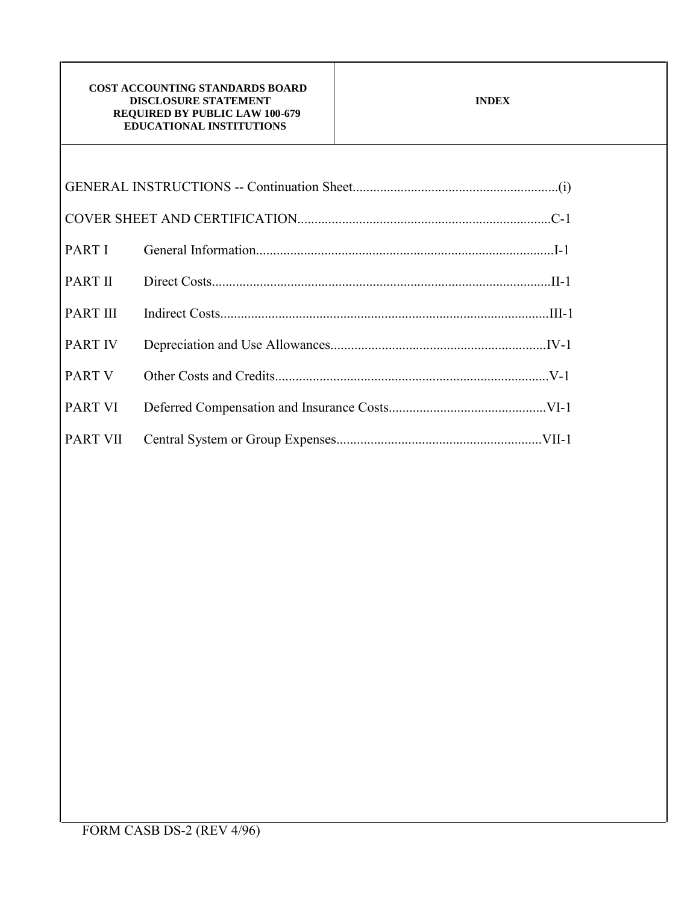| PART I          |  |
|-----------------|--|
| PART II         |  |
| <b>PART III</b> |  |
| <b>PART IV</b>  |  |
| PART V          |  |
| PART VI         |  |
| PART VII        |  |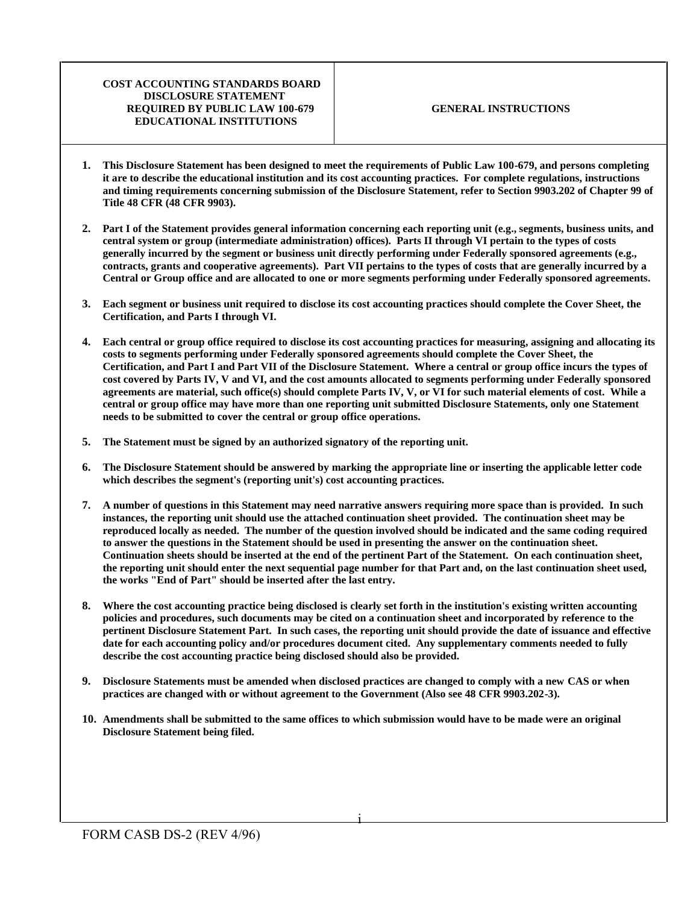- **1. This Disclosure Statement has been designed to meet the requirements of Public Law 100-679, and persons completing it are to describe the educational institution and its cost accounting practices. For complete regulations, instructions and timing requirements concerning submission of the Disclosure Statement, refer to Section 9903.202 of Chapter 99 of Title 48 CFR (48 CFR 9903).**
- **2. Part I of the Statement provides general information concerning each reporting unit (e.g., segments, business units, and central system or group (intermediate administration) offices). Parts II through VI pertain to the types of costs generally incurred by the segment or business unit directly performing under Federally sponsored agreements (e.g., contracts, grants and cooperative agreements). Part VII pertains to the types of costs that are generally incurred by a Central or Group office and are allocated to one or more segments performing under Federally sponsored agreements.**
- **3. Each segment or business unit required to disclose its cost accounting practices should complete the Cover Sheet, the Certification, and Parts I through VI.**
- **4. Each central or group office required to disclose its cost accounting practices for measuring, assigning and allocating its costs to segments performing under Federally sponsored agreements should complete the Cover Sheet, the Certification, and Part I and Part VII of the Disclosure Statement. Where a central or group office incurs the types of cost covered by Parts IV, V and VI, and the cost amounts allocated to segments performing under Federally sponsored agreements are material, such office(s) should complete Parts IV, V, or VI for such material elements of cost. While a central or group office may have more than one reporting unit submitted Disclosure Statements, only one Statement needs to be submitted to cover the central or group office operations.**
- **5. The Statement must be signed by an authorized signatory of the reporting unit.**
- **6. The Disclosure Statement should be answered by marking the appropriate line or inserting the applicable letter code which describes the segment's (reporting unit's) cost accounting practices.**
- **7. A number of questions in this Statement may need narrative answers requiring more space than is provided. In such instances, the reporting unit should use the attached continuation sheet provided. The continuation sheet may be reproduced locally as needed. The number of the question involved should be indicated and the same coding required to answer the questions in the Statement should be used in presenting the answer on the continuation sheet. Continuation sheets should be inserted at the end of the pertinent Part of the Statement. On each continuation sheet, the reporting unit should enter the next sequential page number for that Part and, on the last continuation sheet used, the works "End of Part" should be inserted after the last entry.**
- **8. Where the cost accounting practice being disclosed is clearly set forth in the institution's existing written accounting policies and procedures, such documents may be cited on a continuation sheet and incorporated by reference to the pertinent Disclosure Statement Part. In such cases, the reporting unit should provide the date of issuance and effective date for each accounting policy and/or procedures document cited. Any supplementary comments needed to fully describe the cost accounting practice being disclosed should also be provided.**
- **9. Disclosure Statements must be amended when disclosed practices are changed to comply with a new CAS or when practices are changed with or without agreement to the Government (Also see 48 CFR 9903.202-3).**
- **10. Amendments shall be submitted to the same offices to which submission would have to be made were an original Disclosure Statement being filed.**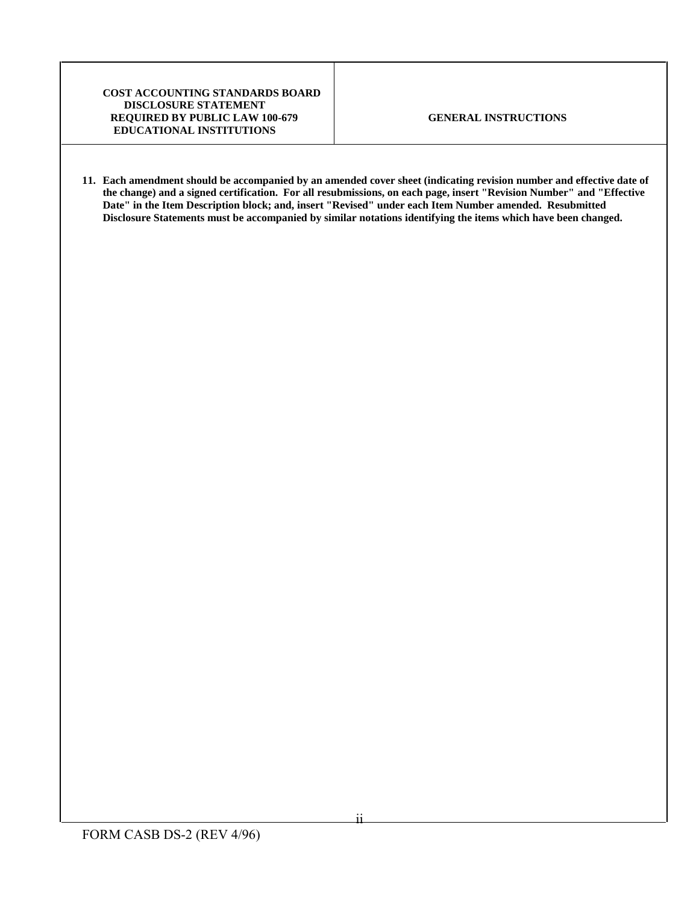**11. Each amendment should be accompanied by an amended cover sheet (indicating revision number and effective date of the change) and a signed certification. For all resubmissions, on each page, insert "Revision Number" and "Effective Date" in the Item Description block; and, insert "Revised" under each Item Number amended. Resubmitted Disclosure Statements must be accompanied by similar notations identifying the items which have been changed.**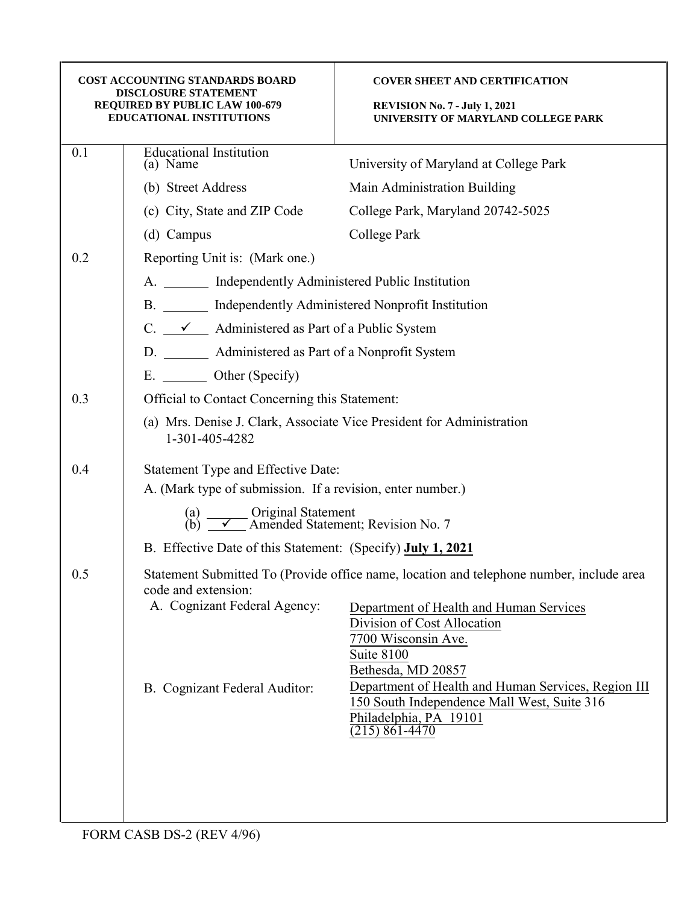| <b>COST ACCOUNTING STANDARDS BOARD</b><br><b>DISCLOSURE STATEMENT</b><br><b>REQUIRED BY PUBLIC LAW 100-679</b><br><b>EDUCATIONAL INSTITUTIONS</b> |                                                                                                         | <b>COVER SHEET AND CERTIFICATION</b><br><b>REVISION No. 7 - July 1, 2021</b><br>UNIVERSITY OF MARYLAND COLLEGE PARK                            |  |  |
|---------------------------------------------------------------------------------------------------------------------------------------------------|---------------------------------------------------------------------------------------------------------|------------------------------------------------------------------------------------------------------------------------------------------------|--|--|
| 0.1                                                                                                                                               | <b>Educational Institution</b>                                                                          |                                                                                                                                                |  |  |
|                                                                                                                                                   | (a) Name                                                                                                | University of Maryland at College Park                                                                                                         |  |  |
|                                                                                                                                                   | (b) Street Address                                                                                      | Main Administration Building                                                                                                                   |  |  |
|                                                                                                                                                   | (c) City, State and ZIP Code                                                                            | College Park, Maryland 20742-5025                                                                                                              |  |  |
|                                                                                                                                                   | (d) Campus                                                                                              | College Park                                                                                                                                   |  |  |
| 0.2                                                                                                                                               | Reporting Unit is: (Mark one.)                                                                          |                                                                                                                                                |  |  |
|                                                                                                                                                   | A. ________ Independently Administered Public Institution                                               |                                                                                                                                                |  |  |
|                                                                                                                                                   | B. _______ Independently Administered Nonprofit Institution                                             |                                                                                                                                                |  |  |
|                                                                                                                                                   | C. $\frac{\checkmark}{\checkmark}$ Administered as Part of a Public System                              |                                                                                                                                                |  |  |
|                                                                                                                                                   | D. _________ Administered as Part of a Nonprofit System                                                 |                                                                                                                                                |  |  |
|                                                                                                                                                   | E. ________ Other (Specify)                                                                             |                                                                                                                                                |  |  |
| 0.3                                                                                                                                               | Official to Contact Concerning this Statement:                                                          |                                                                                                                                                |  |  |
|                                                                                                                                                   | (a) Mrs. Denise J. Clark, Associate Vice President for Administration<br>1-301-405-4282                 |                                                                                                                                                |  |  |
| 0.4                                                                                                                                               | Statement Type and Effective Date:                                                                      |                                                                                                                                                |  |  |
|                                                                                                                                                   | A. (Mark type of submission. If a revision, enter number.)                                              |                                                                                                                                                |  |  |
|                                                                                                                                                   | (a) $\overline{\smile}$ Original Statement<br>(b) $\overline{\smile}$ Amended Statement; Revision No. 7 |                                                                                                                                                |  |  |
|                                                                                                                                                   | B. Effective Date of this Statement: (Specify) July 1, 2021                                             |                                                                                                                                                |  |  |
| 0.5                                                                                                                                               | code and extension:                                                                                     | Statement Submitted To (Provide office name, location and telephone number, include area                                                       |  |  |
|                                                                                                                                                   | A. Cognizant Federal Agency:                                                                            | Department of Health and Human Services<br>Division of Cost Allocation<br>7700 Wisconsin Ave.<br>Suite 8100<br>Bethesda, MD 20857              |  |  |
|                                                                                                                                                   | B. Cognizant Federal Auditor:                                                                           | Department of Health and Human Services, Region III<br>150 South Independence Mall West, Suite 316<br>Philadelphia, PA 19101<br>(215) 861-4470 |  |  |
|                                                                                                                                                   |                                                                                                         |                                                                                                                                                |  |  |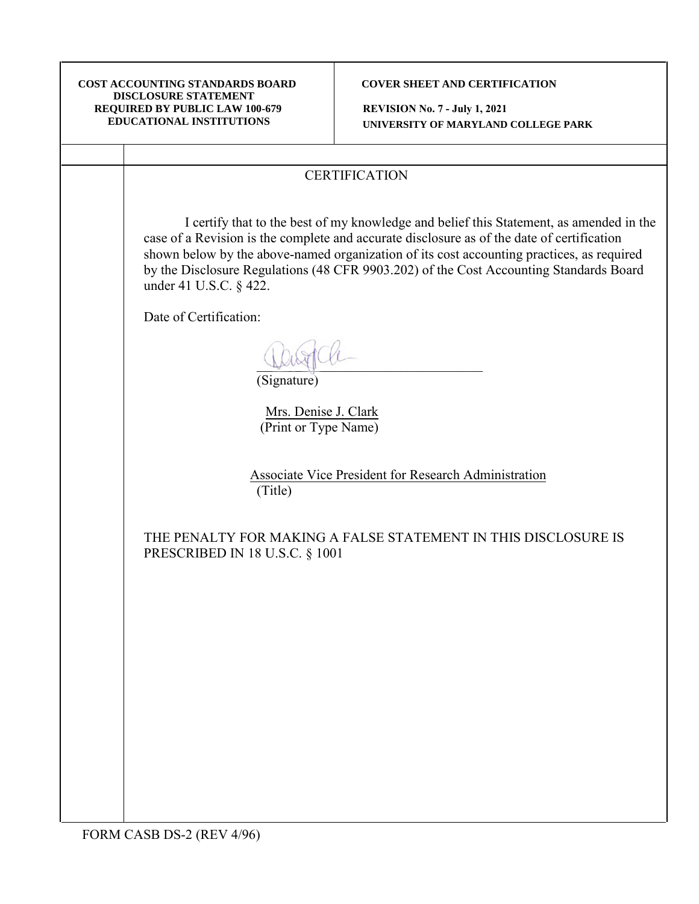### **COVER SHEET AND CERTIFICATION**

**REVISION No. 7 - July 1, 2021 UNIVERSITY OF MARYLAND COLLEGE PARK**

# **CERTIFICATION**

I certify that to the best of my knowledge and belief this Statement, as amended in the case of a Revision is the complete and accurate disclosure as of the date of certification shown below by the above-named organization of its cost accounting practices, as required by the Disclosure Regulations (48 CFR 9903.202) of the Cost Accounting Standards Board under 41 U.S.C. § 422.

Date of Certification:

\_\_\_\_\_\_\_\_\_\_\_\_\_\_\_\_\_\_\_\_\_\_\_\_\_\_\_\_\_\_\_\_\_ (Signature)

Mrs. Denise J. Clark (Print or Type Name)

Associate Vice President for Research Administration (Title)

THE PENALTY FOR MAKING A FALSE STATEMENT IN THIS DISCLOSURE IS PRESCRIBED IN 18 U.S.C. § 1001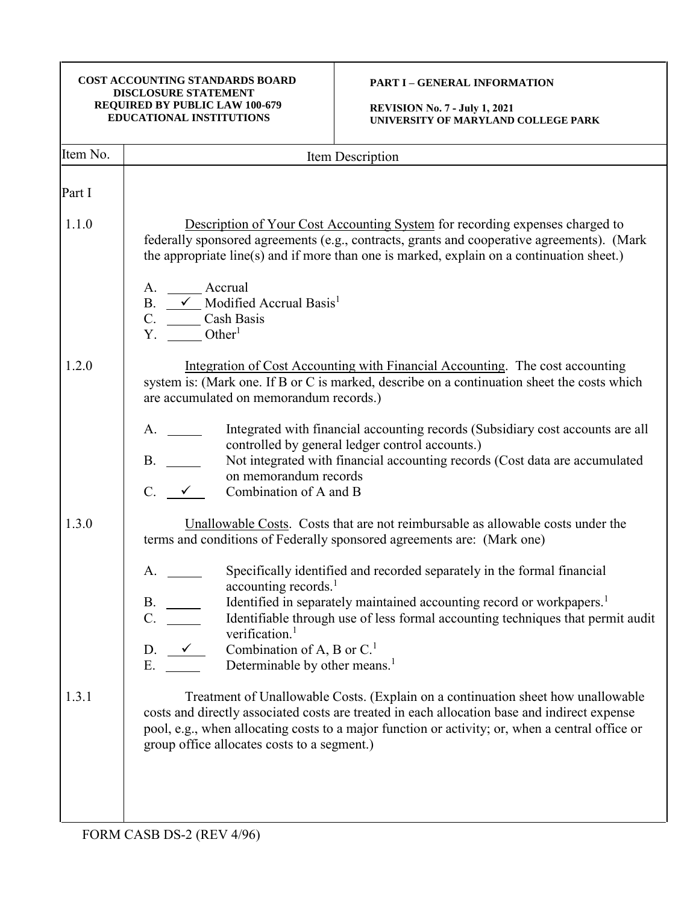# **PART I – GENERAL INFORMATION**

| Item No. | Item Description                                                                                                                                                                                                                                                                                                                                                                                                                                                                                                                                                       |
|----------|------------------------------------------------------------------------------------------------------------------------------------------------------------------------------------------------------------------------------------------------------------------------------------------------------------------------------------------------------------------------------------------------------------------------------------------------------------------------------------------------------------------------------------------------------------------------|
| Part I   |                                                                                                                                                                                                                                                                                                                                                                                                                                                                                                                                                                        |
| 1.1.0    | Description of Your Cost Accounting System for recording expenses charged to<br>federally sponsored agreements (e.g., contracts, grants and cooperative agreements). (Mark<br>the appropriate line(s) and if more than one is marked, explain on a continuation sheet.)<br>A. _______ Accrual<br>B. $\longrightarrow$ Modified Accrual Basis <sup>1</sup><br>C. Cash Basis<br>Y. Other <sup>1</sup>                                                                                                                                                                    |
| 1.2.0    | Integration of Cost Accounting with Financial Accounting. The cost accounting<br>system is: (Mark one. If B or C is marked, describe on a continuation sheet the costs which<br>are accumulated on memorandum records.)<br>Integrated with financial accounting records (Subsidiary cost accounts are all<br>controlled by general ledger control accounts.)<br>B.<br>Not integrated with financial accounting records (Cost data are accumulated<br>on memorandum records<br>$C. \quad \checkmark$<br>Combination of A and B                                          |
| 1.3.0    | Unallowable Costs. Costs that are not reimbursable as allowable costs under the<br>terms and conditions of Federally sponsored agreements are: (Mark one)<br>Specifically identified and recorded separately in the formal financial<br>accounting records. <sup>1</sup><br>Identified in separately maintained accounting record or workpapers. <sup>1</sup><br>Identifiable through use of less formal accounting techniques that permit audit<br>verification. <sup>1</sup><br>D.<br>Combination of A, B or $C1$<br>Determinable by other means. <sup>1</sup><br>Ε. |
| 1.3.1    | Treatment of Unallowable Costs. (Explain on a continuation sheet how unallowable<br>costs and directly associated costs are treated in each allocation base and indirect expense<br>pool, e.g., when allocating costs to a major function or activity; or, when a central office or<br>group office allocates costs to a segment.)                                                                                                                                                                                                                                     |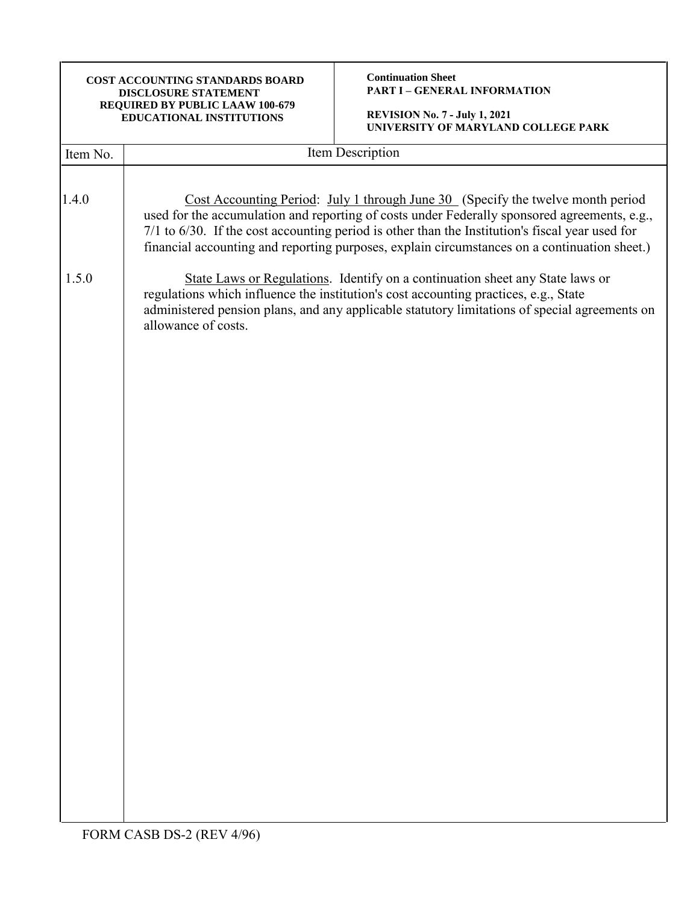| COST ACCOUNTING STANDARDS BOARD<br><b>DISCLOSURE STATEMENT</b><br>REQUIRED BY PUBLIC LAAW 100-679<br>EDUCATIONAL INSTITUTIONS                                                                                                                                                                                                                                                      | <b>Continuation Sheet</b><br><b>PART I - GENERAL INFORMATION</b><br><b>REVISION No. 7 - July 1, 2021</b><br>UNIVERSITY OF MARYLAND COLLEGE PARK                                                                                                                        |  |  |
|------------------------------------------------------------------------------------------------------------------------------------------------------------------------------------------------------------------------------------------------------------------------------------------------------------------------------------------------------------------------------------|------------------------------------------------------------------------------------------------------------------------------------------------------------------------------------------------------------------------------------------------------------------------|--|--|
|                                                                                                                                                                                                                                                                                                                                                                                    | Item Description                                                                                                                                                                                                                                                       |  |  |
| Cost Accounting Period: July 1 through June 30 (Specify the twelve month period<br>used for the accumulation and reporting of costs under Federally sponsored agreements, e.g.,<br>7/1 to 6/30. If the cost accounting period is other than the Institution's fiscal year used for<br>financial accounting and reporting purposes, explain circumstances on a continuation sheet.) |                                                                                                                                                                                                                                                                        |  |  |
| allowance of costs.                                                                                                                                                                                                                                                                                                                                                                | State Laws or Regulations. Identify on a continuation sheet any State laws or<br>regulations which influence the institution's cost accounting practices, e.g., State<br>administered pension plans, and any applicable statutory limitations of special agreements on |  |  |
|                                                                                                                                                                                                                                                                                                                                                                                    |                                                                                                                                                                                                                                                                        |  |  |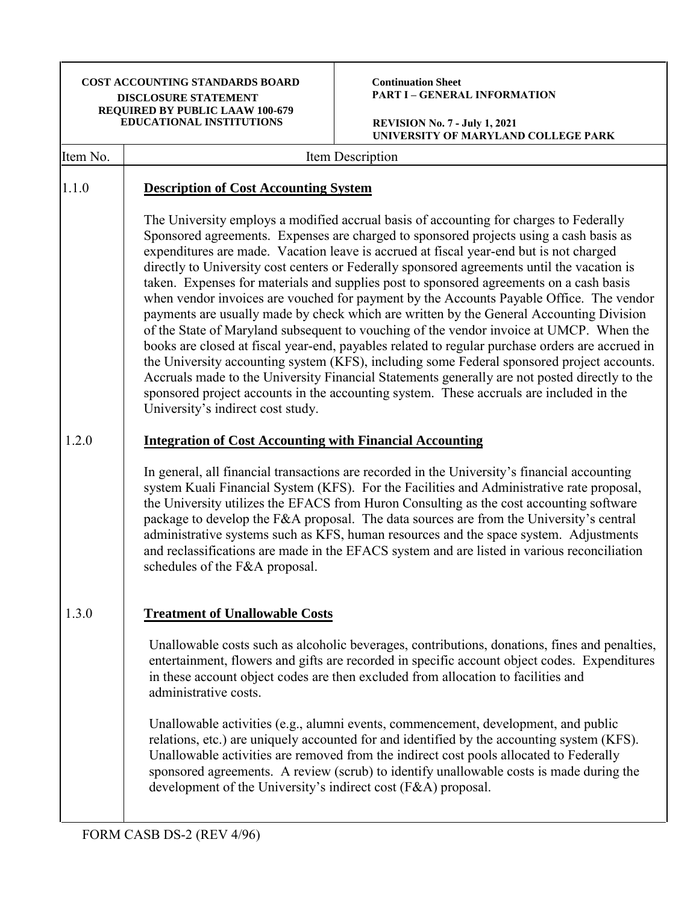| <b>COST ACCOUNTING STANDARDS BOARD</b><br><b>DISCLOSURE STATEMENT</b><br>REQUIRED BY PUBLIC LAAW 100-679<br><b>EDUCATIONAL INSTITUTIONS</b>                                                                                                                                                                                                                                                                                            |                                                                                                                                                                                                                                                                                                                                                                                                                                                                                                                                                                                                                                                                                                                                                                                                                                                                                                                                                                                                                                                                                                                                                                                         | <b>Continuation Sheet</b><br><b>PART I - GENERAL INFORMATION</b>                                                                                                                                                                                                                                                                                                                                                                                                                                                                                                        |  |
|----------------------------------------------------------------------------------------------------------------------------------------------------------------------------------------------------------------------------------------------------------------------------------------------------------------------------------------------------------------------------------------------------------------------------------------|-----------------------------------------------------------------------------------------------------------------------------------------------------------------------------------------------------------------------------------------------------------------------------------------------------------------------------------------------------------------------------------------------------------------------------------------------------------------------------------------------------------------------------------------------------------------------------------------------------------------------------------------------------------------------------------------------------------------------------------------------------------------------------------------------------------------------------------------------------------------------------------------------------------------------------------------------------------------------------------------------------------------------------------------------------------------------------------------------------------------------------------------------------------------------------------------|-------------------------------------------------------------------------------------------------------------------------------------------------------------------------------------------------------------------------------------------------------------------------------------------------------------------------------------------------------------------------------------------------------------------------------------------------------------------------------------------------------------------------------------------------------------------------|--|
|                                                                                                                                                                                                                                                                                                                                                                                                                                        |                                                                                                                                                                                                                                                                                                                                                                                                                                                                                                                                                                                                                                                                                                                                                                                                                                                                                                                                                                                                                                                                                                                                                                                         | <b>REVISION No. 7 - July 1, 2021</b><br>UNIVERSITY OF MARYLAND COLLEGE PARK                                                                                                                                                                                                                                                                                                                                                                                                                                                                                             |  |
| Item No.                                                                                                                                                                                                                                                                                                                                                                                                                               | Item Description                                                                                                                                                                                                                                                                                                                                                                                                                                                                                                                                                                                                                                                                                                                                                                                                                                                                                                                                                                                                                                                                                                                                                                        |                                                                                                                                                                                                                                                                                                                                                                                                                                                                                                                                                                         |  |
| 1.1.0                                                                                                                                                                                                                                                                                                                                                                                                                                  | <b>Description of Cost Accounting System</b>                                                                                                                                                                                                                                                                                                                                                                                                                                                                                                                                                                                                                                                                                                                                                                                                                                                                                                                                                                                                                                                                                                                                            |                                                                                                                                                                                                                                                                                                                                                                                                                                                                                                                                                                         |  |
|                                                                                                                                                                                                                                                                                                                                                                                                                                        | The University employs a modified accrual basis of accounting for charges to Federally<br>Sponsored agreements. Expenses are charged to sponsored projects using a cash basis as<br>expenditures are made. Vacation leave is accrued at fiscal year-end but is not charged<br>directly to University cost centers or Federally sponsored agreements until the vacation is<br>taken. Expenses for materials and supplies post to sponsored agreements on a cash basis<br>when vendor invoices are vouched for payment by the Accounts Payable Office. The vendor<br>payments are usually made by check which are written by the General Accounting Division<br>of the State of Maryland subsequent to vouching of the vendor invoice at UMCP. When the<br>books are closed at fiscal year-end, payables related to regular purchase orders are accrued in<br>the University accounting system (KFS), including some Federal sponsored project accounts.<br>Accruals made to the University Financial Statements generally are not posted directly to the<br>sponsored project accounts in the accounting system. These accruals are included in the<br>University's indirect cost study. |                                                                                                                                                                                                                                                                                                                                                                                                                                                                                                                                                                         |  |
| 1.2.0                                                                                                                                                                                                                                                                                                                                                                                                                                  | <b>Integration of Cost Accounting with Financial Accounting</b>                                                                                                                                                                                                                                                                                                                                                                                                                                                                                                                                                                                                                                                                                                                                                                                                                                                                                                                                                                                                                                                                                                                         |                                                                                                                                                                                                                                                                                                                                                                                                                                                                                                                                                                         |  |
|                                                                                                                                                                                                                                                                                                                                                                                                                                        | schedules of the F&A proposal.                                                                                                                                                                                                                                                                                                                                                                                                                                                                                                                                                                                                                                                                                                                                                                                                                                                                                                                                                                                                                                                                                                                                                          | In general, all financial transactions are recorded in the University's financial accounting<br>system Kuali Financial System (KFS). For the Facilities and Administrative rate proposal,<br>the University utilizes the EFACS from Huron Consulting as the cost accounting software<br>package to develop the F&A proposal. The data sources are from the University's central<br>administrative systems such as KFS, human resources and the space system. Adjustments<br>and reclassifications are made in the EFACS system and are listed in various reconciliation |  |
| 1.3.0                                                                                                                                                                                                                                                                                                                                                                                                                                  | <b>Treatment of Unallowable Costs</b>                                                                                                                                                                                                                                                                                                                                                                                                                                                                                                                                                                                                                                                                                                                                                                                                                                                                                                                                                                                                                                                                                                                                                   |                                                                                                                                                                                                                                                                                                                                                                                                                                                                                                                                                                         |  |
|                                                                                                                                                                                                                                                                                                                                                                                                                                        | administrative costs.                                                                                                                                                                                                                                                                                                                                                                                                                                                                                                                                                                                                                                                                                                                                                                                                                                                                                                                                                                                                                                                                                                                                                                   | Unallowable costs such as alcoholic beverages, contributions, donations, fines and penalties,<br>entertainment, flowers and gifts are recorded in specific account object codes. Expenditures<br>in these account object codes are then excluded from allocation to facilities and                                                                                                                                                                                                                                                                                      |  |
| Unallowable activities (e.g., alumni events, commencement, development, and public<br>relations, etc.) are uniquely accounted for and identified by the accounting system (KFS).<br>Unallowable activities are removed from the indirect cost pools allocated to Federally<br>sponsored agreements. A review (scrub) to identify unallowable costs is made during the<br>development of the University's indirect cost (F&A) proposal. |                                                                                                                                                                                                                                                                                                                                                                                                                                                                                                                                                                                                                                                                                                                                                                                                                                                                                                                                                                                                                                                                                                                                                                                         |                                                                                                                                                                                                                                                                                                                                                                                                                                                                                                                                                                         |  |
|                                                                                                                                                                                                                                                                                                                                                                                                                                        |                                                                                                                                                                                                                                                                                                                                                                                                                                                                                                                                                                                                                                                                                                                                                                                                                                                                                                                                                                                                                                                                                                                                                                                         |                                                                                                                                                                                                                                                                                                                                                                                                                                                                                                                                                                         |  |

٦

٦

 $\mathsf{r}$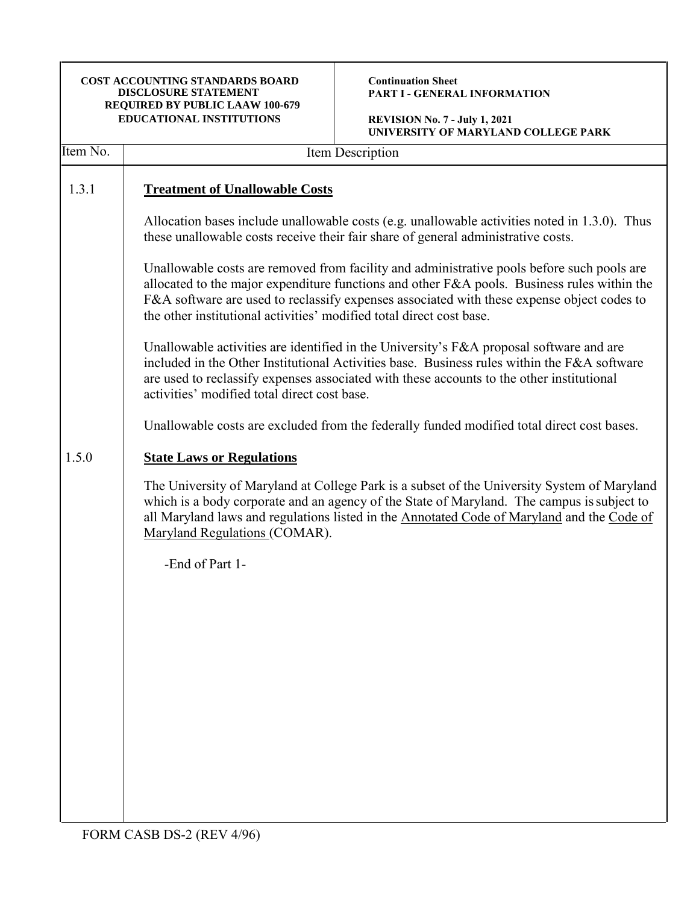**Continuation Sheet PART I - GENERAL INFORMATION**

| Item No. | Item Description                                                                                                                                                                                                                                                                                                                                                |  |  |
|----------|-----------------------------------------------------------------------------------------------------------------------------------------------------------------------------------------------------------------------------------------------------------------------------------------------------------------------------------------------------------------|--|--|
| 1.3.1    | <b>Treatment of Unallowable Costs</b>                                                                                                                                                                                                                                                                                                                           |  |  |
|          | Allocation bases include unallowable costs (e.g. unallowable activities noted in 1.3.0). Thus<br>these unallowable costs receive their fair share of general administrative costs.                                                                                                                                                                              |  |  |
|          | Unallowable costs are removed from facility and administrative pools before such pools are<br>allocated to the major expenditure functions and other F&A pools. Business rules within the<br>F&A software are used to reclassify expenses associated with these expense object codes to<br>the other institutional activities' modified total direct cost base. |  |  |
|          | Unallowable activities are identified in the University's F&A proposal software and are<br>included in the Other Institutional Activities base. Business rules within the F&A software<br>are used to reclassify expenses associated with these accounts to the other institutional<br>activities' modified total direct cost base.                             |  |  |
|          | Unallowable costs are excluded from the federally funded modified total direct cost bases.                                                                                                                                                                                                                                                                      |  |  |
| 1.5.0    | <b>State Laws or Regulations</b>                                                                                                                                                                                                                                                                                                                                |  |  |
|          | The University of Maryland at College Park is a subset of the University System of Maryland<br>which is a body corporate and an agency of the State of Maryland. The campus is subject to<br>all Maryland laws and regulations listed in the Annotated Code of Maryland and the Code of<br>Maryland Regulations (COMAR).                                        |  |  |
|          | -End of Part 1-                                                                                                                                                                                                                                                                                                                                                 |  |  |
|          |                                                                                                                                                                                                                                                                                                                                                                 |  |  |
|          |                                                                                                                                                                                                                                                                                                                                                                 |  |  |
|          |                                                                                                                                                                                                                                                                                                                                                                 |  |  |
|          |                                                                                                                                                                                                                                                                                                                                                                 |  |  |
|          |                                                                                                                                                                                                                                                                                                                                                                 |  |  |
|          |                                                                                                                                                                                                                                                                                                                                                                 |  |  |
|          |                                                                                                                                                                                                                                                                                                                                                                 |  |  |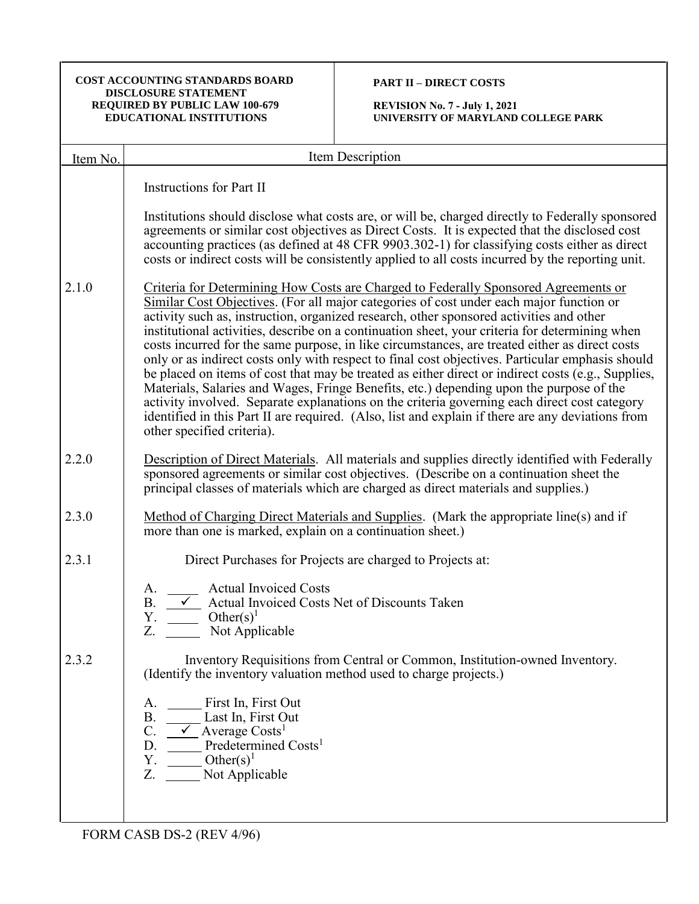# **PART II – DIRECT COSTS**

**REVISION No. 7 - July 1, 2021 UNIVERSITY OF MARYLAND COLLEGE PARK**

| Item No. | Item Description                                                                                                                                                                                                                                                                                                                                                                                                                                                                                                                                                                                                                                                                                                                                                                                                                                                                                                                                                                                                      |
|----------|-----------------------------------------------------------------------------------------------------------------------------------------------------------------------------------------------------------------------------------------------------------------------------------------------------------------------------------------------------------------------------------------------------------------------------------------------------------------------------------------------------------------------------------------------------------------------------------------------------------------------------------------------------------------------------------------------------------------------------------------------------------------------------------------------------------------------------------------------------------------------------------------------------------------------------------------------------------------------------------------------------------------------|
|          | <b>Instructions for Part II</b>                                                                                                                                                                                                                                                                                                                                                                                                                                                                                                                                                                                                                                                                                                                                                                                                                                                                                                                                                                                       |
|          | Institutions should disclose what costs are, or will be, charged directly to Federally sponsored<br>agreements or similar cost objectives as Direct Costs. It is expected that the disclosed cost<br>accounting practices (as defined at 48 CFR 9903.302-1) for classifying costs either as direct<br>costs or indirect costs will be consistently applied to all costs incurred by the reporting unit.                                                                                                                                                                                                                                                                                                                                                                                                                                                                                                                                                                                                               |
| 2.1.0    | Criteria for Determining How Costs are Charged to Federally Sponsored Agreements or<br>Similar Cost Objectives. (For all major categories of cost under each major function or<br>activity such as, instruction, organized research, other sponsored activities and other<br>institutional activities, describe on a continuation sheet, your criteria for determining when<br>costs incurred for the same purpose, in like circumstances, are treated either as direct costs<br>only or as indirect costs only with respect to final cost objectives. Particular emphasis should<br>be placed on items of cost that may be treated as either direct or indirect costs (e.g., Supplies,<br>Materials, Salaries and Wages, Fringe Benefits, etc.) depending upon the purpose of the<br>activity involved. Separate explanations on the criteria governing each direct cost category<br>identified in this Part II are required. (Also, list and explain if there are any deviations from<br>other specified criteria). |
| 2.2.0    | Description of Direct Materials. All materials and supplies directly identified with Federally<br>sponsored agreements or similar cost objectives. (Describe on a continuation sheet the<br>principal classes of materials which are charged as direct materials and supplies.)                                                                                                                                                                                                                                                                                                                                                                                                                                                                                                                                                                                                                                                                                                                                       |
| 2.3.0    | Method of Charging Direct Materials and Supplies. (Mark the appropriate line(s) and if<br>more than one is marked, explain on a continuation sheet.)                                                                                                                                                                                                                                                                                                                                                                                                                                                                                                                                                                                                                                                                                                                                                                                                                                                                  |
| 2.3.1    | Direct Purchases for Projects are charged to Projects at:                                                                                                                                                                                                                                                                                                                                                                                                                                                                                                                                                                                                                                                                                                                                                                                                                                                                                                                                                             |
|          | <b>Actual Invoiced Costs</b><br>A.<br>B. $\angle$ Actual Invoiced Costs Net of Discounts Taken<br>Y. $Other(s)^1$<br>Z.<br>Not Applicable                                                                                                                                                                                                                                                                                                                                                                                                                                                                                                                                                                                                                                                                                                                                                                                                                                                                             |
| 2.3.2    | Inventory Requisitions from Central or Common, Institution-owned Inventory.<br>(Identify the inventory valuation method used to charge projects.)                                                                                                                                                                                                                                                                                                                                                                                                                                                                                                                                                                                                                                                                                                                                                                                                                                                                     |
|          | First In, First Out<br>A.<br>B. Last In, First Out<br>C. $\checkmark$ Average Costs <sup>1</sup><br>$D.$ Predetermined Costs <sup>1</sup><br>$\frac{1}{\sqrt{1-\frac{1}{c}} \cdot \text{Other}(s)^1}$<br>Υ.<br>Z. Not Applicable                                                                                                                                                                                                                                                                                                                                                                                                                                                                                                                                                                                                                                                                                                                                                                                      |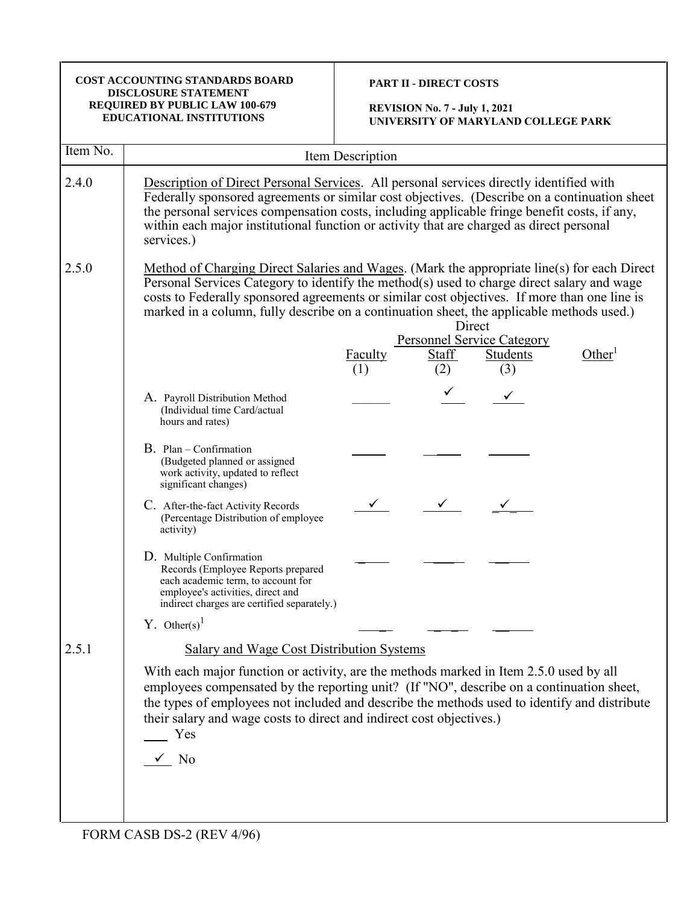| <b>COST ACCOUNTING STANDARDS BOARD</b><br><b>DISCLOSURE STATEMENT</b><br>REQUIRED BY PUBLIC LAW 100-679<br><b>EDUCATIONAL INSTITUTIONS</b> |                                                                                                                                                                                                                                                                                                                                                                                                                                       | <b>PART II - DIRECT COSTS</b><br><b>REVISION No. 7 - July 1, 2021</b><br>UNIVERSITY OF MARYLAND COLLEGE PARK                                                                                                                                                                                                                                                                        |  |  |  |
|--------------------------------------------------------------------------------------------------------------------------------------------|---------------------------------------------------------------------------------------------------------------------------------------------------------------------------------------------------------------------------------------------------------------------------------------------------------------------------------------------------------------------------------------------------------------------------------------|-------------------------------------------------------------------------------------------------------------------------------------------------------------------------------------------------------------------------------------------------------------------------------------------------------------------------------------------------------------------------------------|--|--|--|
| Item No.                                                                                                                                   |                                                                                                                                                                                                                                                                                                                                                                                                                                       | Item Description                                                                                                                                                                                                                                                                                                                                                                    |  |  |  |
| 2.4.0                                                                                                                                      | services.)                                                                                                                                                                                                                                                                                                                                                                                                                            | Description of Direct Personal Services. All personal services directly identified with<br>Federally sponsored agreements or similar cost objectives. (Describe on a continuation sheet<br>the personal services compensation costs, including applicable fringe benefit costs, if any,<br>within each major institutional function or activity that are charged as direct personal |  |  |  |
| 2.5.0                                                                                                                                      | Method of Charging Direct Salaries and Wages. (Mark the appropriate line(s) for each Direct<br>Personal Services Category to identify the method(s) used to charge direct salary and wage<br>costs to Federally sponsored agreements or similar cost objectives. If more than one line is<br>marked in a column, fully describe on a continuation sheet, the applicable methods used.)<br>Direct<br><b>Personnel Service Category</b> |                                                                                                                                                                                                                                                                                                                                                                                     |  |  |  |
|                                                                                                                                            |                                                                                                                                                                                                                                                                                                                                                                                                                                       | Other <sup>1</sup><br>Students<br>Faculty<br>Staff<br>(2)<br>(3)<br>(1)                                                                                                                                                                                                                                                                                                             |  |  |  |
|                                                                                                                                            | A. Payroll Distribution Method<br>(Individual time Card/actual<br>hours and rates)                                                                                                                                                                                                                                                                                                                                                    |                                                                                                                                                                                                                                                                                                                                                                                     |  |  |  |
|                                                                                                                                            | B. Plan - Confirmation<br>(Budgeted planned or assigned<br>work activity, updated to reflect<br>significant changes)                                                                                                                                                                                                                                                                                                                  |                                                                                                                                                                                                                                                                                                                                                                                     |  |  |  |
|                                                                                                                                            | C. After-the-fact Activity Records<br>(Percentage Distribution of employee<br>activity)                                                                                                                                                                                                                                                                                                                                               |                                                                                                                                                                                                                                                                                                                                                                                     |  |  |  |
|                                                                                                                                            | D. Multiple Confirmation<br>Records (Employee Reports prepared<br>each academic term, to account for<br>employee's activities, direct and<br>indirect charges are certified separately.)                                                                                                                                                                                                                                              |                                                                                                                                                                                                                                                                                                                                                                                     |  |  |  |
|                                                                                                                                            | Y. Other(s) <sup>1</sup>                                                                                                                                                                                                                                                                                                                                                                                                              |                                                                                                                                                                                                                                                                                                                                                                                     |  |  |  |
| 2.5.1                                                                                                                                      | Salary and Wage Cost Distribution Systems                                                                                                                                                                                                                                                                                                                                                                                             |                                                                                                                                                                                                                                                                                                                                                                                     |  |  |  |
|                                                                                                                                            | their salary and wage costs to direct and indirect cost objectives.)<br>Yes<br>$\sqrt{N_0}$                                                                                                                                                                                                                                                                                                                                           | With each major function or activity, are the methods marked in Item 2.5.0 used by all<br>employees compensated by the reporting unit? (If "NO", describe on a continuation sheet,<br>the types of employees not included and describe the methods used to identify and distribute                                                                                                  |  |  |  |
|                                                                                                                                            | FORM CASB DS-2 (REV 4/96)                                                                                                                                                                                                                                                                                                                                                                                                             |                                                                                                                                                                                                                                                                                                                                                                                     |  |  |  |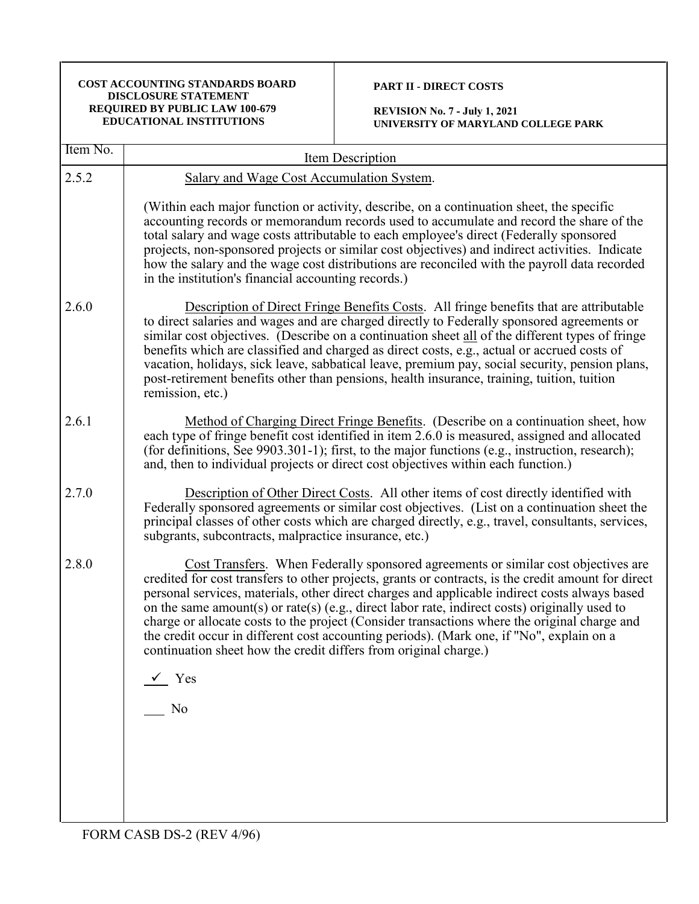#### **PART II - DIRECT COSTS**

| Item No. |                                                                                                                                                                                                                                                                                                                                                                                                                                                                                                                                                                                                                                                                                       |  |  |
|----------|---------------------------------------------------------------------------------------------------------------------------------------------------------------------------------------------------------------------------------------------------------------------------------------------------------------------------------------------------------------------------------------------------------------------------------------------------------------------------------------------------------------------------------------------------------------------------------------------------------------------------------------------------------------------------------------|--|--|
|          | Item Description                                                                                                                                                                                                                                                                                                                                                                                                                                                                                                                                                                                                                                                                      |  |  |
| 2.5.2    | Salary and Wage Cost Accumulation System.                                                                                                                                                                                                                                                                                                                                                                                                                                                                                                                                                                                                                                             |  |  |
|          | (Within each major function or activity, describe, on a continuation sheet, the specific<br>accounting records or memorandum records used to accumulate and record the share of the<br>total salary and wage costs attributable to each employee's direct (Federally sponsored<br>projects, non-sponsored projects or similar cost objectives) and indirect activities. Indicate<br>how the salary and the wage cost distributions are reconciled with the payroll data recorded<br>in the institution's financial accounting records.)                                                                                                                                               |  |  |
| 2.6.0    | Description of Direct Fringe Benefits Costs. All fringe benefits that are attributable<br>to direct salaries and wages and are charged directly to Federally sponsored agreements or<br>similar cost objectives. (Describe on a continuation sheet all of the different types of fringe<br>benefits which are classified and charged as direct costs, e.g., actual or accrued costs of<br>vacation, holidays, sick leave, sabbatical leave, premium pay, social security, pension plans,<br>post-retirement benefits other than pensions, health insurance, training, tuition, tuition<br>remission, etc.)                                                                            |  |  |
| 2.6.1    | Method of Charging Direct Fringe Benefits. (Describe on a continuation sheet, how<br>each type of fringe benefit cost identified in item 2.6.0 is measured, assigned and allocated<br>(for definitions, See 9903.301-1); first, to the major functions (e.g., instruction, research);<br>and, then to individual projects or direct cost objectives within each function.)                                                                                                                                                                                                                                                                                                            |  |  |
| 2.7.0    | Description of Other Direct Costs. All other items of cost directly identified with<br>Federally sponsored agreements or similar cost objectives. (List on a continuation sheet the<br>principal classes of other costs which are charged directly, e.g., travel, consultants, services,<br>subgrants, subcontracts, malpractice insurance, etc.)                                                                                                                                                                                                                                                                                                                                     |  |  |
| 2.8.0    | Cost Transfers. When Federally sponsored agreements or similar cost objectives are<br>credited for cost transfers to other projects, grants or contracts, is the credit amount for direct<br>personal services, materials, other direct charges and applicable indirect costs always based<br>on the same amount(s) or rate(s) (e.g., direct labor rate, indirect costs) originally used to<br>charge or allocate costs to the project (Consider transactions where the original charge and<br>the credit occur in different cost accounting periods). (Mark one, if "No", explain on a<br>continuation sheet how the credit differs from original charge.)<br>$\checkmark$ Yes<br>No |  |  |
|          |                                                                                                                                                                                                                                                                                                                                                                                                                                                                                                                                                                                                                                                                                       |  |  |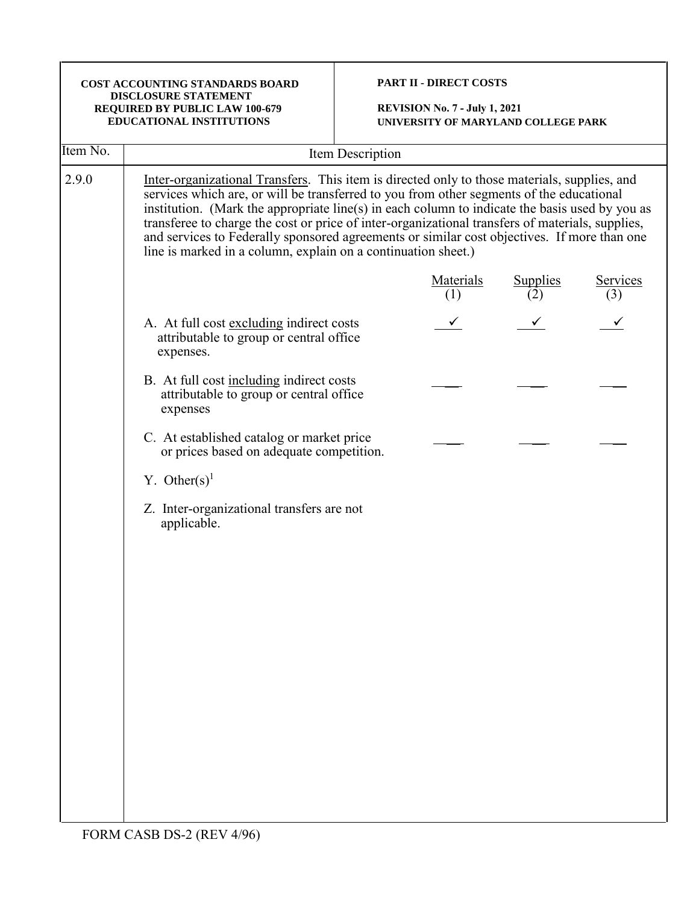# **PART II - DIRECT COSTS**

| Item No. | Item Description                                                                                                                                                                                                                                                                                                                                                                                                                                                                                                                                               |                  |                        |                 |
|----------|----------------------------------------------------------------------------------------------------------------------------------------------------------------------------------------------------------------------------------------------------------------------------------------------------------------------------------------------------------------------------------------------------------------------------------------------------------------------------------------------------------------------------------------------------------------|------------------|------------------------|-----------------|
| 2.9.0    | Inter-organizational Transfers. This item is directed only to those materials, supplies, and<br>services which are, or will be transferred to you from other segments of the educational<br>institution. (Mark the appropriate line(s) in each column to indicate the basis used by you as<br>transferee to charge the cost or price of inter-organizational transfers of materials, supplies,<br>and services to Federally sponsored agreements or similar cost objectives. If more than one<br>line is marked in a column, explain on a continuation sheet.) |                  |                        |                 |
|          |                                                                                                                                                                                                                                                                                                                                                                                                                                                                                                                                                                | Materials<br>(1) | <b>Supplies</b><br>(2) | Services<br>(3) |
|          | A. At full cost excluding indirect costs<br>attributable to group or central office<br>expenses.                                                                                                                                                                                                                                                                                                                                                                                                                                                               |                  |                        |                 |
|          | B. At full cost including indirect costs<br>attributable to group or central office<br>expenses                                                                                                                                                                                                                                                                                                                                                                                                                                                                |                  |                        |                 |
|          | C. At established catalog or market price<br>or prices based on adequate competition.                                                                                                                                                                                                                                                                                                                                                                                                                                                                          |                  |                        |                 |
|          | Y. Other(s) <sup>1</sup>                                                                                                                                                                                                                                                                                                                                                                                                                                                                                                                                       |                  |                        |                 |
|          | Z. Inter-organizational transfers are not<br>applicable.                                                                                                                                                                                                                                                                                                                                                                                                                                                                                                       |                  |                        |                 |
|          |                                                                                                                                                                                                                                                                                                                                                                                                                                                                                                                                                                |                  |                        |                 |
|          |                                                                                                                                                                                                                                                                                                                                                                                                                                                                                                                                                                |                  |                        |                 |
|          |                                                                                                                                                                                                                                                                                                                                                                                                                                                                                                                                                                |                  |                        |                 |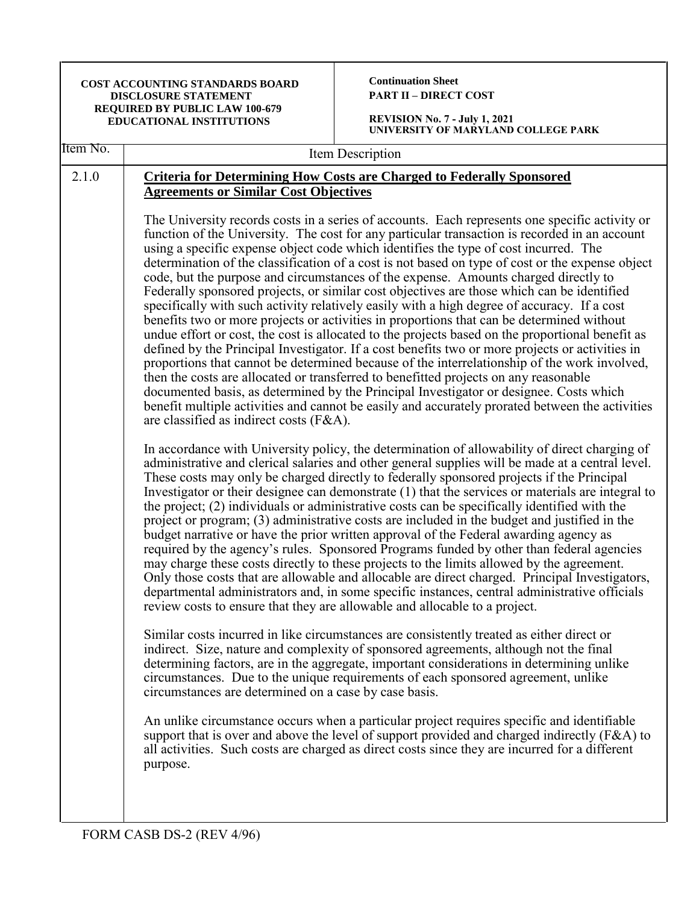| COST ACCOUNTING STANDARDS BOARD<br>DISCLOSURE STATEMENT<br>REQUIRED BY PUBLIC LAW 100-679<br><b>EDUCATIONAL INSTITUTIONS</b> |                                                                                         | <b>Continuation Sheet</b><br><b>PART II - DIRECT COST</b><br><b>REVISION No. 7 - July 1, 2021</b><br>UNIVERSITY OF MARYLAND COLLEGE PARK                                                                                                                                                                                                                                                                                                                                                                                                                                                                                                                                                                                                                                                                                                                                                                                                                                                                                                                                                                                                                                                                                                                                                                                                                                                                                                                                                                                                                                                                                                                                                                                                                                                                                                                                                                                                                                                                                                                                                                                                                                                                                                                                                                                                                                                                                                                                                                                                                                                                                           |  |
|------------------------------------------------------------------------------------------------------------------------------|-----------------------------------------------------------------------------------------|------------------------------------------------------------------------------------------------------------------------------------------------------------------------------------------------------------------------------------------------------------------------------------------------------------------------------------------------------------------------------------------------------------------------------------------------------------------------------------------------------------------------------------------------------------------------------------------------------------------------------------------------------------------------------------------------------------------------------------------------------------------------------------------------------------------------------------------------------------------------------------------------------------------------------------------------------------------------------------------------------------------------------------------------------------------------------------------------------------------------------------------------------------------------------------------------------------------------------------------------------------------------------------------------------------------------------------------------------------------------------------------------------------------------------------------------------------------------------------------------------------------------------------------------------------------------------------------------------------------------------------------------------------------------------------------------------------------------------------------------------------------------------------------------------------------------------------------------------------------------------------------------------------------------------------------------------------------------------------------------------------------------------------------------------------------------------------------------------------------------------------------------------------------------------------------------------------------------------------------------------------------------------------------------------------------------------------------------------------------------------------------------------------------------------------------------------------------------------------------------------------------------------------------------------------------------------------------------------------------------------------|--|
| Item No.                                                                                                                     | Item Description                                                                        |                                                                                                                                                                                                                                                                                                                                                                                                                                                                                                                                                                                                                                                                                                                                                                                                                                                                                                                                                                                                                                                                                                                                                                                                                                                                                                                                                                                                                                                                                                                                                                                                                                                                                                                                                                                                                                                                                                                                                                                                                                                                                                                                                                                                                                                                                                                                                                                                                                                                                                                                                                                                                                    |  |
| 2.1.0                                                                                                                        | <b>Agreements or Similar Cost Objectives</b><br>are classified as indirect costs (F&A). | <b>Criteria for Determining How Costs are Charged to Federally Sponsored</b><br>The University records costs in a series of accounts. Each represents one specific activity or<br>function of the University. The cost for any particular transaction is recorded in an account<br>using a specific expense object code which identifies the type of cost incurred. The<br>determination of the classification of a cost is not based on type of cost or the expense object<br>code, but the purpose and circumstances of the expense. Amounts charged directly to<br>Federally sponsored projects, or similar cost objectives are those which can be identified<br>specifically with such activity relatively easily with a high degree of accuracy. If a cost<br>benefits two or more projects or activities in proportions that can be determined without<br>undue effort or cost, the cost is allocated to the projects based on the proportional benefit as<br>defined by the Principal Investigator. If a cost benefits two or more projects or activities in<br>proportions that cannot be determined because of the interrelationship of the work involved,<br>then the costs are allocated or transferred to benefitted projects on any reasonable<br>documented basis, as determined by the Principal Investigator or designee. Costs which<br>benefit multiple activities and cannot be easily and accurately prorated between the activities<br>In accordance with University policy, the determination of allowability of direct charging of<br>administrative and clerical salaries and other general supplies will be made at a central level.<br>These costs may only be charged directly to federally sponsored projects if the Principal<br>Investigator or their designee can demonstrate (1) that the services or materials are integral to<br>the project; (2) individuals or administrative costs can be specifically identified with the<br>project or program; (3) administrative costs are included in the budget and justified in the<br>budget narrative or have the prior written approval of the Federal awarding agency as<br>required by the agency's rules. Sponsored Programs funded by other than federal agencies<br>may charge these costs directly to these projects to the limits allowed by the agreement.<br>Only those costs that are allowable and allocable are direct charged. Principal Investigators,<br>departmental administrators and, in some specific instances, central administrative officials<br>review costs to ensure that they are allowable and allocable to a project. |  |
|                                                                                                                              | circumstances are determined on a case by case basis.<br>purpose.                       | Similar costs incurred in like circumstances are consistently treated as either direct or<br>indirect. Size, nature and complexity of sponsored agreements, although not the final<br>determining factors, are in the aggregate, important considerations in determining unlike<br>circumstances. Due to the unique requirements of each sponsored agreement, unlike<br>An unlike circumstance occurs when a particular project requires specific and identifiable<br>support that is over and above the level of support provided and charged indirectly ( $F&A$ ) to<br>all activities. Such costs are charged as direct costs since they are incurred for a different                                                                                                                                                                                                                                                                                                                                                                                                                                                                                                                                                                                                                                                                                                                                                                                                                                                                                                                                                                                                                                                                                                                                                                                                                                                                                                                                                                                                                                                                                                                                                                                                                                                                                                                                                                                                                                                                                                                                                           |  |
|                                                                                                                              |                                                                                         |                                                                                                                                                                                                                                                                                                                                                                                                                                                                                                                                                                                                                                                                                                                                                                                                                                                                                                                                                                                                                                                                                                                                                                                                                                                                                                                                                                                                                                                                                                                                                                                                                                                                                                                                                                                                                                                                                                                                                                                                                                                                                                                                                                                                                                                                                                                                                                                                                                                                                                                                                                                                                                    |  |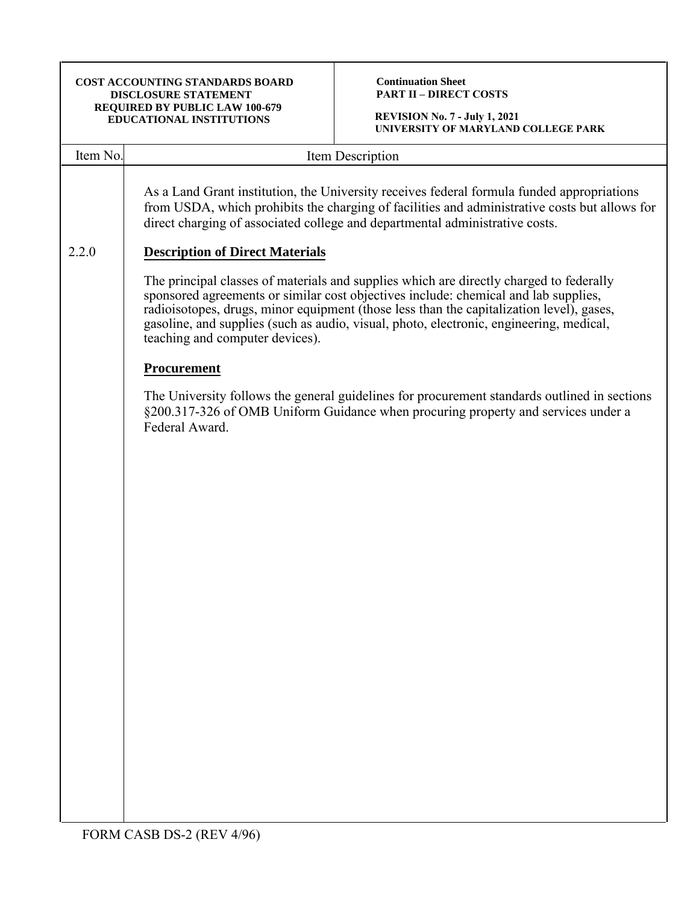**Continuation Sheet PART II – DIRECT COSTS**

| Item No. | Item Description                                                                                                                                                                                                                                                                                                                                                                                         |  |  |
|----------|----------------------------------------------------------------------------------------------------------------------------------------------------------------------------------------------------------------------------------------------------------------------------------------------------------------------------------------------------------------------------------------------------------|--|--|
|          | As a Land Grant institution, the University receives federal formula funded appropriations<br>from USDA, which prohibits the charging of facilities and administrative costs but allows for<br>direct charging of associated college and departmental administrative costs.                                                                                                                              |  |  |
| 2.2.0    | <b>Description of Direct Materials</b>                                                                                                                                                                                                                                                                                                                                                                   |  |  |
|          | The principal classes of materials and supplies which are directly charged to federally<br>sponsored agreements or similar cost objectives include: chemical and lab supplies,<br>radioisotopes, drugs, minor equipment (those less than the capitalization level), gases,<br>gasoline, and supplies (such as audio, visual, photo, electronic, engineering, medical,<br>teaching and computer devices). |  |  |
|          | Procurement                                                                                                                                                                                                                                                                                                                                                                                              |  |  |
|          | The University follows the general guidelines for procurement standards outlined in sections<br>§200.317-326 of OMB Uniform Guidance when procuring property and services under a<br>Federal Award.                                                                                                                                                                                                      |  |  |
|          |                                                                                                                                                                                                                                                                                                                                                                                                          |  |  |
|          |                                                                                                                                                                                                                                                                                                                                                                                                          |  |  |
|          |                                                                                                                                                                                                                                                                                                                                                                                                          |  |  |
|          |                                                                                                                                                                                                                                                                                                                                                                                                          |  |  |
|          |                                                                                                                                                                                                                                                                                                                                                                                                          |  |  |
|          |                                                                                                                                                                                                                                                                                                                                                                                                          |  |  |
|          |                                                                                                                                                                                                                                                                                                                                                                                                          |  |  |
|          |                                                                                                                                                                                                                                                                                                                                                                                                          |  |  |
|          |                                                                                                                                                                                                                                                                                                                                                                                                          |  |  |
|          |                                                                                                                                                                                                                                                                                                                                                                                                          |  |  |
|          |                                                                                                                                                                                                                                                                                                                                                                                                          |  |  |
|          |                                                                                                                                                                                                                                                                                                                                                                                                          |  |  |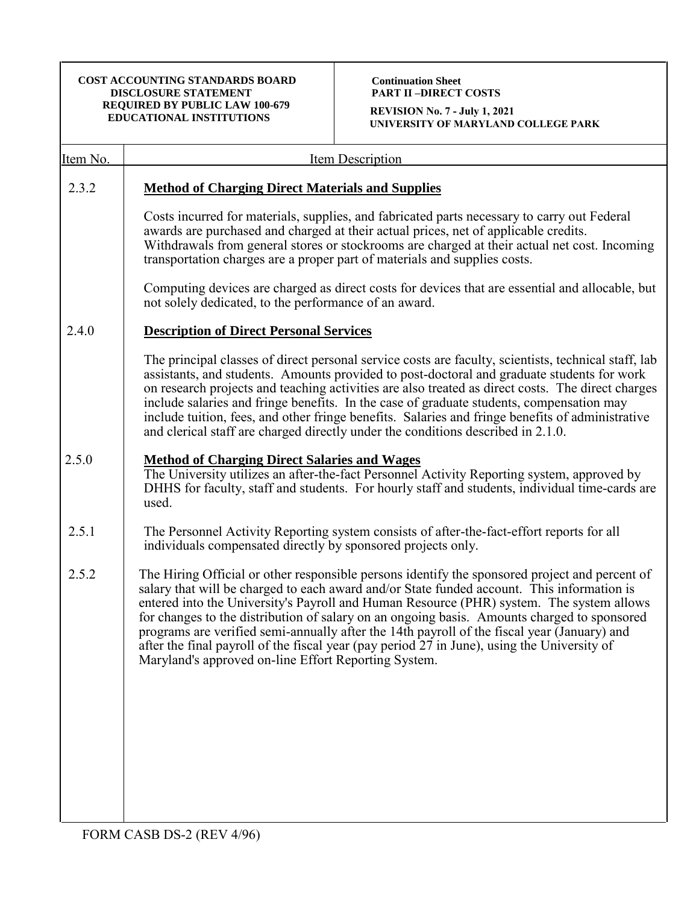**Continuation Sheet PART II –DIRECT COSTS**

**REVISION No. 7 - July 1, 2021 UNIVERSITY OF MARYLAND COLLEGE PARK**

| <u>Item No.</u> | <b>Item Description</b>                                                                                                                                                                                                                                                                                                                                                                                                                                                                                                                                                                                                                       |
|-----------------|-----------------------------------------------------------------------------------------------------------------------------------------------------------------------------------------------------------------------------------------------------------------------------------------------------------------------------------------------------------------------------------------------------------------------------------------------------------------------------------------------------------------------------------------------------------------------------------------------------------------------------------------------|
| 2.3.2           | <b>Method of Charging Direct Materials and Supplies</b>                                                                                                                                                                                                                                                                                                                                                                                                                                                                                                                                                                                       |
|                 | Costs incurred for materials, supplies, and fabricated parts necessary to carry out Federal<br>awards are purchased and charged at their actual prices, net of applicable credits.<br>Withdrawals from general stores or stockrooms are charged at their actual net cost. Incoming<br>transportation charges are a proper part of materials and supplies costs.                                                                                                                                                                                                                                                                               |
|                 | Computing devices are charged as direct costs for devices that are essential and allocable, but<br>not solely dedicated, to the performance of an award.                                                                                                                                                                                                                                                                                                                                                                                                                                                                                      |
| 2.4.0           | <b>Description of Direct Personal Services</b>                                                                                                                                                                                                                                                                                                                                                                                                                                                                                                                                                                                                |
|                 | The principal classes of direct personal service costs are faculty, scientists, technical staff, lab<br>assistants, and students. Amounts provided to post-doctoral and graduate students for work<br>on research projects and teaching activities are also treated as direct costs. The direct charges<br>include salaries and fringe benefits. In the case of graduate students, compensation may<br>include tuition, fees, and other fringe benefits. Salaries and fringe benefits of administrative<br>and clerical staff are charged directly under the conditions described in 2.1.0.                                                   |
| 2.5.0           | <b>Method of Charging Direct Salaries and Wages</b><br>The University utilizes an after-the-fact Personnel Activity Reporting system, approved by<br>DHHS for faculty, staff and students. For hourly staff and students, individual time-cards are<br>used.                                                                                                                                                                                                                                                                                                                                                                                  |
| 2.5.1           | The Personnel Activity Reporting system consists of after-the-fact-effort reports for all<br>individuals compensated directly by sponsored projects only.                                                                                                                                                                                                                                                                                                                                                                                                                                                                                     |
| 2.5.2           | The Hiring Official or other responsible persons identify the sponsored project and percent of<br>salary that will be charged to each award and/or State funded account. This information is<br>entered into the University's Payroll and Human Resource (PHR) system. The system allows<br>for changes to the distribution of salary on an ongoing basis. Amounts charged to sponsored<br>programs are verified semi-annually after the 14th payroll of the fiscal year (January) and<br>after the final payroll of the fiscal year (pay period 27 in June), using the University of<br>Maryland's approved on-line Effort Reporting System. |
|                 |                                                                                                                                                                                                                                                                                                                                                                                                                                                                                                                                                                                                                                               |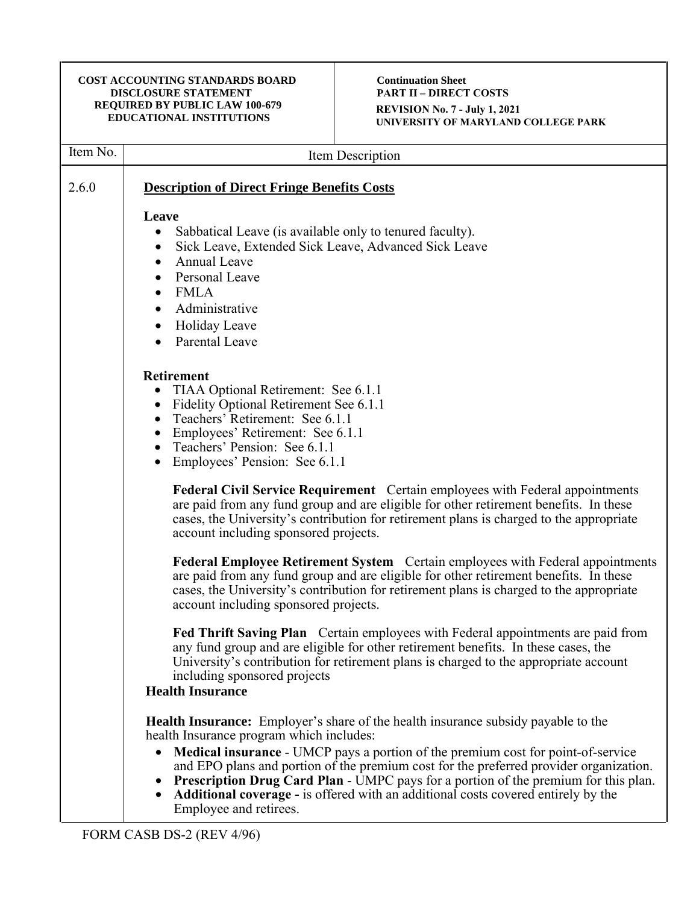#### **Continuation Sheet PART II – DIRECT COSTS REVISION No. 7 - July 1, 2021 UNIVERSITY OF MARYLAND COLLEGE PARK**

| Item No. | Item Description                                                                                                                                                                                                                                                                                                                                                                                                                                                                                                                             |
|----------|----------------------------------------------------------------------------------------------------------------------------------------------------------------------------------------------------------------------------------------------------------------------------------------------------------------------------------------------------------------------------------------------------------------------------------------------------------------------------------------------------------------------------------------------|
| 2.6.0    | <b>Description of Direct Fringe Benefits Costs</b>                                                                                                                                                                                                                                                                                                                                                                                                                                                                                           |
|          | Leave<br>Sabbatical Leave (is available only to tenured faculty).<br>$\bullet$<br>Sick Leave, Extended Sick Leave, Advanced Sick Leave<br>٠<br>Annual Leave<br>$\bullet$<br>Personal Leave<br><b>FMLA</b><br>$\bullet$<br>Administrative<br>Holiday Leave<br>Parental Leave                                                                                                                                                                                                                                                                  |
|          | <b>Retirement</b><br>TIAA Optional Retirement: See 6.1.1<br>Fidelity Optional Retirement See 6.1.1<br>$\bullet$<br>Teachers' Retirement: See 6.1.1<br>Employees' Retirement: See 6.1.1<br>Teachers' Pension: See 6.1.1<br>Employees' Pension: See 6.1.1                                                                                                                                                                                                                                                                                      |
|          | <b>Federal Civil Service Requirement</b> Certain employees with Federal appointments<br>are paid from any fund group and are eligible for other retirement benefits. In these<br>cases, the University's contribution for retirement plans is charged to the appropriate<br>account including sponsored projects.                                                                                                                                                                                                                            |
|          | <b>Federal Employee Retirement System</b> Certain employees with Federal appointments<br>are paid from any fund group and are eligible for other retirement benefits. In these<br>cases, the University's contribution for retirement plans is charged to the appropriate<br>account including sponsored projects.                                                                                                                                                                                                                           |
|          | <b>Fed Thrift Saving Plan</b> Certain employees with Federal appointments are paid from<br>any fund group and are eligible for other retirement benefits. In these cases, the<br>University's contribution for retirement plans is charged to the appropriate account<br>including sponsored projects<br><b>Health Insurance</b>                                                                                                                                                                                                             |
|          | <b>Health Insurance:</b> Employer's share of the health insurance subsidy payable to the<br>health Insurance program which includes:<br>Medical insurance - UMCP pays a portion of the premium cost for point-of-service<br>$\bullet$<br>and EPO plans and portion of the premium cost for the preferred provider organization.<br>Prescription Drug Card Plan - UMPC pays for a portion of the premium for this plan.<br><b>Additional coverage - is offered with an additional costs covered entirely by the</b><br>Employee and retirees. |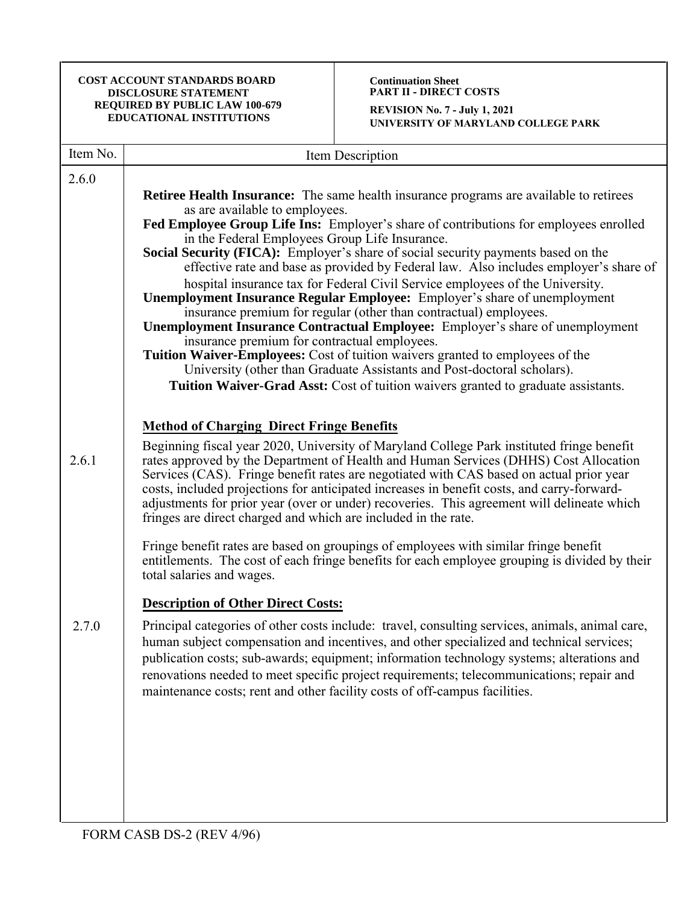#### **Continuation Sheet PART II - DIRECT COSTS**

| Item No. | Item Description                                                                                                                                                                                                                                                                                                                                                                                                                                                   |
|----------|--------------------------------------------------------------------------------------------------------------------------------------------------------------------------------------------------------------------------------------------------------------------------------------------------------------------------------------------------------------------------------------------------------------------------------------------------------------------|
| 2.6.0    |                                                                                                                                                                                                                                                                                                                                                                                                                                                                    |
|          | <b>Retiree Health Insurance:</b> The same health insurance programs are available to retirees                                                                                                                                                                                                                                                                                                                                                                      |
|          | as are available to employees.<br>Fed Employee Group Life Ins: Employer's share of contributions for employees enrolled                                                                                                                                                                                                                                                                                                                                            |
|          | in the Federal Employees Group Life Insurance.                                                                                                                                                                                                                                                                                                                                                                                                                     |
|          | Social Security (FICA): Employer's share of social security payments based on the<br>effective rate and base as provided by Federal law. Also includes employer's share of                                                                                                                                                                                                                                                                                         |
|          | hospital insurance tax for Federal Civil Service employees of the University.                                                                                                                                                                                                                                                                                                                                                                                      |
|          | <b>Unemployment Insurance Regular Employee:</b> Employer's share of unemployment<br>insurance premium for regular (other than contractual) employees.                                                                                                                                                                                                                                                                                                              |
|          | <b>Unemployment Insurance Contractual Employee:</b> Employer's share of unemployment                                                                                                                                                                                                                                                                                                                                                                               |
|          | insurance premium for contractual employees.<br>Tuition Waiver-Employees: Cost of tuition waivers granted to employees of the                                                                                                                                                                                                                                                                                                                                      |
|          | University (other than Graduate Assistants and Post-doctoral scholars).                                                                                                                                                                                                                                                                                                                                                                                            |
|          | Tuition Waiver-Grad Asst: Cost of tuition waivers granted to graduate assistants.                                                                                                                                                                                                                                                                                                                                                                                  |
|          |                                                                                                                                                                                                                                                                                                                                                                                                                                                                    |
|          | <b>Method of Charging Direct Fringe Benefits</b>                                                                                                                                                                                                                                                                                                                                                                                                                   |
| 2.6.1    | Beginning fiscal year 2020, University of Maryland College Park instituted fringe benefit<br>rates approved by the Department of Health and Human Services (DHHS) Cost Allocation<br>Services (CAS). Fringe benefit rates are negotiated with CAS based on actual prior year                                                                                                                                                                                       |
|          | costs, included projections for anticipated increases in benefit costs, and carry-forward-<br>adjustments for prior year (over or under) recoveries. This agreement will delineate which<br>fringes are direct charged and which are included in the rate.                                                                                                                                                                                                         |
|          | Fringe benefit rates are based on groupings of employees with similar fringe benefit<br>entitlements. The cost of each fringe benefits for each employee grouping is divided by their<br>total salaries and wages.                                                                                                                                                                                                                                                 |
|          | <b>Description of Other Direct Costs:</b>                                                                                                                                                                                                                                                                                                                                                                                                                          |
| 2.7.0    | Principal categories of other costs include: travel, consulting services, animals, animal care,<br>human subject compensation and incentives, and other specialized and technical services;<br>publication costs; sub-awards; equipment; information technology systems; alterations and<br>renovations needed to meet specific project requirements; telecommunications; repair and<br>maintenance costs; rent and other facility costs of off-campus facilities. |
|          |                                                                                                                                                                                                                                                                                                                                                                                                                                                                    |
|          |                                                                                                                                                                                                                                                                                                                                                                                                                                                                    |
|          |                                                                                                                                                                                                                                                                                                                                                                                                                                                                    |
|          |                                                                                                                                                                                                                                                                                                                                                                                                                                                                    |
|          |                                                                                                                                                                                                                                                                                                                                                                                                                                                                    |
|          |                                                                                                                                                                                                                                                                                                                                                                                                                                                                    |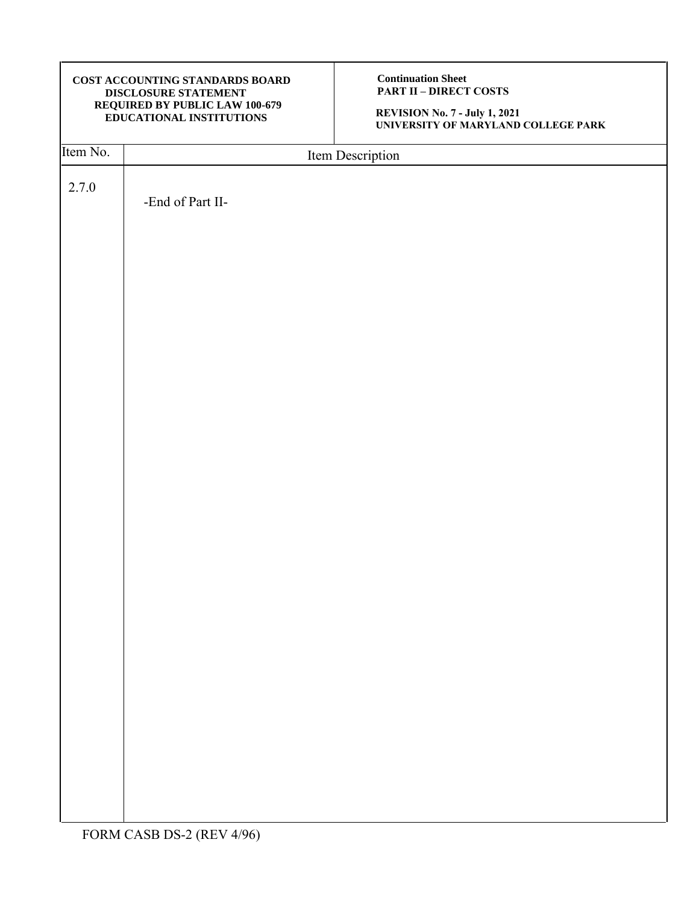**Continuation Sheet PART II – DIRECT COSTS**

| Item No. | Item Description |
|----------|------------------|
|          |                  |
| 2.7.0    |                  |
|          | -End of Part II- |
|          |                  |
|          |                  |
|          |                  |
|          |                  |
|          |                  |
|          |                  |
|          |                  |
|          |                  |
|          |                  |
|          |                  |
|          |                  |
|          |                  |
|          |                  |
|          |                  |
|          |                  |
|          |                  |
|          |                  |
|          |                  |
|          |                  |
|          |                  |
|          |                  |
|          |                  |
|          |                  |
|          |                  |
|          |                  |
|          |                  |
|          |                  |
|          |                  |
|          |                  |
|          |                  |
|          |                  |
|          |                  |
|          |                  |
|          |                  |
|          |                  |
|          |                  |
|          |                  |
|          |                  |
|          |                  |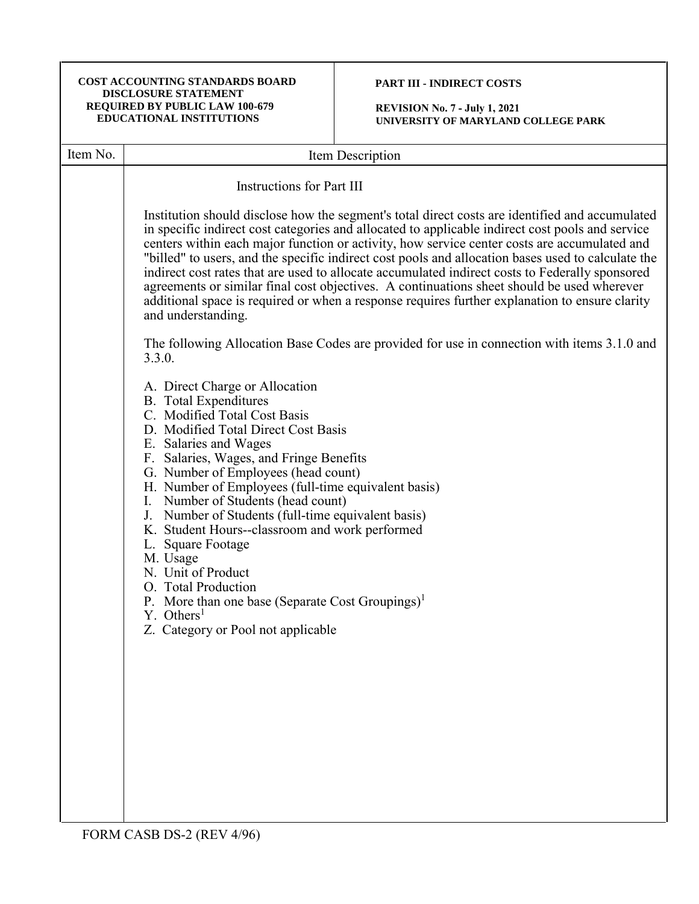# **PART III - INDIRECT COSTS**

**REVISION No. 7 - July 1, 2021 UNIVERSITY OF MARYLAND COLLEGE PARK**

| Item No. | Item Description                                                                                                                                                                                                                                                                                                                                                                                                                                                                                                                                                                                                                                                                                                                   |
|----------|------------------------------------------------------------------------------------------------------------------------------------------------------------------------------------------------------------------------------------------------------------------------------------------------------------------------------------------------------------------------------------------------------------------------------------------------------------------------------------------------------------------------------------------------------------------------------------------------------------------------------------------------------------------------------------------------------------------------------------|
|          | <b>Instructions for Part III</b>                                                                                                                                                                                                                                                                                                                                                                                                                                                                                                                                                                                                                                                                                                   |
|          | Institution should disclose how the segment's total direct costs are identified and accumulated<br>in specific indirect cost categories and allocated to applicable indirect cost pools and service<br>centers within each major function or activity, how service center costs are accumulated and<br>"billed" to users, and the specific indirect cost pools and allocation bases used to calculate the<br>indirect cost rates that are used to allocate accumulated indirect costs to Federally sponsored<br>agreements or similar final cost objectives. A continuations sheet should be used wherever<br>additional space is required or when a response requires further explanation to ensure clarity<br>and understanding. |
|          | The following Allocation Base Codes are provided for use in connection with items 3.1.0 and<br>3.3.0.                                                                                                                                                                                                                                                                                                                                                                                                                                                                                                                                                                                                                              |
|          | A. Direct Charge or Allocation<br><b>B.</b> Total Expenditures<br>C. Modified Total Cost Basis<br>D. Modified Total Direct Cost Basis<br>E. Salaries and Wages<br>F. Salaries, Wages, and Fringe Benefits<br>G. Number of Employees (head count)<br>H. Number of Employees (full-time equivalent basis)<br>I. Number of Students (head count)<br>J. Number of Students (full-time equivalent basis)<br>K. Student Hours--classroom and work performed<br>L. Square Footage<br>M. Usage<br>N. Unit of Product<br>O. Total Production<br>P. More than one base (Separate Cost Groupings) <sup>1</sup><br>$Y.$ Others <sup>1</sup><br>Z. Category or Pool not applicable                                                              |
|          |                                                                                                                                                                                                                                                                                                                                                                                                                                                                                                                                                                                                                                                                                                                                    |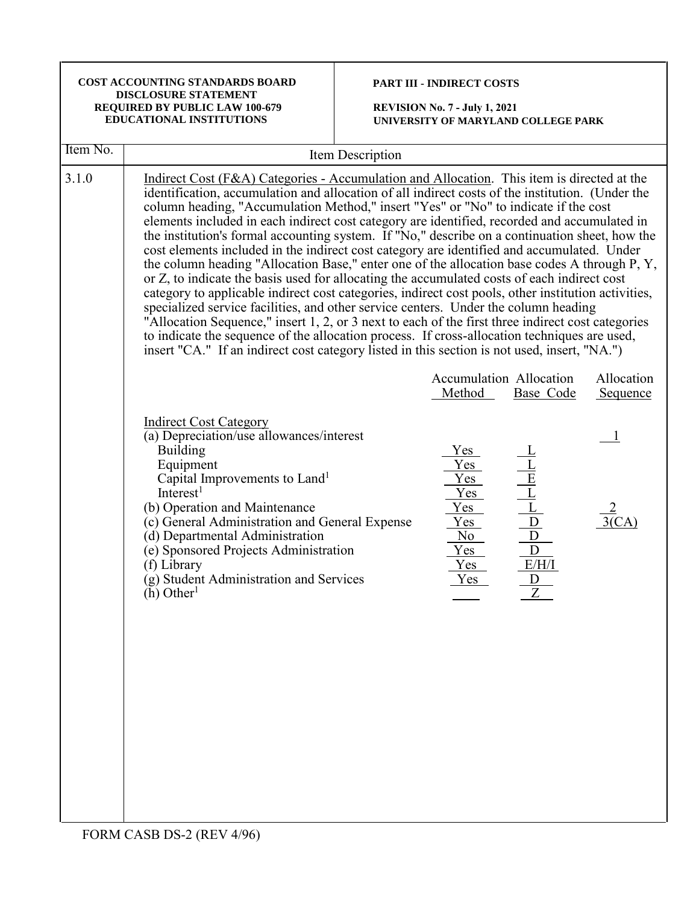| COST ACCOUNTING STANDARDS BOARD       |
|---------------------------------------|
| <b>DISCLOSURE STATEMENT</b>           |
| <b>REQUIRED BY PUBLIC LAW 100-679</b> |
| <b>EDUCATIONAL INSTITUTIONS</b>       |

# **PART III - INDIRECT COSTS**

| Item No. | Item Description                                                                                                                                                                                                                                                                                                                                                                                                                                                                                                                                                                                                                                                                                                                                                                                                                                                                                                                                                                                                                                                                                                                                                                                                                                                                        |                                                                                               |                                                                                                                                                                                                                             |                        |
|----------|-----------------------------------------------------------------------------------------------------------------------------------------------------------------------------------------------------------------------------------------------------------------------------------------------------------------------------------------------------------------------------------------------------------------------------------------------------------------------------------------------------------------------------------------------------------------------------------------------------------------------------------------------------------------------------------------------------------------------------------------------------------------------------------------------------------------------------------------------------------------------------------------------------------------------------------------------------------------------------------------------------------------------------------------------------------------------------------------------------------------------------------------------------------------------------------------------------------------------------------------------------------------------------------------|-----------------------------------------------------------------------------------------------|-----------------------------------------------------------------------------------------------------------------------------------------------------------------------------------------------------------------------------|------------------------|
| 3.1.0    | Indirect Cost (F&A) Categories - Accumulation and Allocation. This item is directed at the<br>identification, accumulation and allocation of all indirect costs of the institution. (Under the<br>column heading, "Accumulation Method," insert "Yes" or "No" to indicate if the cost<br>elements included in each indirect cost category are identified, recorded and accumulated in<br>the institution's formal accounting system. If "No," describe on a continuation sheet, how the<br>cost elements included in the indirect cost category are identified and accumulated. Under<br>the column heading "Allocation Base," enter one of the allocation base codes A through P, Y,<br>or Z, to indicate the basis used for allocating the accumulated costs of each indirect cost<br>category to applicable indirect cost categories, indirect cost pools, other institution activities,<br>specialized service facilities, and other service centers. Under the column heading<br>"Allocation Sequence," insert 1, 2, or 3 next to each of the first three indirect cost categories<br>to indicate the sequence of the allocation process. If cross-allocation techniques are used,<br>insert "CA." If an indirect cost category listed in this section is not used, insert, "NA.") |                                                                                               |                                                                                                                                                                                                                             |                        |
|          |                                                                                                                                                                                                                                                                                                                                                                                                                                                                                                                                                                                                                                                                                                                                                                                                                                                                                                                                                                                                                                                                                                                                                                                                                                                                                         | Method                                                                                        | <b>Accumulation Allocation</b><br>Base Code                                                                                                                                                                                 | Allocation<br>Sequence |
|          | <b>Indirect Cost Category</b><br>(a) Depreciation/use allowances/interest<br><b>Building</b><br>Equipment<br>Capital Improvements to Land <sup>1</sup><br>Interest <sup>1</sup><br>(b) Operation and Maintenance<br>(c) General Administration and General Expense<br>(d) Departmental Administration<br>(e) Sponsored Projects Administration<br>(f) Library<br>(g) Student Administration and Services<br>$(h)$ Other <sup>1</sup>                                                                                                                                                                                                                                                                                                                                                                                                                                                                                                                                                                                                                                                                                                                                                                                                                                                    | Yes_<br>Yes<br>Yes<br>Yes<br>Yes<br>$Yes$<br>No<br>$Y_{\rm \small \textbf{es}}$<br>Yes<br>Yes | $\begin{array}{c c}\n\hline\n-\underline{L} \\ \hline\n\end{array}$ $\begin{array}{c c}\n\hline\n\end{array}$ $\begin{array}{c c}\n\hline\n\end{array}$ $\begin{array}{c c}\n\hline\n\end{array}$<br>E/H/I<br>$\frac{D}{Z}$ |                        |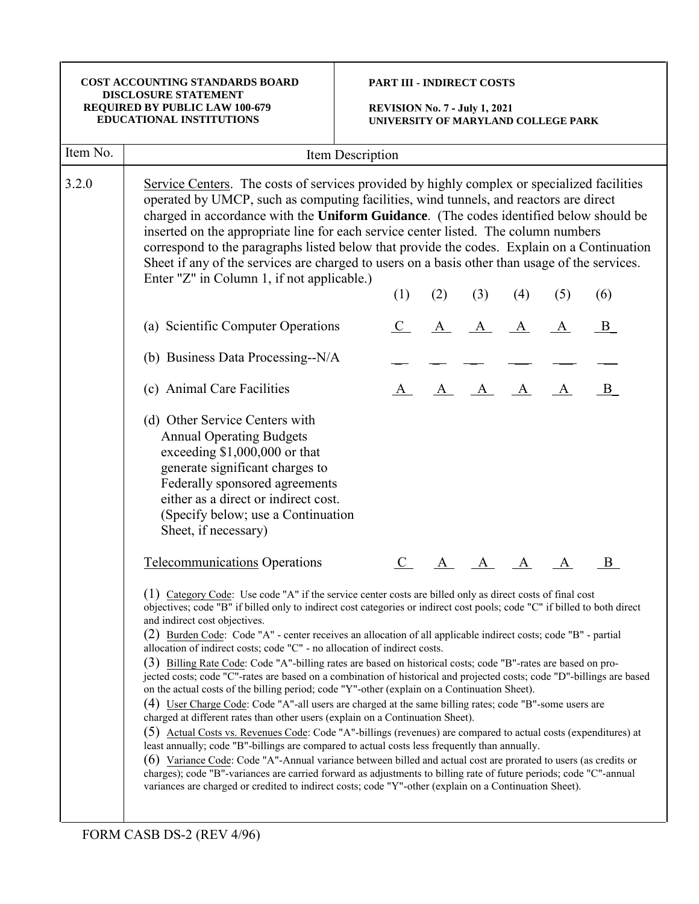|          | COST ACCOUNTING STANDARDS BOARD<br><b>DISCLOSURE STATEMENT</b><br>REQUIRED BY PUBLIC LAW 100-679<br><b>EDUCATIONAL INSTITUTIONS</b>                                                                                                                                                                                                                                                                                                                                                                                                                                                                                                                                                                                                                                                                                                                                                                                                                                                                                                                                                                                                                                                                                                                                                                                                                                                                                                                                                                                                                                                   | <b>PART III - INDIRECT COSTS</b><br><b>REVISION No. 7 - July 1, 2021</b><br>UNIVERSITY OF MARYLAND COLLEGE PARK |     |         |     |     |              |  |
|----------|---------------------------------------------------------------------------------------------------------------------------------------------------------------------------------------------------------------------------------------------------------------------------------------------------------------------------------------------------------------------------------------------------------------------------------------------------------------------------------------------------------------------------------------------------------------------------------------------------------------------------------------------------------------------------------------------------------------------------------------------------------------------------------------------------------------------------------------------------------------------------------------------------------------------------------------------------------------------------------------------------------------------------------------------------------------------------------------------------------------------------------------------------------------------------------------------------------------------------------------------------------------------------------------------------------------------------------------------------------------------------------------------------------------------------------------------------------------------------------------------------------------------------------------------------------------------------------------|-----------------------------------------------------------------------------------------------------------------|-----|---------|-----|-----|--------------|--|
| Item No. |                                                                                                                                                                                                                                                                                                                                                                                                                                                                                                                                                                                                                                                                                                                                                                                                                                                                                                                                                                                                                                                                                                                                                                                                                                                                                                                                                                                                                                                                                                                                                                                       | Item Description                                                                                                |     |         |     |     |              |  |
| 3.2.0    | Service Centers. The costs of services provided by highly complex or specialized facilities<br>operated by UMCP, such as computing facilities, wind tunnels, and reactors are direct<br>charged in accordance with the Uniform Guidance. (The codes identified below should be<br>inserted on the appropriate line for each service center listed. The column numbers<br>correspond to the paragraphs listed below that provide the codes. Explain on a Continuation<br>Sheet if any of the services are charged to users on a basis other than usage of the services.<br>Enter "Z" in Column 1, if not applicable.)                                                                                                                                                                                                                                                                                                                                                                                                                                                                                                                                                                                                                                                                                                                                                                                                                                                                                                                                                                  | (1)                                                                                                             | (2) | (3)     | (4) | (5) | (6)          |  |
|          | (a) Scientific Computer Operations                                                                                                                                                                                                                                                                                                                                                                                                                                                                                                                                                                                                                                                                                                                                                                                                                                                                                                                                                                                                                                                                                                                                                                                                                                                                                                                                                                                                                                                                                                                                                    |                                                                                                                 |     |         |     |     | $\mathbf{B}$ |  |
|          | (b) Business Data Processing--N/A                                                                                                                                                                                                                                                                                                                                                                                                                                                                                                                                                                                                                                                                                                                                                                                                                                                                                                                                                                                                                                                                                                                                                                                                                                                                                                                                                                                                                                                                                                                                                     |                                                                                                                 |     |         |     |     |              |  |
|          | (c) Animal Care Facilities                                                                                                                                                                                                                                                                                                                                                                                                                                                                                                                                                                                                                                                                                                                                                                                                                                                                                                                                                                                                                                                                                                                                                                                                                                                                                                                                                                                                                                                                                                                                                            |                                                                                                                 |     | A A A   |     | A   | B            |  |
|          | (d) Other Service Centers with<br><b>Annual Operating Budgets</b><br>exceeding $$1,000,000$ or that<br>generate significant charges to<br>Federally sponsored agreements<br>either as a direct or indirect cost.<br>(Specify below; use a Continuation<br>Sheet, if necessary)                                                                                                                                                                                                                                                                                                                                                                                                                                                                                                                                                                                                                                                                                                                                                                                                                                                                                                                                                                                                                                                                                                                                                                                                                                                                                                        |                                                                                                                 |     |         |     |     |              |  |
|          | <b>Telecommunications</b> Operations                                                                                                                                                                                                                                                                                                                                                                                                                                                                                                                                                                                                                                                                                                                                                                                                                                                                                                                                                                                                                                                                                                                                                                                                                                                                                                                                                                                                                                                                                                                                                  | $\mathbf{C}_{\perp}$                                                                                            |     | A A A A |     |     | B.           |  |
|          | (1) Category Code: Use code "A" if the service center costs are billed only as direct costs of final cost<br>objectives; code "B" if billed only to indirect cost categories or indirect cost pools; code "C" if billed to both direct<br>and indirect cost objectives.<br>(2) Burden Code: Code "A" - center receives an allocation of all applicable indirect costs; code "B" - partial<br>allocation of indirect costs; code "C" - no allocation of indirect costs.<br>(3) Billing Rate Code: Code "A"-billing rates are based on historical costs; code "B"-rates are based on pro-<br>jected costs; code "C"-rates are based on a combination of historical and projected costs; code "D"-billings are based<br>on the actual costs of the billing period; code "Y"-other (explain on a Continuation Sheet).<br>(4) User Charge Code: Code "A"-all users are charged at the same billing rates; code "B"-some users are<br>charged at different rates than other users (explain on a Continuation Sheet).<br>(5) Actual Costs vs. Revenues Code: Code "A"-billings (revenues) are compared to actual costs (expenditures) at<br>least annually; code "B"-billings are compared to actual costs less frequently than annually.<br>(6) Variance Code: Code "A"-Annual variance between billed and actual cost are prorated to users (as credits or<br>charges); code "B"-variances are carried forward as adjustments to billing rate of future periods; code "C"-annual<br>variances are charged or credited to indirect costs; code "Y"-other (explain on a Continuation Sheet). |                                                                                                                 |     |         |     |     |              |  |

FORM CASB DS-2 (REV 4/96)

П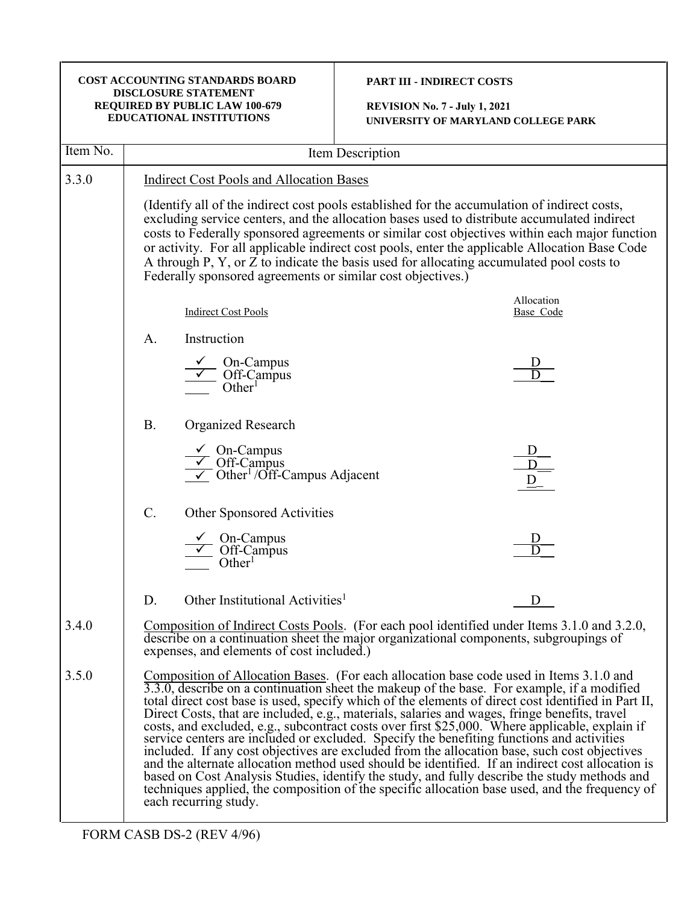| COST ACCOUNTING STANDARDS BOARD<br><b>DISCLOSURE STATEMENT</b><br>REQUIRED BY PUBLIC LAW 100-679<br><b>EDUCATIONAL INSTITUTIONS</b> |                                                                                                                                                                                                                                                                                                                                                                                                                                                                                                                                                           |                  | <b>PART III - INDIRECT COSTS</b><br><b>REVISION No. 7 - July 1, 2021</b><br>UNIVERSITY OF MARYLAND COLLEGE PARK                                                                                                                                                                                                                                                                                                                                                                                                                                                                                                                                                                                                                                                                                                                                                                                                                                                                                            |  |  |
|-------------------------------------------------------------------------------------------------------------------------------------|-----------------------------------------------------------------------------------------------------------------------------------------------------------------------------------------------------------------------------------------------------------------------------------------------------------------------------------------------------------------------------------------------------------------------------------------------------------------------------------------------------------------------------------------------------------|------------------|------------------------------------------------------------------------------------------------------------------------------------------------------------------------------------------------------------------------------------------------------------------------------------------------------------------------------------------------------------------------------------------------------------------------------------------------------------------------------------------------------------------------------------------------------------------------------------------------------------------------------------------------------------------------------------------------------------------------------------------------------------------------------------------------------------------------------------------------------------------------------------------------------------------------------------------------------------------------------------------------------------|--|--|
| Item No.                                                                                                                            |                                                                                                                                                                                                                                                                                                                                                                                                                                                                                                                                                           | Item Description |                                                                                                                                                                                                                                                                                                                                                                                                                                                                                                                                                                                                                                                                                                                                                                                                                                                                                                                                                                                                            |  |  |
| 3.3.0                                                                                                                               | <b>Indirect Cost Pools and Allocation Bases</b>                                                                                                                                                                                                                                                                                                                                                                                                                                                                                                           |                  |                                                                                                                                                                                                                                                                                                                                                                                                                                                                                                                                                                                                                                                                                                                                                                                                                                                                                                                                                                                                            |  |  |
|                                                                                                                                     | (Identify all of the indirect cost pools established for the accumulation of indirect costs,<br>excluding service centers, and the allocation bases used to distribute accumulated indirect<br>costs to Federally sponsored agreements or similar cost objectives within each major function<br>or activity. For all applicable indirect cost pools, enter the applicable Allocation Base Code<br>A through P, Y, or Z to indicate the basis used for allocating accumulated pool costs to<br>Federally sponsored agreements or similar cost objectives.) |                  |                                                                                                                                                                                                                                                                                                                                                                                                                                                                                                                                                                                                                                                                                                                                                                                                                                                                                                                                                                                                            |  |  |
|                                                                                                                                     | <b>Indirect Cost Pools</b>                                                                                                                                                                                                                                                                                                                                                                                                                                                                                                                                |                  | Allocation<br>Base Code                                                                                                                                                                                                                                                                                                                                                                                                                                                                                                                                                                                                                                                                                                                                                                                                                                                                                                                                                                                    |  |  |
|                                                                                                                                     | Instruction<br>A.<br>On-Campus<br>Off-Campus<br>Other <sup>1</sup>                                                                                                                                                                                                                                                                                                                                                                                                                                                                                        |                  |                                                                                                                                                                                                                                                                                                                                                                                                                                                                                                                                                                                                                                                                                                                                                                                                                                                                                                                                                                                                            |  |  |
|                                                                                                                                     | Organized Research<br><b>B.</b><br>$\frac{\sqrt{}}{}$ On-Campus<br>$\overline{\smile}$ Off-Campus<br>$\overline{\smile}$ Other <sup>1</sup> /Off-Campus Adjacent                                                                                                                                                                                                                                                                                                                                                                                          |                  |                                                                                                                                                                                                                                                                                                                                                                                                                                                                                                                                                                                                                                                                                                                                                                                                                                                                                                                                                                                                            |  |  |
|                                                                                                                                     | $C$ .<br>Other Sponsored Activities<br>On-Campus<br>Off-Campus<br>Other                                                                                                                                                                                                                                                                                                                                                                                                                                                                                   |                  |                                                                                                                                                                                                                                                                                                                                                                                                                                                                                                                                                                                                                                                                                                                                                                                                                                                                                                                                                                                                            |  |  |
|                                                                                                                                     | Other Institutional Activities <sup>1</sup><br>D.                                                                                                                                                                                                                                                                                                                                                                                                                                                                                                         |                  |                                                                                                                                                                                                                                                                                                                                                                                                                                                                                                                                                                                                                                                                                                                                                                                                                                                                                                                                                                                                            |  |  |
| 3.4.0                                                                                                                               | expenses, and elements of cost included.)                                                                                                                                                                                                                                                                                                                                                                                                                                                                                                                 |                  | Composition of Indirect Costs Pools. (For each pool identified under Items 3.1.0 and 3.2.0,<br>describe on a continuation sheet the major organizational components, subgroupings of                                                                                                                                                                                                                                                                                                                                                                                                                                                                                                                                                                                                                                                                                                                                                                                                                       |  |  |
| 3.5.0                                                                                                                               | each recurring study.                                                                                                                                                                                                                                                                                                                                                                                                                                                                                                                                     |                  | <u>Composition of Allocation Bases</u> . (For each allocation base code used in Items 3.1.0 and<br>3.3.0, describe on a continuation sheet the makeup of the base. For example, if a modified<br>total direct cost base is used, specify which of the elements of direct cost identified in Part II,<br>Direct Costs, that are included, e.g., materials, salaries and wages, fringe benefits, travel<br>costs, and excluded, e.g., subcontract costs over first \$25,000. Where applicable, explain if<br>service centers are included or excluded. Specify the benefiting functions and activities<br>included. If any cost objectives are excluded from the allocation base, such cost objectives<br>and the alternate allocation method used should be identified. If an indirect cost allocation is<br>based on Cost Analysis Studies, identify the study, and fully describe the study methods and<br>techniques applied, the composition of the specific allocation base used, and the frequency of |  |  |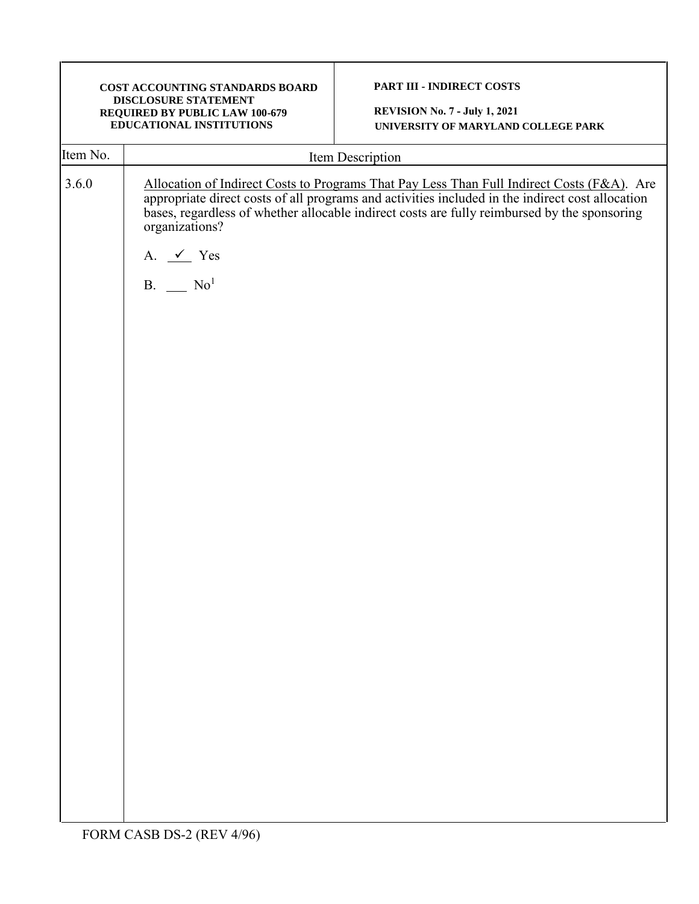|                   | COST ACCOUNTING STANDARDS BOARD<br>DISCLOSURE STATEMENT<br>REQUIRED BY PUBLIC LAW 100-679<br><b>EDUCATIONAL INSTITUTIONS</b> | PART III - INDIRECT COSTS<br><b>REVISION No. 7 - July 1, 2021</b><br>UNIVERSITY OF MARYLAND COLLEGE PARK                                                                                                                                                                                    |  |  |  |  |
|-------------------|------------------------------------------------------------------------------------------------------------------------------|---------------------------------------------------------------------------------------------------------------------------------------------------------------------------------------------------------------------------------------------------------------------------------------------|--|--|--|--|
|                   |                                                                                                                              | Item Description                                                                                                                                                                                                                                                                            |  |  |  |  |
| Item No.<br>3.6.0 | organizations?<br>A. $\angle$ Yes<br>$B.$ No <sup>1</sup>                                                                    | Allocation of Indirect Costs to Programs That Pay Less Than Full Indirect Costs (F&A). Are appropriate direct costs of all programs and activities included in the indirect cost allocation<br>bases, regardless of whether allocable indirect costs are fully reimbursed by the sponsoring |  |  |  |  |
|                   |                                                                                                                              |                                                                                                                                                                                                                                                                                             |  |  |  |  |
|                   | FORM CASB DS-2 (REV 4/96)                                                                                                    |                                                                                                                                                                                                                                                                                             |  |  |  |  |

 $\blacksquare$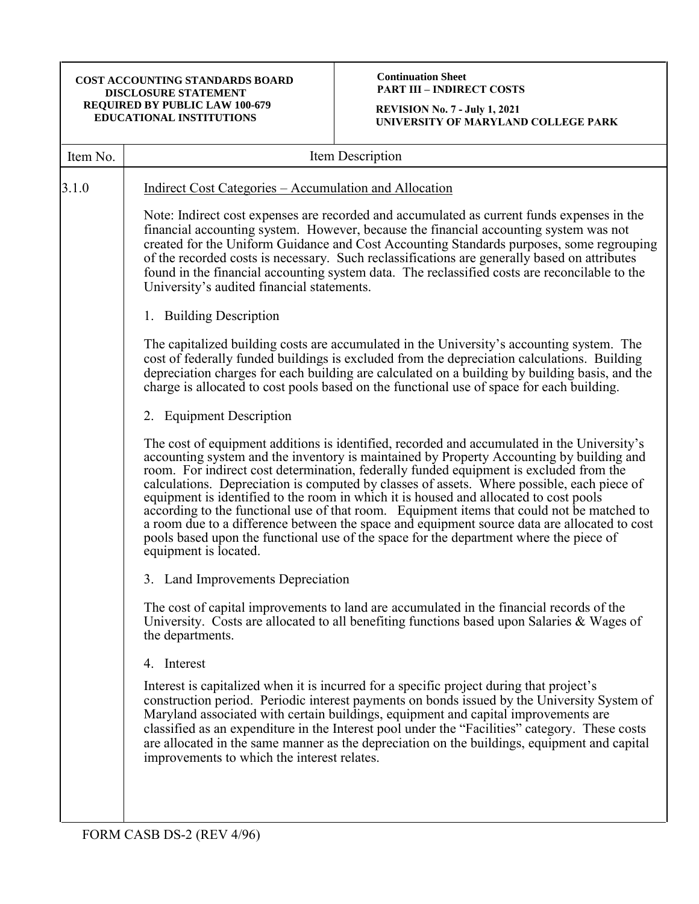# **Continuation Sheet PART III – INDIRECT COSTS**

| Item No. | Item Description                                                                                                                                                                                                                                                                                                                                                                                                                                                                                                                                                                                                                                                                                                                                                                          |
|----------|-------------------------------------------------------------------------------------------------------------------------------------------------------------------------------------------------------------------------------------------------------------------------------------------------------------------------------------------------------------------------------------------------------------------------------------------------------------------------------------------------------------------------------------------------------------------------------------------------------------------------------------------------------------------------------------------------------------------------------------------------------------------------------------------|
| 3.1.0    | Indirect Cost Categories – Accumulation and Allocation                                                                                                                                                                                                                                                                                                                                                                                                                                                                                                                                                                                                                                                                                                                                    |
|          | Note: Indirect cost expenses are recorded and accumulated as current funds expenses in the<br>financial accounting system. However, because the financial accounting system was not<br>created for the Uniform Guidance and Cost Accounting Standards purposes, some regrouping<br>of the recorded costs is necessary. Such reclassifications are generally based on attributes<br>found in the financial accounting system data. The reclassified costs are reconcilable to the<br>University's audited financial statements.                                                                                                                                                                                                                                                            |
|          | 1. Building Description                                                                                                                                                                                                                                                                                                                                                                                                                                                                                                                                                                                                                                                                                                                                                                   |
|          | The capitalized building costs are accumulated in the University's accounting system. The<br>cost of federally funded buildings is excluded from the depreciation calculations. Building<br>depreciation charges for each building are calculated on a building by building basis, and the<br>charge is allocated to cost pools based on the functional use of space for each building.                                                                                                                                                                                                                                                                                                                                                                                                   |
|          | 2. Equipment Description                                                                                                                                                                                                                                                                                                                                                                                                                                                                                                                                                                                                                                                                                                                                                                  |
|          | The cost of equipment additions is identified, recorded and accumulated in the University's<br>accounting system and the inventory is maintained by Property Accounting by building and<br>room. For indirect cost determination, federally funded equipment is excluded from the<br>calculations. Depreciation is computed by classes of assets. Where possible, each piece of<br>equipment is identified to the room in which it is housed and allocated to cost pools<br>according to the functional use of that room. Equipment items that could not be matched to<br>a room due to a difference between the space and equipment source data are allocated to cost<br>pools based upon the functional use of the space for the department where the piece of<br>equipment is located. |
|          | 3. Land Improvements Depreciation                                                                                                                                                                                                                                                                                                                                                                                                                                                                                                                                                                                                                                                                                                                                                         |
|          | The cost of capital improvements to land are accumulated in the financial records of the<br>University. Costs are allocated to all benefiting functions based upon Salaries & Wages of<br>the departments.                                                                                                                                                                                                                                                                                                                                                                                                                                                                                                                                                                                |
|          | 4. Interest                                                                                                                                                                                                                                                                                                                                                                                                                                                                                                                                                                                                                                                                                                                                                                               |
|          | Interest is capitalized when it is incurred for a specific project during that project's<br>construction period. Periodic interest payments on bonds issued by the University System of<br>Maryland associated with certain buildings, equipment and capital improvements are<br>classified as an expenditure in the Interest pool under the "Facilities" category. These costs<br>are allocated in the same manner as the depreciation on the buildings, equipment and capital<br>improvements to which the interest relates.                                                                                                                                                                                                                                                            |
|          |                                                                                                                                                                                                                                                                                                                                                                                                                                                                                                                                                                                                                                                                                                                                                                                           |
|          |                                                                                                                                                                                                                                                                                                                                                                                                                                                                                                                                                                                                                                                                                                                                                                                           |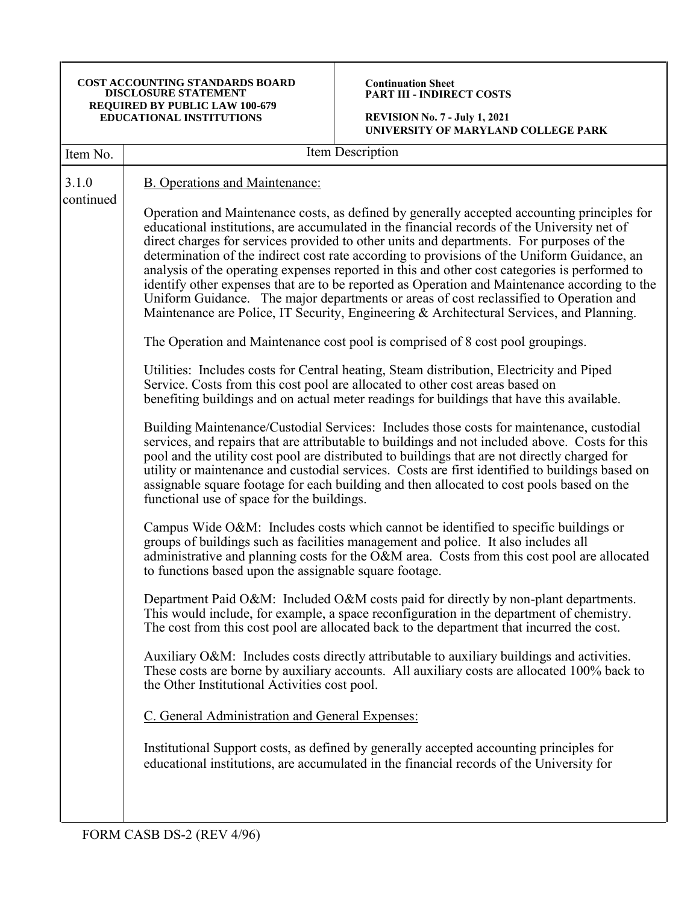**Continuation Sheet PART III - INDIRECT COSTS**

**REVISION No. 7 - July 1, 2021 UNIVERSITY OF MARYLAND COLLEGE PARK**

| 3.1.0<br><b>B.</b> Operations and Maintenance:<br>continued<br>educational institutions, are accumulated in the financial records of the University net of<br>direct charges for services provided to other units and departments. For purposes of the<br>determination of the indirect cost rate according to provisions of the Uniform Guidance, an<br>analysis of the operating expenses reported in this and other cost categories is performed to                                                                                                                                                                                                                                                                                                                                                                                                                                                                                                                                                                                                                                                                                                                                                                                                                                                                                                                                                                                                                                                                                                                                                                                                                                                                                                                                                                                                                                                | Item No. | Item Description                                                                                                                                                                                                                                                                                                                                                                                                                                                                                  |
|-------------------------------------------------------------------------------------------------------------------------------------------------------------------------------------------------------------------------------------------------------------------------------------------------------------------------------------------------------------------------------------------------------------------------------------------------------------------------------------------------------------------------------------------------------------------------------------------------------------------------------------------------------------------------------------------------------------------------------------------------------------------------------------------------------------------------------------------------------------------------------------------------------------------------------------------------------------------------------------------------------------------------------------------------------------------------------------------------------------------------------------------------------------------------------------------------------------------------------------------------------------------------------------------------------------------------------------------------------------------------------------------------------------------------------------------------------------------------------------------------------------------------------------------------------------------------------------------------------------------------------------------------------------------------------------------------------------------------------------------------------------------------------------------------------------------------------------------------------------------------------------------------------|----------|---------------------------------------------------------------------------------------------------------------------------------------------------------------------------------------------------------------------------------------------------------------------------------------------------------------------------------------------------------------------------------------------------------------------------------------------------------------------------------------------------|
| Uniform Guidance. The major departments or areas of cost reclassified to Operation and<br>Maintenance are Police, IT Security, Engineering & Architectural Services, and Planning.<br>The Operation and Maintenance cost pool is comprised of 8 cost pool groupings.<br>Utilities: Includes costs for Central heating, Steam distribution, Electricity and Piped<br>Service. Costs from this cost pool are allocated to other cost areas based on<br>benefiting buildings and on actual meter readings for buildings that have this available.<br>Building Maintenance/Custodial Services: Includes those costs for maintenance, custodial<br>pool and the utility cost pool are distributed to buildings that are not directly charged for<br>assignable square footage for each building and then allocated to cost pools based on the<br>functional use of space for the buildings.<br>Campus Wide O&M: Includes costs which cannot be identified to specific buildings or<br>groups of buildings such as facilities management and police. It also includes all<br>to functions based upon the assignable square footage.<br>Department Paid O&M: Included O&M costs paid for directly by non-plant departments.<br>This would include, for example, a space reconfiguration in the department of chemistry.<br>The cost from this cost pool are allocated back to the department that incurred the cost.<br>Auxiliary O&M: Includes costs directly attributable to auxiliary buildings and activities.<br>These costs are borne by auxiliary accounts. All auxiliary costs are allocated 100% back to<br>the Other Institutional Activities cost pool.<br>C. General Administration and General Expenses:<br>Institutional Support costs, as defined by generally accepted accounting principles for<br>educational institutions, are accumulated in the financial records of the University for |          | Operation and Maintenance costs, as defined by generally accepted accounting principles for<br>identify other expenses that are to be reported as Operation and Maintenance according to the<br>services, and repairs that are attributable to buildings and not included above. Costs for this<br>utility or maintenance and custodial services. Costs are first identified to buildings based on<br>administrative and planning costs for the O&M area. Costs from this cost pool are allocated |
|                                                                                                                                                                                                                                                                                                                                                                                                                                                                                                                                                                                                                                                                                                                                                                                                                                                                                                                                                                                                                                                                                                                                                                                                                                                                                                                                                                                                                                                                                                                                                                                                                                                                                                                                                                                                                                                                                                       |          |                                                                                                                                                                                                                                                                                                                                                                                                                                                                                                   |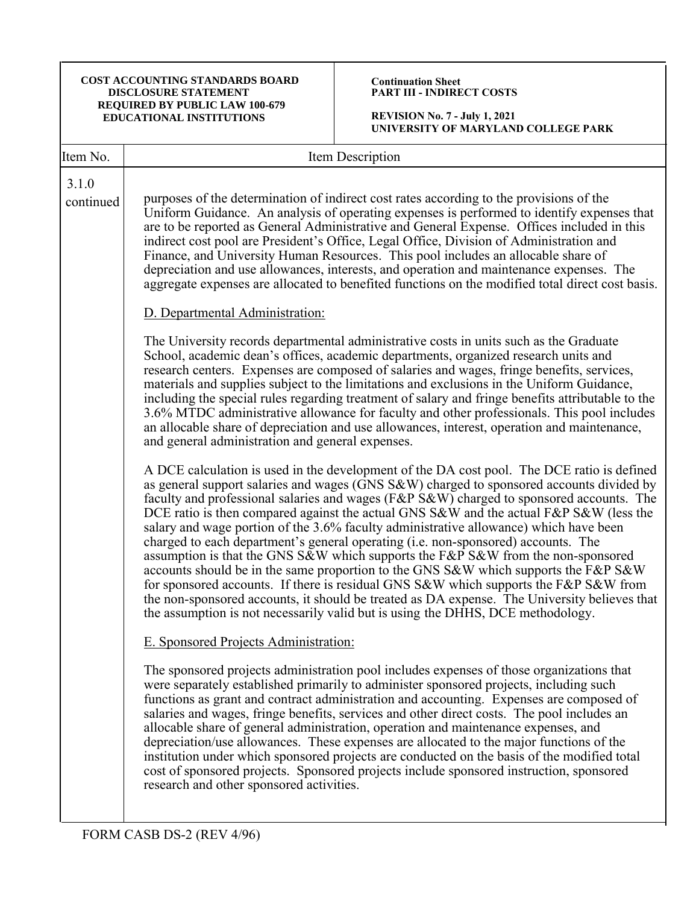#### **Continuation Sheet PART III - INDIRECT COSTS**

| Item No.           | Item Description                                                                                                                                                                                                                                                                                                                                                                                                                                                                                                                                                                                                                                                                                                                                                                                                                                                                                                                                                                                                 |
|--------------------|------------------------------------------------------------------------------------------------------------------------------------------------------------------------------------------------------------------------------------------------------------------------------------------------------------------------------------------------------------------------------------------------------------------------------------------------------------------------------------------------------------------------------------------------------------------------------------------------------------------------------------------------------------------------------------------------------------------------------------------------------------------------------------------------------------------------------------------------------------------------------------------------------------------------------------------------------------------------------------------------------------------|
| 3.1.0<br>continued | purposes of the determination of indirect cost rates according to the provisions of the<br>Uniform Guidance. An analysis of operating expenses is performed to identify expenses that<br>are to be reported as General Administrative and General Expense. Offices included in this<br>indirect cost pool are President's Office, Legal Office, Division of Administration and<br>Finance, and University Human Resources. This pool includes an allocable share of<br>depreciation and use allowances, interests, and operation and maintenance expenses. The<br>aggregate expenses are allocated to benefited functions on the modified total direct cost basis.                                                                                                                                                                                                                                                                                                                                               |
|                    | D. Departmental Administration:                                                                                                                                                                                                                                                                                                                                                                                                                                                                                                                                                                                                                                                                                                                                                                                                                                                                                                                                                                                  |
|                    | The University records departmental administrative costs in units such as the Graduate<br>School, academic dean's offices, academic departments, organized research units and<br>research centers. Expenses are composed of salaries and wages, fringe benefits, services,<br>materials and supplies subject to the limitations and exclusions in the Uniform Guidance,<br>including the special rules regarding treatment of salary and fringe benefits attributable to the<br>3.6% MTDC administrative allowance for faculty and other professionals. This pool includes<br>an allocable share of depreciation and use allowances, interest, operation and maintenance,<br>and general administration and general expenses.                                                                                                                                                                                                                                                                                    |
|                    | A DCE calculation is used in the development of the DA cost pool. The DCE ratio is defined<br>as general support salaries and wages (GNS S&W) charged to sponsored accounts divided by<br>faculty and professional salaries and wages (F&P S&W) charged to sponsored accounts. The<br>DCE ratio is then compared against the actual GNS S&W and the actual F&P S&W (less the<br>salary and wage portion of the 3.6% faculty administrative allowance) which have been<br>charged to each department's general operating (i.e. non-sponsored) accounts. The<br>assumption is that the GNS S&W which supports the F&P S&W from the non-sponsored<br>accounts should be in the same proportion to the GNS S&W which supports the F&P S&W<br>for sponsored accounts. If there is residual GNS S&W which supports the F&P S&W from<br>the non-sponsored accounts, it should be treated as DA expense. The University believes that<br>the assumption is not necessarily valid but is using the DHHS, DCE methodology. |
|                    | E. Sponsored Projects Administration:                                                                                                                                                                                                                                                                                                                                                                                                                                                                                                                                                                                                                                                                                                                                                                                                                                                                                                                                                                            |
|                    | The sponsored projects administration pool includes expenses of those organizations that<br>were separately established primarily to administer sponsored projects, including such<br>functions as grant and contract administration and accounting. Expenses are composed of<br>salaries and wages, fringe benefits, services and other direct costs. The pool includes an<br>allocable share of general administration, operation and maintenance expenses, and<br>depreciation/use allowances. These expenses are allocated to the major functions of the<br>institution under which sponsored projects are conducted on the basis of the modified total<br>cost of sponsored projects. Sponsored projects include sponsored instruction, sponsored<br>research and other sponsored activities.                                                                                                                                                                                                               |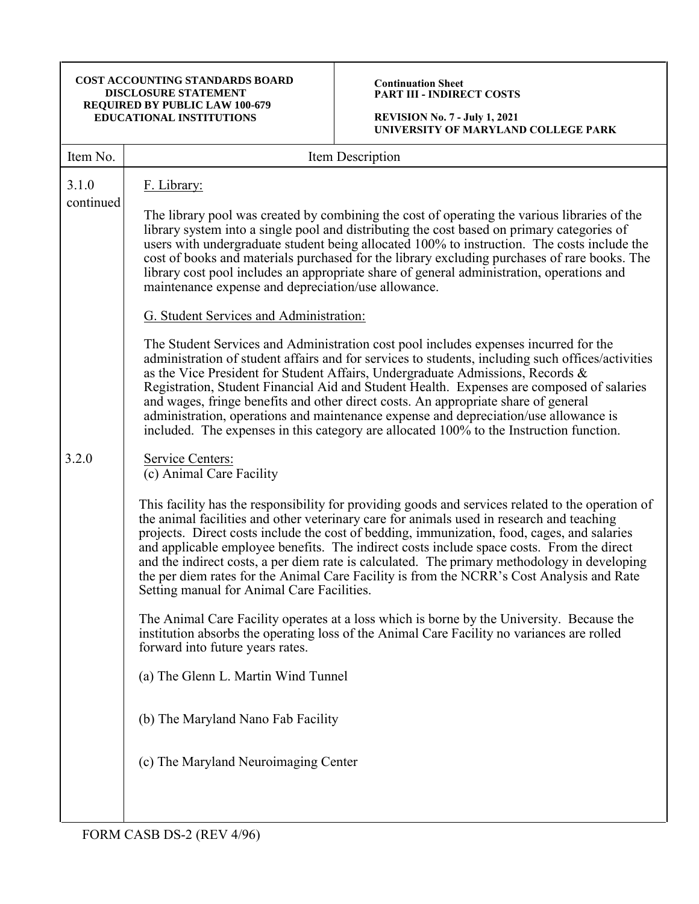#### **Continuation Sheet PART III - INDIRECT COSTS**

**REVISION No. 7 - July 1, 2021 UNIVERSITY OF MARYLAND COLLEGE PARK**

| Item No.           | Item Description                                                                                                                                                                                                                                                                                                                                                                                                                                                                                                                                                                                                                                                                                                                                                                                                                                                                                                                                                                                                                                                                                                                                                  |
|--------------------|-------------------------------------------------------------------------------------------------------------------------------------------------------------------------------------------------------------------------------------------------------------------------------------------------------------------------------------------------------------------------------------------------------------------------------------------------------------------------------------------------------------------------------------------------------------------------------------------------------------------------------------------------------------------------------------------------------------------------------------------------------------------------------------------------------------------------------------------------------------------------------------------------------------------------------------------------------------------------------------------------------------------------------------------------------------------------------------------------------------------------------------------------------------------|
| 3.1.0<br>continued | F. Library:<br>The library pool was created by combining the cost of operating the various libraries of the<br>library system into a single pool and distributing the cost based on primary categories of<br>users with undergraduate student being allocated 100% to instruction. The costs include the<br>cost of books and materials purchased for the library excluding purchases of rare books. The<br>library cost pool includes an appropriate share of general administration, operations and<br>maintenance expense and depreciation/use allowance.<br>G. Student Services and Administration:<br>The Student Services and Administration cost pool includes expenses incurred for the<br>administration of student affairs and for services to students, including such offices/activities<br>as the Vice President for Student Affairs, Undergraduate Admissions, Records &<br>Registration, Student Financial Aid and Student Health. Expenses are composed of salaries<br>and wages, fringe benefits and other direct costs. An appropriate share of general<br>administration, operations and maintenance expense and depreciation/use allowance is |
| 3.2.0              | included. The expenses in this category are allocated 100% to the Instruction function.<br>Service Centers:<br>(c) Animal Care Facility<br>This facility has the responsibility for providing goods and services related to the operation of<br>the animal facilities and other veterinary care for animals used in research and teaching<br>projects. Direct costs include the cost of bedding, immunization, food, cages, and salaries<br>and applicable employee benefits. The indirect costs include space costs. From the direct<br>and the indirect costs, a per diem rate is calculated. The primary methodology in developing<br>the per diem rates for the Animal Care Facility is from the NCRR's Cost Analysis and Rate<br>Setting manual for Animal Care Facilities.<br>The Animal Care Facility operates at a loss which is borne by the University. Because the<br>institution absorbs the operating loss of the Animal Care Facility no variances are rolled<br>forward into future years rates.<br>(a) The Glenn L. Martin Wind Tunnel<br>(b) The Maryland Nano Fab Facility<br>(c) The Maryland Neuroimaging Center                              |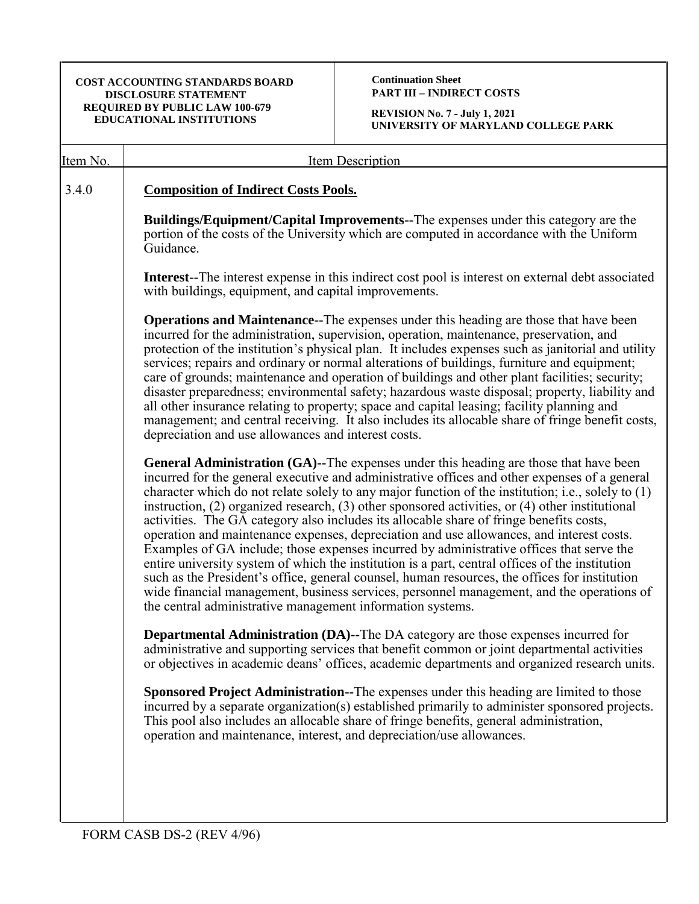**Continuation Sheet PART III – INDIRECT COSTS**

| Item No. | Item Description                                                                                                                                                                                                                                                                                                                                                                                                                                                                                                                                                                                                                                                                                                                                                                                                                                                                                                                                                                                                                                        |  |  |  |  |
|----------|---------------------------------------------------------------------------------------------------------------------------------------------------------------------------------------------------------------------------------------------------------------------------------------------------------------------------------------------------------------------------------------------------------------------------------------------------------------------------------------------------------------------------------------------------------------------------------------------------------------------------------------------------------------------------------------------------------------------------------------------------------------------------------------------------------------------------------------------------------------------------------------------------------------------------------------------------------------------------------------------------------------------------------------------------------|--|--|--|--|
| 3.4.0    | <b>Composition of Indirect Costs Pools.</b>                                                                                                                                                                                                                                                                                                                                                                                                                                                                                                                                                                                                                                                                                                                                                                                                                                                                                                                                                                                                             |  |  |  |  |
|          | <b>Buildings/Equipment/Capital Improvements--The expenses under this category are the</b><br>portion of the costs of the University which are computed in accordance with the Uniform<br>Guidance.                                                                                                                                                                                                                                                                                                                                                                                                                                                                                                                                                                                                                                                                                                                                                                                                                                                      |  |  |  |  |
|          | <b>Interest--</b> The interest expense in this indirect cost pool is interest on external debt associated<br>with buildings, equipment, and capital improvements.                                                                                                                                                                                                                                                                                                                                                                                                                                                                                                                                                                                                                                                                                                                                                                                                                                                                                       |  |  |  |  |
|          | <b>Operations and Maintenance--</b> The expenses under this heading are those that have been<br>incurred for the administration, supervision, operation, maintenance, preservation, and<br>protection of the institution's physical plan. It includes expenses such as janitorial and utility<br>services; repairs and ordinary or normal alterations of buildings, furniture and equipment;<br>care of grounds; maintenance and operation of buildings and other plant facilities; security;<br>disaster preparedness; environmental safety; hazardous waste disposal; property, liability and<br>all other insurance relating to property; space and capital leasing; facility planning and<br>management; and central receiving. It also includes its allocable share of fringe benefit costs,<br>depreciation and use allowances and interest costs.                                                                                                                                                                                                |  |  |  |  |
|          | General Administration (GA)--The expenses under this heading are those that have been<br>incurred for the general executive and administrative offices and other expenses of a general<br>character which do not relate solely to any major function of the institution; i.e., solely to (1)<br>instruction, $(2)$ organized research, $(3)$ other sponsored activities, or $(4)$ other institutional<br>activities. The GA category also includes its allocable share of fringe benefits costs,<br>operation and maintenance expenses, depreciation and use allowances, and interest costs.<br>Examples of GA include; those expenses incurred by administrative offices that serve the<br>entire university system of which the institution is a part, central offices of the institution<br>such as the President's office, general counsel, human resources, the offices for institution<br>wide financial management, business services, personnel management, and the operations of<br>the central administrative management information systems. |  |  |  |  |
|          | <b>Departmental Administration (DA)--The DA category are those expenses incurred for</b><br>administrative and supporting services that benefit common or joint departmental activities<br>or objectives in academic deans' offices, academic departments and organized research units.                                                                                                                                                                                                                                                                                                                                                                                                                                                                                                                                                                                                                                                                                                                                                                 |  |  |  |  |
|          | Sponsored Project Administration--The expenses under this heading are limited to those<br>incurred by a separate organization(s) established primarily to administer sponsored projects.<br>This pool also includes an allocable share of fringe benefits, general administration,<br>operation and maintenance, interest, and depreciation/use allowances.                                                                                                                                                                                                                                                                                                                                                                                                                                                                                                                                                                                                                                                                                             |  |  |  |  |
|          |                                                                                                                                                                                                                                                                                                                                                                                                                                                                                                                                                                                                                                                                                                                                                                                                                                                                                                                                                                                                                                                         |  |  |  |  |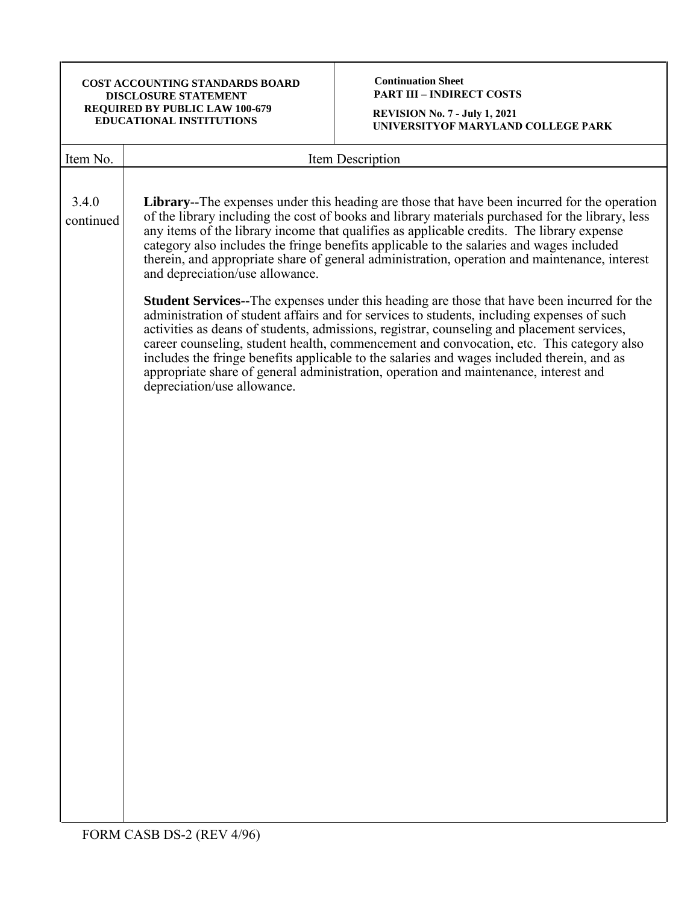**Continuation Sheet PART III – INDIRECT COSTS**

| Item No.  | Item Description                                                                                                                                                                                                                                                                                                                                                                                                                                                                                                                                                                                                 |  |  |  |
|-----------|------------------------------------------------------------------------------------------------------------------------------------------------------------------------------------------------------------------------------------------------------------------------------------------------------------------------------------------------------------------------------------------------------------------------------------------------------------------------------------------------------------------------------------------------------------------------------------------------------------------|--|--|--|
| 3.4.0     | <b>Library</b> --The expenses under this heading are those that have been incurred for the operation                                                                                                                                                                                                                                                                                                                                                                                                                                                                                                             |  |  |  |
| continued | of the library including the cost of books and library materials purchased for the library, less<br>any items of the library income that qualifies as applicable credits. The library expense<br>category also includes the fringe benefits applicable to the salaries and wages included<br>therein, and appropriate share of general administration, operation and maintenance, interest<br>and depreciation/use allowance.                                                                                                                                                                                    |  |  |  |
|           | <b>Student Services--</b> The expenses under this heading are those that have been incurred for the<br>administration of student affairs and for services to students, including expenses of such<br>activities as deans of students, admissions, registrar, counseling and placement services,<br>career counseling, student health, commencement and convocation, etc. This category also<br>includes the fringe benefits applicable to the salaries and wages included therein, and as<br>appropriate share of general administration, operation and maintenance, interest and<br>depreciation/use allowance. |  |  |  |
|           |                                                                                                                                                                                                                                                                                                                                                                                                                                                                                                                                                                                                                  |  |  |  |
|           |                                                                                                                                                                                                                                                                                                                                                                                                                                                                                                                                                                                                                  |  |  |  |
|           |                                                                                                                                                                                                                                                                                                                                                                                                                                                                                                                                                                                                                  |  |  |  |
|           |                                                                                                                                                                                                                                                                                                                                                                                                                                                                                                                                                                                                                  |  |  |  |
|           |                                                                                                                                                                                                                                                                                                                                                                                                                                                                                                                                                                                                                  |  |  |  |
|           |                                                                                                                                                                                                                                                                                                                                                                                                                                                                                                                                                                                                                  |  |  |  |
|           |                                                                                                                                                                                                                                                                                                                                                                                                                                                                                                                                                                                                                  |  |  |  |
|           |                                                                                                                                                                                                                                                                                                                                                                                                                                                                                                                                                                                                                  |  |  |  |
|           |                                                                                                                                                                                                                                                                                                                                                                                                                                                                                                                                                                                                                  |  |  |  |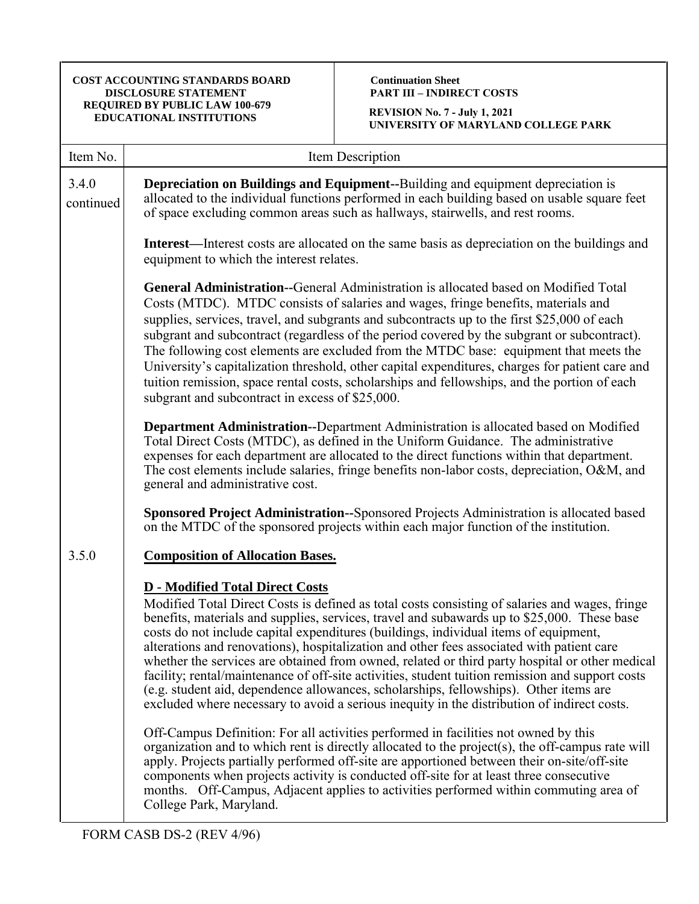# **Continuation Sheet PART III – INDIRECT COSTS**

| Item No.           | Item Description                                                                                                                                                                                                                                                                                                                                                                                                                                                                                                                                                                                                                                                                                                                                                                                                                                                                                                                                                                                                                                                                                                     |  |  |  |  |
|--------------------|----------------------------------------------------------------------------------------------------------------------------------------------------------------------------------------------------------------------------------------------------------------------------------------------------------------------------------------------------------------------------------------------------------------------------------------------------------------------------------------------------------------------------------------------------------------------------------------------------------------------------------------------------------------------------------------------------------------------------------------------------------------------------------------------------------------------------------------------------------------------------------------------------------------------------------------------------------------------------------------------------------------------------------------------------------------------------------------------------------------------|--|--|--|--|
| 3.4.0<br>continued | Depreciation on Buildings and Equipment--Building and equipment depreciation is<br>allocated to the individual functions performed in each building based on usable square feet<br>of space excluding common areas such as hallways, stairwells, and rest rooms.                                                                                                                                                                                                                                                                                                                                                                                                                                                                                                                                                                                                                                                                                                                                                                                                                                                     |  |  |  |  |
|                    | <b>Interest</b> —Interest costs are allocated on the same basis as depreciation on the buildings and<br>equipment to which the interest relates.                                                                                                                                                                                                                                                                                                                                                                                                                                                                                                                                                                                                                                                                                                                                                                                                                                                                                                                                                                     |  |  |  |  |
|                    | <b>General Administration--</b> General Administration is allocated based on Modified Total<br>Costs (MTDC). MTDC consists of salaries and wages, fringe benefits, materials and<br>supplies, services, travel, and subgrants and subcontracts up to the first \$25,000 of each<br>subgrant and subcontract (regardless of the period covered by the subgrant or subcontract).<br>The following cost elements are excluded from the MTDC base: equipment that meets the<br>University's capitalization threshold, other capital expenditures, charges for patient care and<br>tuition remission, space rental costs, scholarships and fellowships, and the portion of each<br>subgrant and subcontract in excess of \$25,000.                                                                                                                                                                                                                                                                                                                                                                                        |  |  |  |  |
|                    | Department Administration--Department Administration is allocated based on Modified<br>Total Direct Costs (MTDC), as defined in the Uniform Guidance. The administrative<br>expenses for each department are allocated to the direct functions within that department.<br>The cost elements include salaries, fringe benefits non-labor costs, depreciation, O&M, and<br>general and administrative cost.                                                                                                                                                                                                                                                                                                                                                                                                                                                                                                                                                                                                                                                                                                            |  |  |  |  |
|                    | Sponsored Project Administration-Sponsored Projects Administration is allocated based<br>on the MTDC of the sponsored projects within each major function of the institution.                                                                                                                                                                                                                                                                                                                                                                                                                                                                                                                                                                                                                                                                                                                                                                                                                                                                                                                                        |  |  |  |  |
| 3.5.0              | <b>Composition of Allocation Bases.</b>                                                                                                                                                                                                                                                                                                                                                                                                                                                                                                                                                                                                                                                                                                                                                                                                                                                                                                                                                                                                                                                                              |  |  |  |  |
|                    | <b>D</b> - Modified Total Direct Costs<br>Modified Total Direct Costs is defined as total costs consisting of salaries and wages, fringe<br>benefits, materials and supplies, services, travel and subawards up to \$25,000. These base<br>costs do not include capital expenditures (buildings, individual items of equipment,<br>alterations and renovations), hospitalization and other fees associated with patient care<br>whether the services are obtained from owned, related or third party hospital or other medical<br>facility; rental/maintenance of off-site activities, student tuition remission and support costs<br>(e.g. student aid, dependence allowances, scholarships, fellowships). Other items are<br>excluded where necessary to avoid a serious inequity in the distribution of indirect costs.<br>Off-Campus Definition: For all activities performed in facilities not owned by this<br>organization and to which rent is directly allocated to the project(s), the off-campus rate will<br>apply. Projects partially performed off-site are apportioned between their on-site/off-site |  |  |  |  |
|                    | components when projects activity is conducted off-site for at least three consecutive<br>months. Off-Campus, Adjacent applies to activities performed within commuting area of<br>College Park, Maryland.                                                                                                                                                                                                                                                                                                                                                                                                                                                                                                                                                                                                                                                                                                                                                                                                                                                                                                           |  |  |  |  |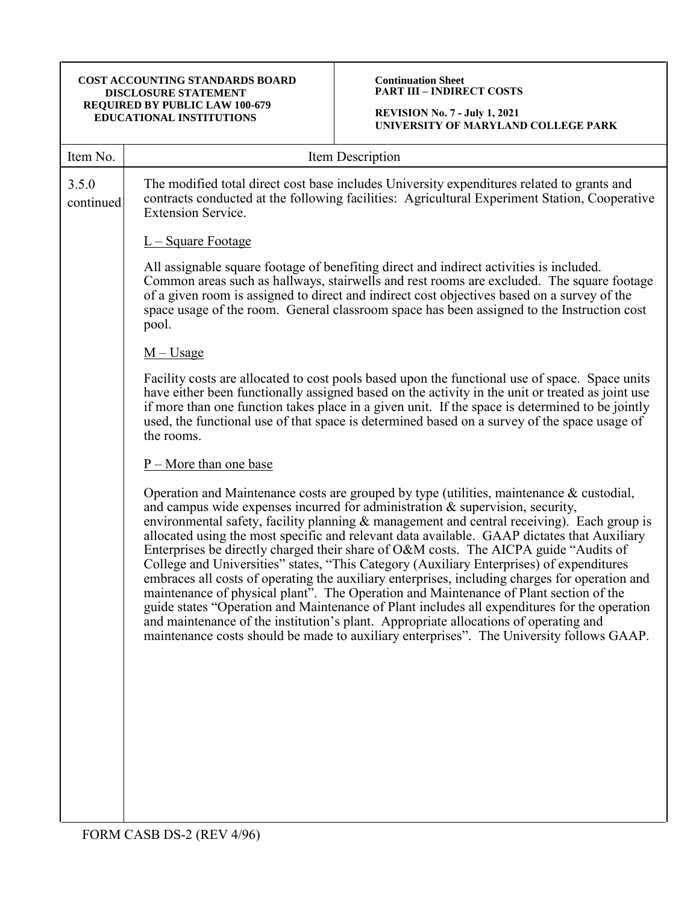## **Continuation Sheet PART III – INDIRECT COSTS**

| Item No.           | Item Description                                                                                                                                                                                                                                                                                                                                                                                                                                                                                                                                                                                                                                                                                                                                                                                                                                                                                                                                                                                                                             |  |  |  |
|--------------------|----------------------------------------------------------------------------------------------------------------------------------------------------------------------------------------------------------------------------------------------------------------------------------------------------------------------------------------------------------------------------------------------------------------------------------------------------------------------------------------------------------------------------------------------------------------------------------------------------------------------------------------------------------------------------------------------------------------------------------------------------------------------------------------------------------------------------------------------------------------------------------------------------------------------------------------------------------------------------------------------------------------------------------------------|--|--|--|
| 3.5.0<br>continued | The modified total direct cost base includes University expenditures related to grants and<br>contracts conducted at the following facilities: Agricultural Experiment Station, Cooperative<br><b>Extension Service.</b>                                                                                                                                                                                                                                                                                                                                                                                                                                                                                                                                                                                                                                                                                                                                                                                                                     |  |  |  |
|                    | <u>L – Square Footage</u>                                                                                                                                                                                                                                                                                                                                                                                                                                                                                                                                                                                                                                                                                                                                                                                                                                                                                                                                                                                                                    |  |  |  |
|                    | All assignable square footage of benefiting direct and indirect activities is included.<br>Common areas such as hallways, stairwells and rest rooms are excluded. The square footage<br>of a given room is assigned to direct and indirect cost objectives based on a survey of the<br>space usage of the room. General classroom space has been assigned to the Instruction cost<br>pool.                                                                                                                                                                                                                                                                                                                                                                                                                                                                                                                                                                                                                                                   |  |  |  |
|                    | $M -$ Usage                                                                                                                                                                                                                                                                                                                                                                                                                                                                                                                                                                                                                                                                                                                                                                                                                                                                                                                                                                                                                                  |  |  |  |
|                    | Facility costs are allocated to cost pools based upon the functional use of space. Space units<br>have either been functionally assigned based on the activity in the unit or treated as joint use<br>if more than one function takes place in a given unit. If the space is determined to be jointly<br>used, the functional use of that space is determined based on a survey of the space usage of<br>the rooms.                                                                                                                                                                                                                                                                                                                                                                                                                                                                                                                                                                                                                          |  |  |  |
|                    | $P$ – More than one base                                                                                                                                                                                                                                                                                                                                                                                                                                                                                                                                                                                                                                                                                                                                                                                                                                                                                                                                                                                                                     |  |  |  |
|                    | Operation and Maintenance costs are grouped by type (utilities, maintenance $\&$ custodial,<br>and campus wide expenses incurred for administration & supervision, security,<br>environmental safety, facility planning & management and central receiving). Each group is<br>allocated using the most specific and relevant data available. GAAP dictates that Auxiliary<br>Enterprises be directly charged their share of O&M costs. The AICPA guide "Audits of<br>College and Universities" states, "This Category (Auxiliary Enterprises) of expenditures<br>embraces all costs of operating the auxiliary enterprises, including charges for operation and<br>maintenance of physical plant". The Operation and Maintenance of Plant section of the<br>guide states "Operation and Maintenance of Plant includes all expenditures for the operation<br>and maintenance of the institution's plant. Appropriate allocations of operating and<br>maintenance costs should be made to auxiliary enterprises". The University follows GAAP. |  |  |  |
|                    |                                                                                                                                                                                                                                                                                                                                                                                                                                                                                                                                                                                                                                                                                                                                                                                                                                                                                                                                                                                                                                              |  |  |  |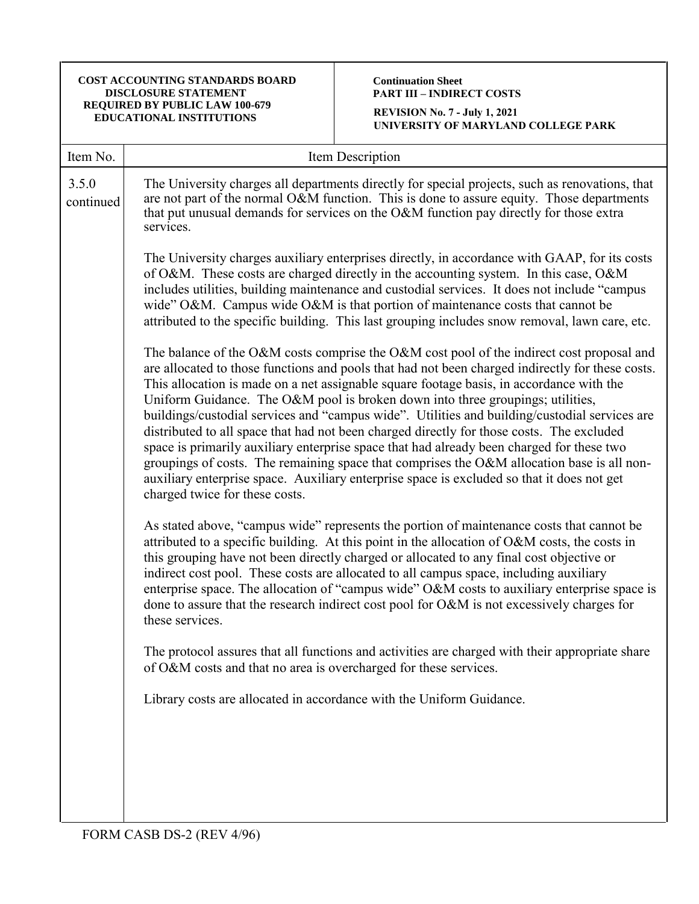# **Continuation Sheet PART III – INDIRECT COSTS**

| Item No.           | Item Description                                                                                                                                                                                                                                                                                                                                                                                                                                                                                                                                                                                                                                                                                                                                                                                                                                                                                       |
|--------------------|--------------------------------------------------------------------------------------------------------------------------------------------------------------------------------------------------------------------------------------------------------------------------------------------------------------------------------------------------------------------------------------------------------------------------------------------------------------------------------------------------------------------------------------------------------------------------------------------------------------------------------------------------------------------------------------------------------------------------------------------------------------------------------------------------------------------------------------------------------------------------------------------------------|
| 3.5.0<br>continued | The University charges all departments directly for special projects, such as renovations, that<br>are not part of the normal O&M function. This is done to assure equity. Those departments<br>that put unusual demands for services on the O&M function pay directly for those extra<br>services.                                                                                                                                                                                                                                                                                                                                                                                                                                                                                                                                                                                                    |
|                    | The University charges auxiliary enterprises directly, in accordance with GAAP, for its costs<br>of O&M. These costs are charged directly in the accounting system. In this case, O&M<br>includes utilities, building maintenance and custodial services. It does not include "campus<br>wide" O&M. Campus wide O&M is that portion of maintenance costs that cannot be<br>attributed to the specific building. This last grouping includes snow removal, lawn care, etc.                                                                                                                                                                                                                                                                                                                                                                                                                              |
|                    | The balance of the O&M costs comprise the O&M cost pool of the indirect cost proposal and<br>are allocated to those functions and pools that had not been charged indirectly for these costs.<br>This allocation is made on a net assignable square footage basis, in accordance with the<br>Uniform Guidance. The O&M pool is broken down into three groupings; utilities,<br>buildings/custodial services and "campus wide". Utilities and building/custodial services are<br>distributed to all space that had not been charged directly for those costs. The excluded<br>space is primarily auxiliary enterprise space that had already been charged for these two<br>groupings of costs. The remaining space that comprises the $O&M$ allocation base is all non-<br>auxiliary enterprise space. Auxiliary enterprise space is excluded so that it does not get<br>charged twice for these costs. |
|                    | As stated above, "campus wide" represents the portion of maintenance costs that cannot be<br>attributed to a specific building. At this point in the allocation of O&M costs, the costs in<br>this grouping have not been directly charged or allocated to any final cost objective or<br>indirect cost pool. These costs are allocated to all campus space, including auxiliary<br>enterprise space. The allocation of "campus wide" O&M costs to auxiliary enterprise space is<br>done to assure that the research indirect cost pool for O&M is not excessively charges for<br>these services.                                                                                                                                                                                                                                                                                                      |
|                    | The protocol assures that all functions and activities are charged with their appropriate share<br>of O&M costs and that no area is overcharged for these services.                                                                                                                                                                                                                                                                                                                                                                                                                                                                                                                                                                                                                                                                                                                                    |
|                    | Library costs are allocated in accordance with the Uniform Guidance.                                                                                                                                                                                                                                                                                                                                                                                                                                                                                                                                                                                                                                                                                                                                                                                                                                   |
|                    |                                                                                                                                                                                                                                                                                                                                                                                                                                                                                                                                                                                                                                                                                                                                                                                                                                                                                                        |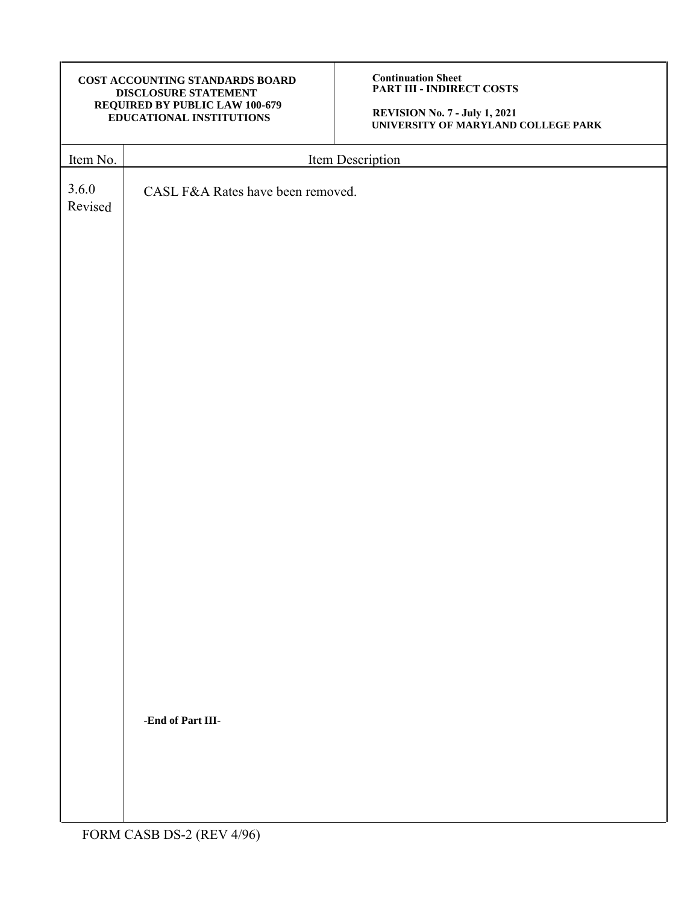| COST ACCOUNTING STANDARDS BOARD       |
|---------------------------------------|
| <b>DISCLOSURE STATEMENT</b>           |
| <b>REQUIRED BY PUBLIC LAW 100-679</b> |
| <b>EDUCATIONAL INSTITUTIONS</b>       |

**Continuation Sheet PART III - INDIRECT COSTS**

**REVISION No. 7 - July 1, 2021 UNIVERSITY OF MARYLAND COLLEGE PARK** 

| Item No.         | Item Description                  |
|------------------|-----------------------------------|
| 3.6.0<br>Revised | CASL F&A Rates have been removed. |
|                  |                                   |
|                  |                                   |
|                  |                                   |
|                  |                                   |
|                  |                                   |
|                  |                                   |
|                  |                                   |
|                  |                                   |
|                  |                                   |
|                  |                                   |
|                  | -End of Part III-                 |
|                  |                                   |
|                  |                                   |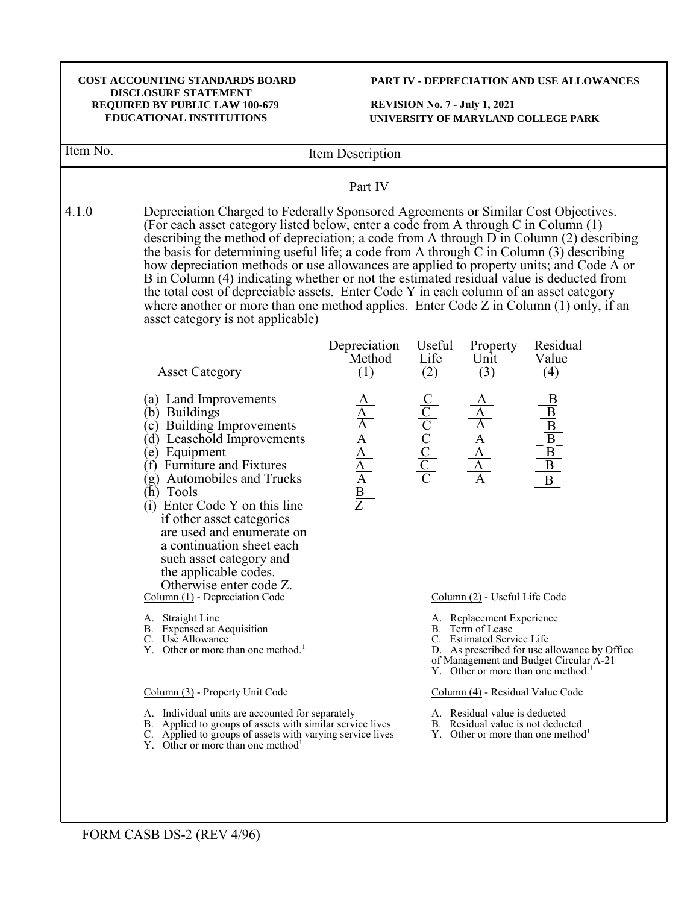| COST ACCOUNTING STANDARDS BOARD<br><b>DISCLOSURE STATEMENT</b><br>REQUIRED BY PUBLIC LAW 100-679<br>EDUCATIONAL INSTITUTIONS |                                                                                                                                                                                                                                                                                                                                                                                                                                                                                                                                                                                                                                                                                                                                                                                                 | PART IV - DEPRECIATION AND USE ALLOWANCES<br><b>REVISION No. 7 - July 1, 2021</b><br>UNIVERSITY OF MARYLAND COLLEGE PARK |                                                                                                                                                                                                                                                                                   |                                                                    |                                                                                     |  |
|------------------------------------------------------------------------------------------------------------------------------|-------------------------------------------------------------------------------------------------------------------------------------------------------------------------------------------------------------------------------------------------------------------------------------------------------------------------------------------------------------------------------------------------------------------------------------------------------------------------------------------------------------------------------------------------------------------------------------------------------------------------------------------------------------------------------------------------------------------------------------------------------------------------------------------------|--------------------------------------------------------------------------------------------------------------------------|-----------------------------------------------------------------------------------------------------------------------------------------------------------------------------------------------------------------------------------------------------------------------------------|--------------------------------------------------------------------|-------------------------------------------------------------------------------------|--|
| Item No.                                                                                                                     | Item Description                                                                                                                                                                                                                                                                                                                                                                                                                                                                                                                                                                                                                                                                                                                                                                                |                                                                                                                          |                                                                                                                                                                                                                                                                                   |                                                                    |                                                                                     |  |
|                                                                                                                              |                                                                                                                                                                                                                                                                                                                                                                                                                                                                                                                                                                                                                                                                                                                                                                                                 | Part IV                                                                                                                  |                                                                                                                                                                                                                                                                                   |                                                                    |                                                                                     |  |
| 4.1.0                                                                                                                        | Depreciation Charged to Federally Sponsored Agreements or Similar Cost Objectives.<br>(For each asset category listed below, enter a code from A through C in Column (1)<br>describing the method of depreciation; a code from A through $D$ in Column (2) describing<br>the basis for determining useful life; a code from A through $\overline{C}$ in Column (3) describing<br>how depreciation methods or use allowances are applied to property units; and Code A or<br>B in Column (4) indicating whether or not the estimated residual value is deducted from<br>the total cost of depreciable assets. Enter Code Y in each column of an asset category<br>where another or more than one method applies. Enter Code $Z$ in Column $(1)$ only, if an<br>asset category is not applicable) |                                                                                                                          |                                                                                                                                                                                                                                                                                   |                                                                    |                                                                                     |  |
|                                                                                                                              | <b>Asset Category</b>                                                                                                                                                                                                                                                                                                                                                                                                                                                                                                                                                                                                                                                                                                                                                                           | Depreciation<br>Method<br>(1)                                                                                            | Useful<br>Life<br>(2)                                                                                                                                                                                                                                                             | Property<br>Unit<br>(3)                                            | Residual<br>Value<br>(4)                                                            |  |
|                                                                                                                              | (a) Land Improvements<br>(b) Buildings<br>(c) Building Improvements<br>(d) Leasehold Improvements<br>(e) Equipment<br>(f) Furniture and Fixtures<br>(g) Automobiles and Trucks<br>(h) Tools<br>(i) Enter Code Y on this line<br>if other asset categories<br>are used and enumerate on<br>a continuation sheet each<br>such asset category and<br>the applicable codes.<br>Otherwise enter code Z.<br>$Column (1)$ - Depreciation Code                                                                                                                                                                                                                                                                                                                                                          | $\frac{\frac{A}{A}}{\frac{A}{A}}$ $\frac{A}{\frac{A}{B}}$ $\frac{B}{Z}$                                                  | $\begin{array}{c cc} \underline{C} & \underline{A} \\ \hline \underline{C} & \underline{A} \\ \hline \underline{C} & \underline{A} \\ \hline \underline{C} & \underline{A} \\ \hline \underline{C} & \underline{A} \\ \hline \underline{C} & \underline{A} \\ \hline \end{array}$ | Column (2) - Useful Life Code                                      | $\frac{1}{\sqrt{B}}\left\lfloor \frac{1}{\sqrt{B}}\right\rfloor \frac{1}{\sqrt{B}}$ |  |
|                                                                                                                              | A. Straight Line<br>B. Expensed at Acquisition<br>C. Use Allowance<br>Y. Other or more than one method. <sup>1</sup>                                                                                                                                                                                                                                                                                                                                                                                                                                                                                                                                                                                                                                                                            |                                                                                                                          | A. Replacement Experience<br>B. Term of Lease<br>C. Estimated Service Life<br>D. As prescribed for use allowance by Office<br>of Management and Budget Circular A-21<br>Y. Other or more than one method. <sup>1</sup>                                                            |                                                                    |                                                                                     |  |
|                                                                                                                              | Column (3) - Property Unit Code                                                                                                                                                                                                                                                                                                                                                                                                                                                                                                                                                                                                                                                                                                                                                                 | Column (4) - Residual Value Code                                                                                         |                                                                                                                                                                                                                                                                                   |                                                                    |                                                                                     |  |
|                                                                                                                              | A. Individual units are accounted for separately<br>B. Applied to groups of assets with similar service lives<br>C. Applied to groups of assets with varying service lives<br>Y. Other or more than one method <sup>1</sup>                                                                                                                                                                                                                                                                                                                                                                                                                                                                                                                                                                     |                                                                                                                          |                                                                                                                                                                                                                                                                                   | A. Residual value is deducted<br>B. Residual value is not deducted | Y. Other or more than one method <sup>1</sup>                                       |  |
|                                                                                                                              |                                                                                                                                                                                                                                                                                                                                                                                                                                                                                                                                                                                                                                                                                                                                                                                                 |                                                                                                                          |                                                                                                                                                                                                                                                                                   |                                                                    |                                                                                     |  |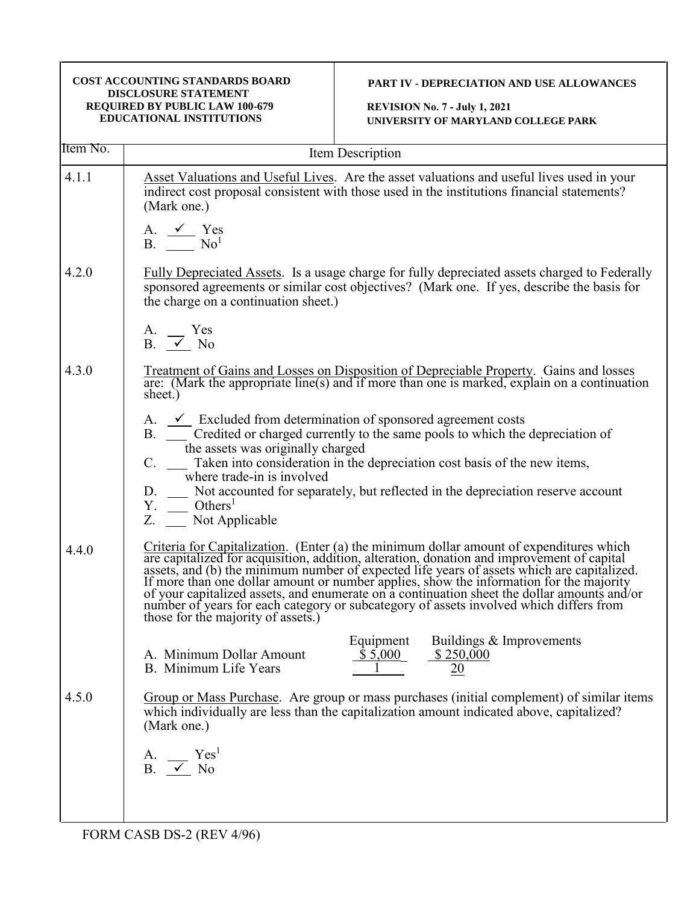| COST ACCOUNTING STANDARDS BOARD<br><b>DISCLOSURE STATEMENT</b><br>REQUIRED BY PUBLIC LAW 100-679<br><b>EDUCATIONAL INSTITUTIONS</b> |                                                                                                                                                                                                | <b>PART IV - DEPRECIATION AND USE ALLOWANCES</b><br><b>REVISION No. 7 - July 1, 2021</b><br>UNIVERSITY OF MARYLAND COLLEGE PARK                                                                                                                                                                                                                                                                                                                                                                                                                                      |  |  |  |
|-------------------------------------------------------------------------------------------------------------------------------------|------------------------------------------------------------------------------------------------------------------------------------------------------------------------------------------------|----------------------------------------------------------------------------------------------------------------------------------------------------------------------------------------------------------------------------------------------------------------------------------------------------------------------------------------------------------------------------------------------------------------------------------------------------------------------------------------------------------------------------------------------------------------------|--|--|--|
| Item No.                                                                                                                            | Item Description                                                                                                                                                                               |                                                                                                                                                                                                                                                                                                                                                                                                                                                                                                                                                                      |  |  |  |
| 4.1.1                                                                                                                               | (Mark one.)<br>A. $\checkmark$ Yes<br>$B.$ No <sup>1</sup>                                                                                                                                     | Asset Valuations and Useful Lives. Are the asset valuations and useful lives used in your<br>indirect cost proposal consistent with those used in the institutions financial statements?                                                                                                                                                                                                                                                                                                                                                                             |  |  |  |
| 4.2.0                                                                                                                               | the charge on a continuation sheet.)<br>A. Yes                                                                                                                                                 | Fully Depreciated Assets. Is a usage charge for fully depreciated assets charged to Federally<br>sponsored agreements or similar cost objectives? (Mark one. If yes, describe the basis for                                                                                                                                                                                                                                                                                                                                                                          |  |  |  |
|                                                                                                                                     | B. $\checkmark$ No                                                                                                                                                                             |                                                                                                                                                                                                                                                                                                                                                                                                                                                                                                                                                                      |  |  |  |
| 4.3.0                                                                                                                               | Treatment of Gains and Losses on Disposition of Depreciable Property. Gains and losses are: (Mark the appropriate line(s) and if more than one is marked, explain on a continuation<br>sheet.) |                                                                                                                                                                                                                                                                                                                                                                                                                                                                                                                                                                      |  |  |  |
|                                                                                                                                     | the assets was originally charged<br>C.<br>where trade-in is involved<br>$Y.$ Others <sup>1</sup><br>Z. __ Not Applicable                                                                      | A. $\checkmark$ Excluded from determination of sponsored agreement costs<br>B. __ Credited or charged currently to the same pools to which the depreciation of<br>Taken into consideration in the depreciation cost basis of the new items,<br>D. __ Not accounted for separately, but reflected in the depreciation reserve account                                                                                                                                                                                                                                 |  |  |  |
| 4.4.0                                                                                                                               | those for the majority of assets.)                                                                                                                                                             | Criteria for Capitalization. (Enter (a) the minimum dollar amount of expenditures which<br>are capitalized for acquisition, addition, alteration, donation and improvement of capital assets, and (b) the minimum number of expected life years of assets which are capitalized.<br>If more than one dollar amount or number applies, show the information for the majority<br>of your capitalized assets, and enumerate on a continuation sheet the dollar amounts and/or<br>number of years for each category or subcategory of assets involved which differs from |  |  |  |
|                                                                                                                                     | A. Minimum Dollar Amount<br>B. Minimum Life Years                                                                                                                                              | Equipment<br>Buildings & Improvements<br>\$5,000<br>\$250,000<br>20                                                                                                                                                                                                                                                                                                                                                                                                                                                                                                  |  |  |  |
| 4.5.0                                                                                                                               | (Mark one.)                                                                                                                                                                                    | Group or Mass Purchase. Are group or mass purchases (initial complement) of similar items<br>which individually are less than the capitalization amount indicated above, capitalized?                                                                                                                                                                                                                                                                                                                                                                                |  |  |  |
|                                                                                                                                     | Yes <sup>1</sup><br>A.<br>$B. \quad \checkmark$<br>N <sub>o</sub>                                                                                                                              |                                                                                                                                                                                                                                                                                                                                                                                                                                                                                                                                                                      |  |  |  |
|                                                                                                                                     |                                                                                                                                                                                                |                                                                                                                                                                                                                                                                                                                                                                                                                                                                                                                                                                      |  |  |  |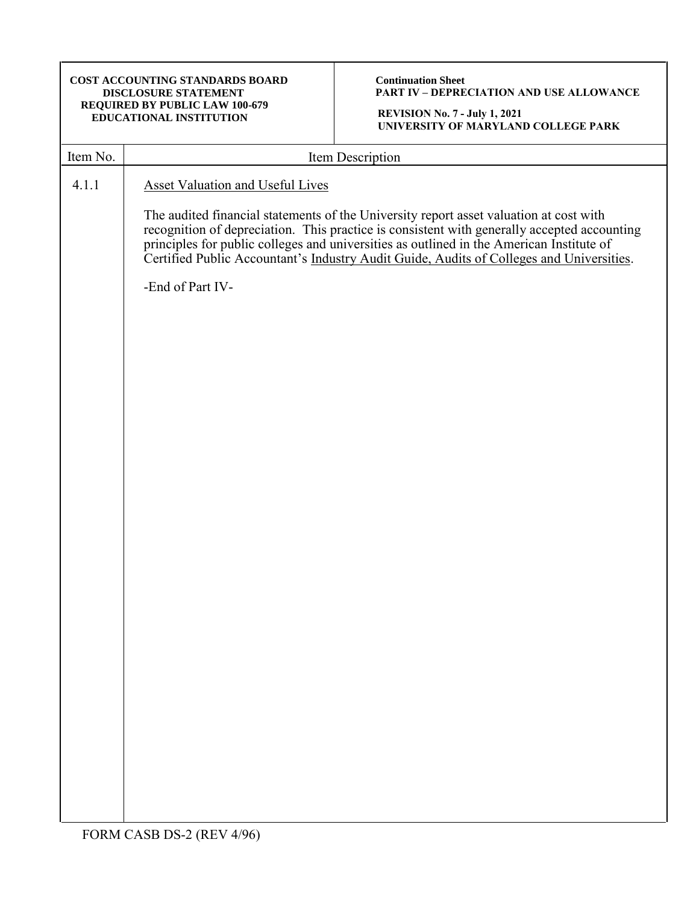**Continuation Sheet PART IV – DEPRECIATION AND USE ALLOWANCE**

| Item No. | Item Description                                                                                                                                                                                                                                                                                                                                                              |
|----------|-------------------------------------------------------------------------------------------------------------------------------------------------------------------------------------------------------------------------------------------------------------------------------------------------------------------------------------------------------------------------------|
| 4.1.1    | <b>Asset Valuation and Useful Lives</b>                                                                                                                                                                                                                                                                                                                                       |
|          | The audited financial statements of the University report asset valuation at cost with<br>recognition of depreciation. This practice is consistent with generally accepted accounting<br>principles for public colleges and universities as outlined in the American Institute of<br>Certified Public Accountant's Industry Audit Guide, Audits of Colleges and Universities. |
|          | -End of Part IV-                                                                                                                                                                                                                                                                                                                                                              |
|          |                                                                                                                                                                                                                                                                                                                                                                               |
|          |                                                                                                                                                                                                                                                                                                                                                                               |
|          |                                                                                                                                                                                                                                                                                                                                                                               |
|          |                                                                                                                                                                                                                                                                                                                                                                               |
|          |                                                                                                                                                                                                                                                                                                                                                                               |
|          |                                                                                                                                                                                                                                                                                                                                                                               |
|          |                                                                                                                                                                                                                                                                                                                                                                               |
|          |                                                                                                                                                                                                                                                                                                                                                                               |
|          |                                                                                                                                                                                                                                                                                                                                                                               |
|          |                                                                                                                                                                                                                                                                                                                                                                               |
|          |                                                                                                                                                                                                                                                                                                                                                                               |
|          |                                                                                                                                                                                                                                                                                                                                                                               |
|          | FODM C A CD D C A (D E W A)                                                                                                                                                                                                                                                                                                                                                   |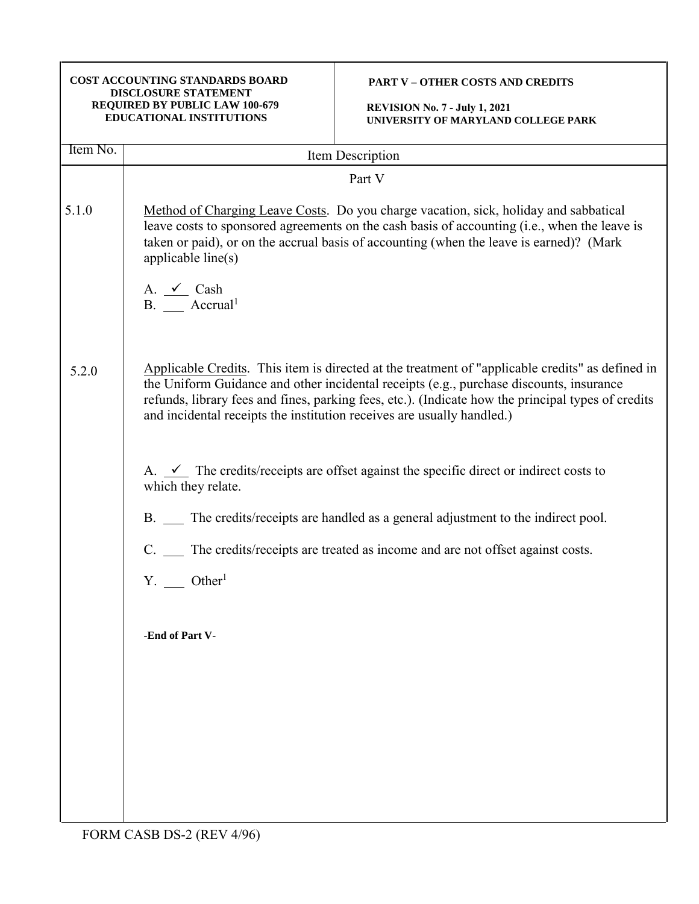| <b>COST ACCOUNTING STANDARDS BOARD</b><br><b>DISCLOSURE STATEMENT</b><br>REQUIRED BY PUBLIC LAW 100-679<br><b>EDUCATIONAL INSTITUTIONS</b> |                                                                         | <b>PART V - OTHER COSTS AND CREDITS</b><br><b>REVISION No. 7 - July 1, 2021</b><br>UNIVERSITY OF MARYLAND COLLEGE PARK                                                                                                                                                                            |
|--------------------------------------------------------------------------------------------------------------------------------------------|-------------------------------------------------------------------------|---------------------------------------------------------------------------------------------------------------------------------------------------------------------------------------------------------------------------------------------------------------------------------------------------|
| Item No.                                                                                                                                   |                                                                         | Item Description                                                                                                                                                                                                                                                                                  |
|                                                                                                                                            |                                                                         | Part V                                                                                                                                                                                                                                                                                            |
| 5.1.0                                                                                                                                      | applicable line(s)<br>A. $\checkmark$ Cash<br>$B.$ Accrual <sup>1</sup> | Method of Charging Leave Costs. Do you charge vacation, sick, holiday and sabbatical<br>leave costs to sponsored agreements on the cash basis of accounting (i.e., when the leave is<br>taken or paid), or on the accrual basis of accounting (when the leave is earned)? (Mark                   |
| 5.2.0                                                                                                                                      | and incidental receipts the institution receives are usually handled.)  | Applicable Credits. This item is directed at the treatment of "applicable credits" as defined in<br>the Uniform Guidance and other incidental receipts (e.g., purchase discounts, insurance<br>refunds, library fees and fines, parking fees, etc.). (Indicate how the principal types of credits |
|                                                                                                                                            | which they relate.                                                      | A. $\checkmark$ The credits/receipts are offset against the specific direct or indirect costs to                                                                                                                                                                                                  |
|                                                                                                                                            |                                                                         | B. __ The credits/receipts are handled as a general adjustment to the indirect pool.                                                                                                                                                                                                              |
|                                                                                                                                            | C.                                                                      | The credits/receipts are treated as income and are not offset against costs.                                                                                                                                                                                                                      |
|                                                                                                                                            | $Y.$ Other <sup>1</sup>                                                 |                                                                                                                                                                                                                                                                                                   |
|                                                                                                                                            | -End of Part V-                                                         |                                                                                                                                                                                                                                                                                                   |
|                                                                                                                                            |                                                                         |                                                                                                                                                                                                                                                                                                   |
|                                                                                                                                            |                                                                         |                                                                                                                                                                                                                                                                                                   |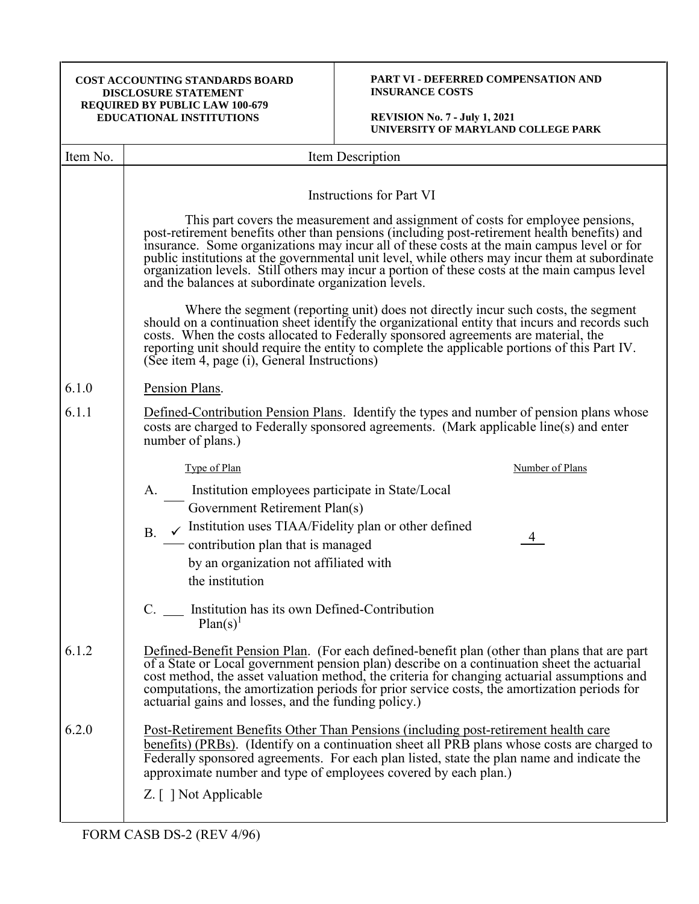# **PART VI - DEFERRED COMPENSATION AND INSURANCE COSTS**

| Item No. | Item Description                                                                                                                                                                                                                                                                                                                                                                                                                                      |
|----------|-------------------------------------------------------------------------------------------------------------------------------------------------------------------------------------------------------------------------------------------------------------------------------------------------------------------------------------------------------------------------------------------------------------------------------------------------------|
|          | <b>Instructions for Part VI</b><br>This part covers the measurement and assignment of costs for employee pensions,                                                                                                                                                                                                                                                                                                                                    |
|          | post-retirement benefits other than pensions (including post-retirement health benefits) and<br>insurance. Some organizations may incur all of these costs at the main campus level or for<br>public institutions at the governmental unit level, while others may incur them at subordinate<br>organization levels. Still others may incur a portion of these costs at the main campus level<br>and the balances at subordinate organization levels. |
|          | Where the segment (reporting unit) does not directly incur such costs, the segment<br>should on a continuation sheet identify the organizational entity that incurs and records such<br>costs. When the costs allocated to Federally sponsored agreements are material, the<br>reporting unit should require the entity to complete the applicable portions of this Part IV.<br>(See item 4, page (i), General Instructions)                          |
| 6.1.0    | Pension Plans.                                                                                                                                                                                                                                                                                                                                                                                                                                        |
| 6.1.1    | Defined-Contribution Pension Plans. Identify the types and number of pension plans whose<br>costs are charged to Federally sponsored agreements. (Mark applicable line(s) and enter<br>number of plans.)                                                                                                                                                                                                                                              |
|          | Type of Plan<br>Number of Plans                                                                                                                                                                                                                                                                                                                                                                                                                       |
|          | Institution employees participate in State/Local<br>A.                                                                                                                                                                                                                                                                                                                                                                                                |
|          | Government Retirement Plan(s)                                                                                                                                                                                                                                                                                                                                                                                                                         |
|          | Institution uses TIAA/Fidelity plan or other defined<br><b>B.</b><br>4<br>contribution plan that is managed                                                                                                                                                                                                                                                                                                                                           |
|          | by an organization not affiliated with                                                                                                                                                                                                                                                                                                                                                                                                                |
|          | the institution                                                                                                                                                                                                                                                                                                                                                                                                                                       |
|          | Institution has its own Defined-Contribution<br>$Plan(s)^{1}$                                                                                                                                                                                                                                                                                                                                                                                         |
| 6.1.2    | Defined-Benefit Pension Plan. (For each defined-benefit plan (other than plans that are part of a State or Local government pension plan) describe on a continuation sheet the actuarial<br>cost method, the asset valuation method, the criteria for changing actuarial assumptions and<br>computations, the amortization periods for prior service costs, the amortization periods for<br>actuarial gains and losses, and the funding policy.)      |
| 6.2.0    | <u>Post-Retirement Benefits Other Than Pensions (including post-retirement health care</u><br>benefits) (PRBs). (Identify on a continuation sheet all PRB plans whose costs are charged to<br>Federally sponsored agreements. For each plan listed, state the plan name and indicate the<br>approximate number and type of employees covered by each plan.)                                                                                           |
|          | Z. [ ] Not Applicable                                                                                                                                                                                                                                                                                                                                                                                                                                 |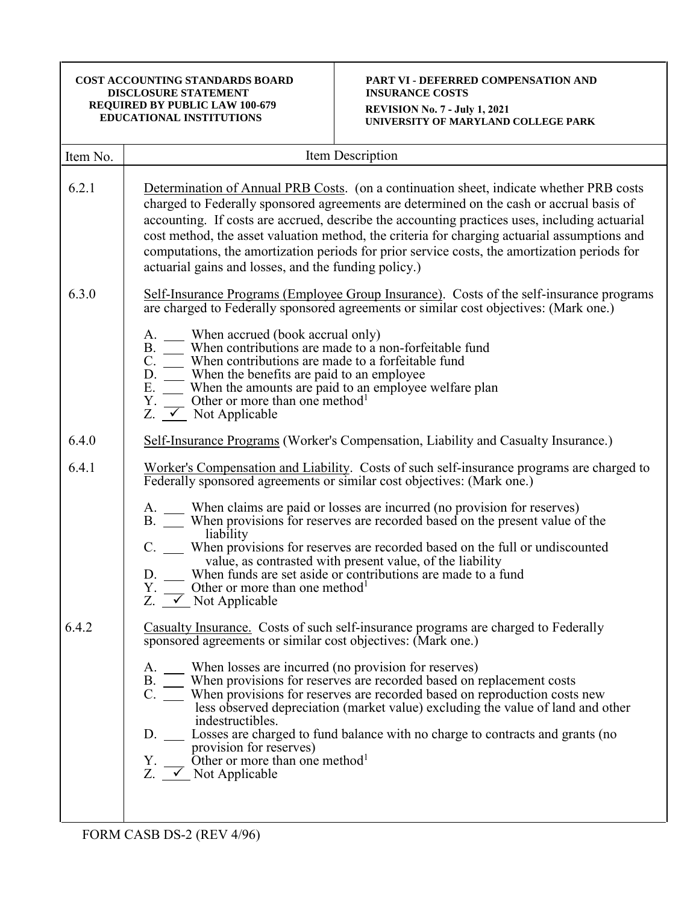# **PART VI - DEFERRED COMPENSATION AND INSURANCE COSTS REVISION No. 7 - July 1, 2021 UNIVERSITY OF MARYLAND COLLEGE PARK**

| Item No. | Item Description                                                                                                                                                                                                                                                                                                                                                                                                                                                                                                                                                                                                                                                                                                                    |
|----------|-------------------------------------------------------------------------------------------------------------------------------------------------------------------------------------------------------------------------------------------------------------------------------------------------------------------------------------------------------------------------------------------------------------------------------------------------------------------------------------------------------------------------------------------------------------------------------------------------------------------------------------------------------------------------------------------------------------------------------------|
| 6.2.1    | Determination of Annual PRB Costs. (on a continuation sheet, indicate whether PRB costs<br>charged to Federally sponsored agreements are determined on the cash or accrual basis of<br>accounting. If costs are accrued, describe the accounting practices uses, including actuarial<br>cost method, the asset valuation method, the criteria for charging actuarial assumptions and<br>computations, the amortization periods for prior service costs, the amortization periods for<br>actuarial gains and losses, and the funding policy.)                                                                                                                                                                                        |
| 6.3.0    | Self-Insurance Programs (Employee Group Insurance). Costs of the self-insurance programs<br>are charged to Federally sponsored agreements or similar cost objectives: (Mark one.)<br>When accrued (book accrual only)<br>A.<br>When contributions are made to a non-forfeitable fund<br>B.<br>C.<br>When contributions are made to a forfeitable fund<br>When the benefits are paid to an employee<br>D.<br>Ε.<br>When the amounts are paid to an employee welfare plan<br>Other or more than one method <sup>1</sup><br>Y.<br>Z.<br>$\sqrt{\phantom{a}}$ Not Applicable                                                                                                                                                            |
| 6.4.0    | Self-Insurance Programs (Worker's Compensation, Liability and Casualty Insurance.)                                                                                                                                                                                                                                                                                                                                                                                                                                                                                                                                                                                                                                                  |
| 6.4.1    | Worker's Compensation and Liability. Costs of such self-insurance programs are charged to<br>Federally sponsored agreements or similar cost objectives: (Mark one.)<br>A. When claims are paid or losses are incurred (no provision for reserves)<br>B. When provisions for reserves are recorded based on the present value of the<br>liability<br>C. ___ When provisions for reserves are recorded based on the full or undiscounted<br>value, as contrasted with present value, of the liability<br>When funds are set aside or contributions are made to a fund<br>D.<br>Other or more than one method <sup>1</sup><br>Υ.<br>Z. $\angle$ Not Applicable                                                                         |
| 6.4.2    | Casualty Insurance. Costs of such self-insurance programs are charged to Federally<br>sponsored agreements or similar cost objectives: (Mark one.)<br>A. ____ When losses are incurred (no provision for reserves)<br>B. ____ When provisions for reserves are recorded based on replacement costs<br>C. ___ When provisions for reserves are recorded based on reproduction costs new<br>less observed depreciation (market value) excluding the value of land and other<br>indestructibles.<br>D. ______ Losses are charged to fund balance with no charge to contracts and grants (no<br>provision for reserves)<br>Y. __ Other or more than one method <sup>1</sup><br>Z. $\overline{\smash{\big)}\smash{\sim}}$ Not Applicable |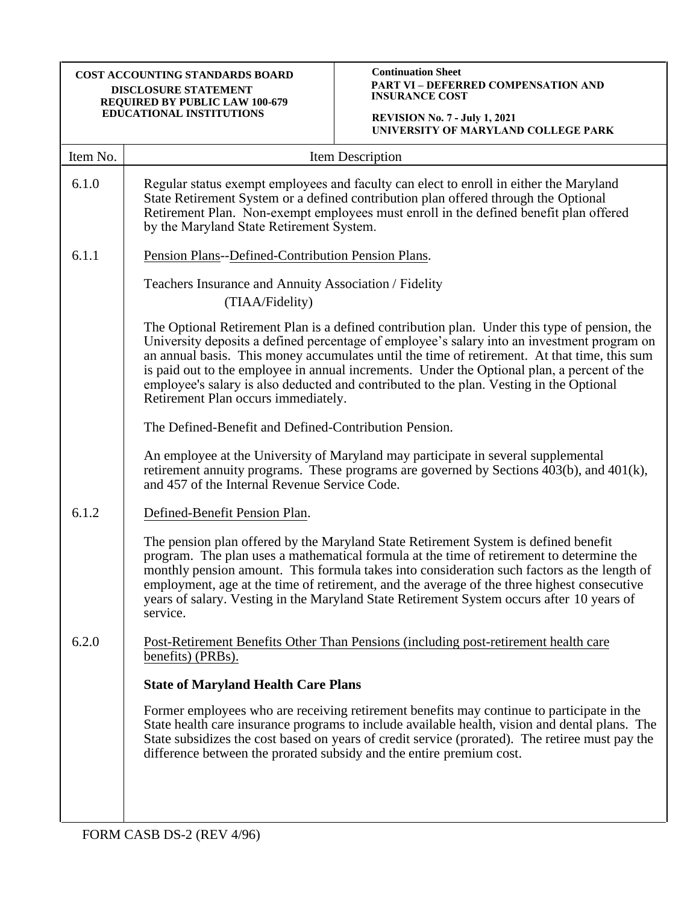#### **Continuation Sheet PART VI – DEFERRED COMPENSATION AND INSURANCE COST**

| Item No. | Item Description                                                                                                                                                                                                                                                                                                                                                                                                                                                                                                             |  |
|----------|------------------------------------------------------------------------------------------------------------------------------------------------------------------------------------------------------------------------------------------------------------------------------------------------------------------------------------------------------------------------------------------------------------------------------------------------------------------------------------------------------------------------------|--|
| 6.1.0    | Regular status exempt employees and faculty can elect to enroll in either the Maryland<br>State Retirement System or a defined contribution plan offered through the Optional<br>Retirement Plan. Non-exempt employees must enroll in the defined benefit plan offered<br>by the Maryland State Retirement System.                                                                                                                                                                                                           |  |
| 6.1.1    | Pension Plans--Defined-Contribution Pension Plans.<br>Teachers Insurance and Annuity Association / Fidelity<br>(TIAA/Fidelity)                                                                                                                                                                                                                                                                                                                                                                                               |  |
|          |                                                                                                                                                                                                                                                                                                                                                                                                                                                                                                                              |  |
|          | The Optional Retirement Plan is a defined contribution plan. Under this type of pension, the<br>University deposits a defined percentage of employee's salary into an investment program on<br>an annual basis. This money accumulates until the time of retirement. At that time, this sum<br>is paid out to the employee in annual increments. Under the Optional plan, a percent of the<br>employee's salary is also deducted and contributed to the plan. Vesting in the Optional<br>Retirement Plan occurs immediately. |  |
|          | The Defined-Benefit and Defined-Contribution Pension.                                                                                                                                                                                                                                                                                                                                                                                                                                                                        |  |
|          | An employee at the University of Maryland may participate in several supplemental<br>retirement annuity programs. These programs are governed by Sections 403(b), and 401(k),<br>and 457 of the Internal Revenue Service Code.                                                                                                                                                                                                                                                                                               |  |
| 6.1.2    | Defined-Benefit Pension Plan.                                                                                                                                                                                                                                                                                                                                                                                                                                                                                                |  |
|          | The pension plan offered by the Maryland State Retirement System is defined benefit<br>program. The plan uses a mathematical formula at the time of retirement to determine the<br>monthly pension amount. This formula takes into consideration such factors as the length of<br>employment, age at the time of retirement, and the average of the three highest consecutive<br>years of salary. Vesting in the Maryland State Retirement System occurs after 10 years of<br>service.                                       |  |
| 6.2.0    | Post-Retirement Benefits Other Than Pensions (including post-retirement health care<br>benefits) (PRBs).                                                                                                                                                                                                                                                                                                                                                                                                                     |  |
|          | <b>State of Maryland Health Care Plans</b>                                                                                                                                                                                                                                                                                                                                                                                                                                                                                   |  |
|          | Former employees who are receiving retirement benefits may continue to participate in the<br>State health care insurance programs to include available health, vision and dental plans. The<br>State subsidizes the cost based on years of credit service (prorated). The retiree must pay the<br>difference between the prorated subsidy and the entire premium cost.                                                                                                                                                       |  |
|          |                                                                                                                                                                                                                                                                                                                                                                                                                                                                                                                              |  |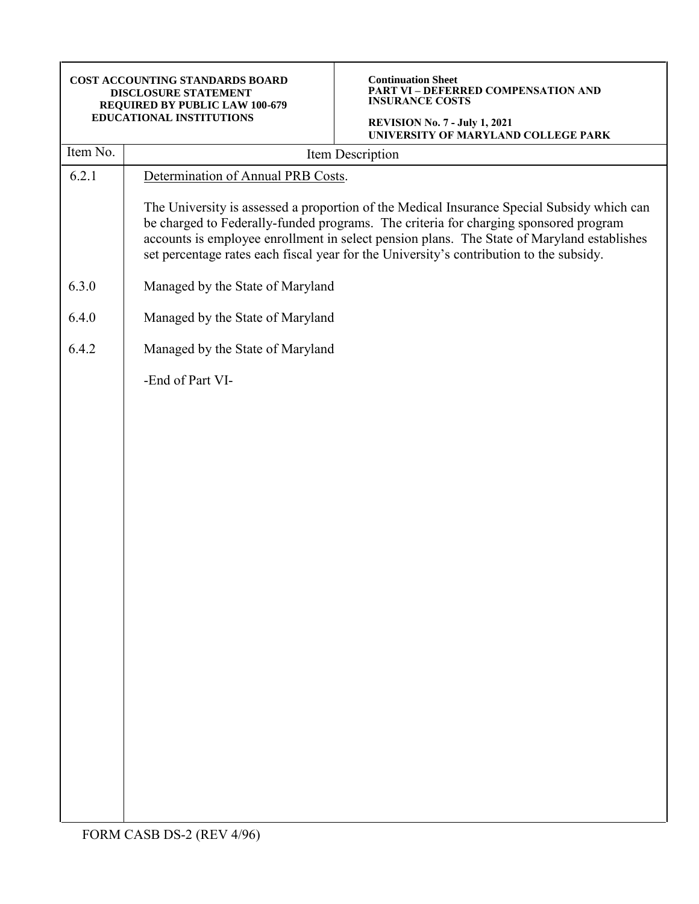| COST ACCOUNTING STANDARDS BOARD<br>DISCLOSURE STATEMENT<br>REQUIRED BY PUBLIC LAW 100-679<br>EDUCATIONAL INSTITUTIONS |                                    | <b>Continuation Sheet</b><br><b>PART VI - DEFERRED COMPENSATION AND</b><br><b>INSURANCE COSTS</b><br><b>REVISION No. 7 - July 1, 2021</b>                                                                                                                                                                                                                                   |
|-----------------------------------------------------------------------------------------------------------------------|------------------------------------|-----------------------------------------------------------------------------------------------------------------------------------------------------------------------------------------------------------------------------------------------------------------------------------------------------------------------------------------------------------------------------|
| Item No.                                                                                                              |                                    | UNIVERSITY OF MARYLAND COLLEGE PARK<br>Item Description                                                                                                                                                                                                                                                                                                                     |
| 6.2.1                                                                                                                 | Determination of Annual PRB Costs. |                                                                                                                                                                                                                                                                                                                                                                             |
|                                                                                                                       |                                    | The University is assessed a proportion of the Medical Insurance Special Subsidy which can<br>be charged to Federally-funded programs. The criteria for charging sponsored program<br>accounts is employee enrollment in select pension plans. The State of Maryland establishes<br>set percentage rates each fiscal year for the University's contribution to the subsidy. |
| 6.3.0                                                                                                                 | Managed by the State of Maryland   |                                                                                                                                                                                                                                                                                                                                                                             |
| 6.4.0                                                                                                                 | Managed by the State of Maryland   |                                                                                                                                                                                                                                                                                                                                                                             |
| 6.4.2                                                                                                                 | Managed by the State of Maryland   |                                                                                                                                                                                                                                                                                                                                                                             |
|                                                                                                                       | -End of Part VI-                   |                                                                                                                                                                                                                                                                                                                                                                             |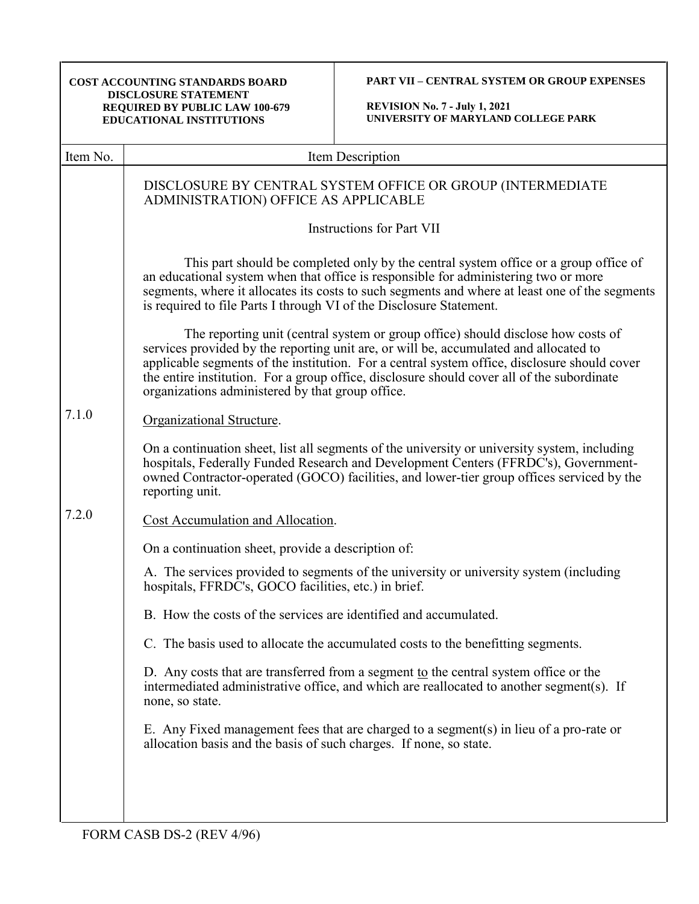| <b>COST ACCOUNTING STANDARDS BOARD</b><br><b>DISCLOSURE STATEMENT</b><br>REQUIRED BY PUBLIC LAW 100-679<br>EDUCATIONAL INSTITUTIONS |                                                                     | <b>PART VII - CENTRAL SYSTEM OR GROUP EXPENSES</b><br><b>REVISION No. 7 - July 1, 2021</b><br>UNIVERSITY OF MARYLAND COLLEGE PARK                                                                                                                                                                                                                                       |
|-------------------------------------------------------------------------------------------------------------------------------------|---------------------------------------------------------------------|-------------------------------------------------------------------------------------------------------------------------------------------------------------------------------------------------------------------------------------------------------------------------------------------------------------------------------------------------------------------------|
| Item No.                                                                                                                            |                                                                     | Item Description                                                                                                                                                                                                                                                                                                                                                        |
|                                                                                                                                     | ADMINISTRATION) OFFICE AS APPLICABLE                                | DISCLOSURE BY CENTRAL SYSTEM OFFICE OR GROUP (INTERMEDIATE                                                                                                                                                                                                                                                                                                              |
|                                                                                                                                     | <b>Instructions for Part VII</b>                                    |                                                                                                                                                                                                                                                                                                                                                                         |
|                                                                                                                                     | is required to file Parts I through VI of the Disclosure Statement. | This part should be completed only by the central system office or a group office of<br>an educational system when that office is responsible for administering two or more<br>segments, where it allocates its costs to such segments and where at least one of the segments                                                                                           |
|                                                                                                                                     | organizations administered by that group office.                    | The reporting unit (central system or group office) should disclose how costs of<br>services provided by the reporting unit are, or will be, accumulated and allocated to<br>applicable segments of the institution. For a central system office, disclosure should cover<br>the entire institution. For a group office, disclosure should cover all of the subordinate |
| 7.1.0                                                                                                                               | Organizational Structure.                                           |                                                                                                                                                                                                                                                                                                                                                                         |
|                                                                                                                                     | reporting unit.                                                     | On a continuation sheet, list all segments of the university or university system, including<br>hospitals, Federally Funded Research and Development Centers (FFRDC's), Government-<br>owned Contractor-operated (GOCO) facilities, and lower-tier group offices serviced by the                                                                                        |
| 7.2.0                                                                                                                               | Cost Accumulation and Allocation.                                   |                                                                                                                                                                                                                                                                                                                                                                         |
|                                                                                                                                     | On a continuation sheet, provide a description of:                  |                                                                                                                                                                                                                                                                                                                                                                         |
|                                                                                                                                     | hospitals, FFRDC's, GOCO facilities, etc.) in brief.                | A. The services provided to segments of the university or university system (including                                                                                                                                                                                                                                                                                  |
|                                                                                                                                     | B. How the costs of the services are identified and accumulated.    |                                                                                                                                                                                                                                                                                                                                                                         |
|                                                                                                                                     |                                                                     | C. The basis used to allocate the accumulated costs to the benefitting segments.                                                                                                                                                                                                                                                                                        |
|                                                                                                                                     | none, so state.                                                     | D. Any costs that are transferred from a segment to the central system office or the<br>intermediated administrative office, and which are reallocated to another segment(s). If                                                                                                                                                                                        |
|                                                                                                                                     | allocation basis and the basis of such charges. If none, so state.  | E. Any Fixed management fees that are charged to a segment(s) in lieu of a pro-rate or                                                                                                                                                                                                                                                                                  |
|                                                                                                                                     |                                                                     |                                                                                                                                                                                                                                                                                                                                                                         |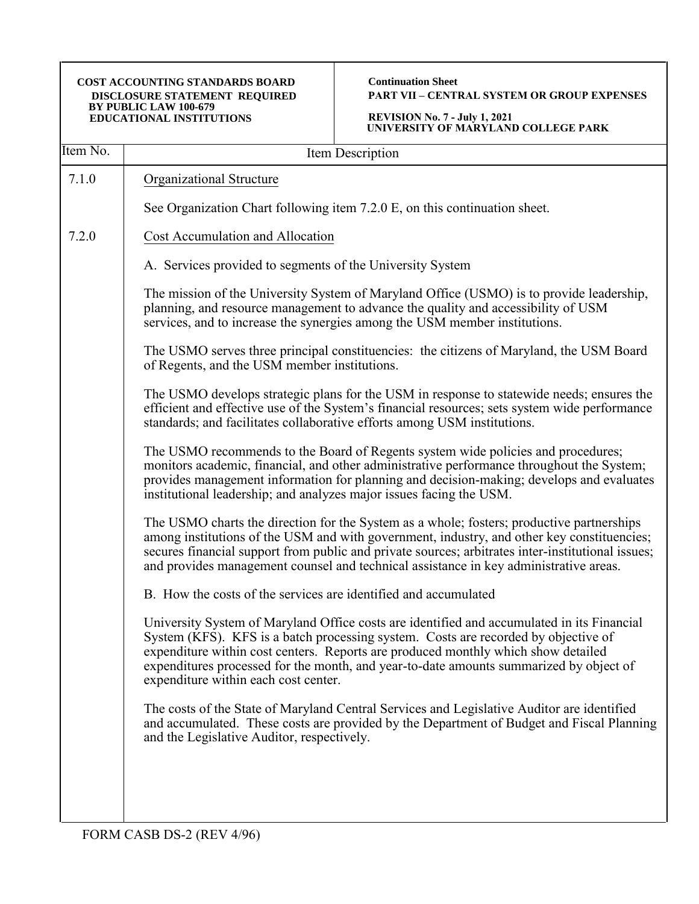**Continuation Sheet PART VII – CENTRAL SYSTEM OR GROUP EXPENSES**

| Item No. | Item Description                                                                                                                                                                                                                                                                                                                                                                                        |
|----------|---------------------------------------------------------------------------------------------------------------------------------------------------------------------------------------------------------------------------------------------------------------------------------------------------------------------------------------------------------------------------------------------------------|
| 7.1.0    | Organizational Structure                                                                                                                                                                                                                                                                                                                                                                                |
|          | See Organization Chart following item 7.2.0 E, on this continuation sheet.                                                                                                                                                                                                                                                                                                                              |
| 7.2.0    | Cost Accumulation and Allocation                                                                                                                                                                                                                                                                                                                                                                        |
|          | A. Services provided to segments of the University System                                                                                                                                                                                                                                                                                                                                               |
|          | The mission of the University System of Maryland Office (USMO) is to provide leadership,<br>planning, and resource management to advance the quality and accessibility of USM<br>services, and to increase the synergies among the USM member institutions.                                                                                                                                             |
|          | The USMO serves three principal constituencies: the citizens of Maryland, the USM Board<br>of Regents, and the USM member institutions.                                                                                                                                                                                                                                                                 |
|          | The USMO develops strategic plans for the USM in response to statewide needs; ensures the<br>efficient and effective use of the System's financial resources; sets system wide performance<br>standards; and facilitates collaborative efforts among USM institutions.                                                                                                                                  |
|          | The USMO recommends to the Board of Regents system wide policies and procedures;<br>monitors academic, financial, and other administrative performance throughout the System;<br>provides management information for planning and decision-making; develops and evaluates<br>institutional leadership; and analyzes major issues facing the USM.                                                        |
|          | The USMO charts the direction for the System as a whole; fosters; productive partnerships<br>among institutions of the USM and with government, industry, and other key constituencies;<br>secures financial support from public and private sources; arbitrates inter-institutional issues;<br>and provides management counsel and technical assistance in key administrative areas.                   |
|          | B. How the costs of the services are identified and accumulated                                                                                                                                                                                                                                                                                                                                         |
|          | University System of Maryland Office costs are identified and accumulated in its Financial<br>System (KFS). KFS is a batch processing system. Costs are recorded by objective of<br>expenditure within cost centers. Reports are produced monthly which show detailed<br>expenditures processed for the month, and year-to-date amounts summarized by object of<br>expenditure within each cost center. |
|          | The costs of the State of Maryland Central Services and Legislative Auditor are identified<br>and accumulated. These costs are provided by the Department of Budget and Fiscal Planning<br>and the Legislative Auditor, respectively.                                                                                                                                                                   |
|          |                                                                                                                                                                                                                                                                                                                                                                                                         |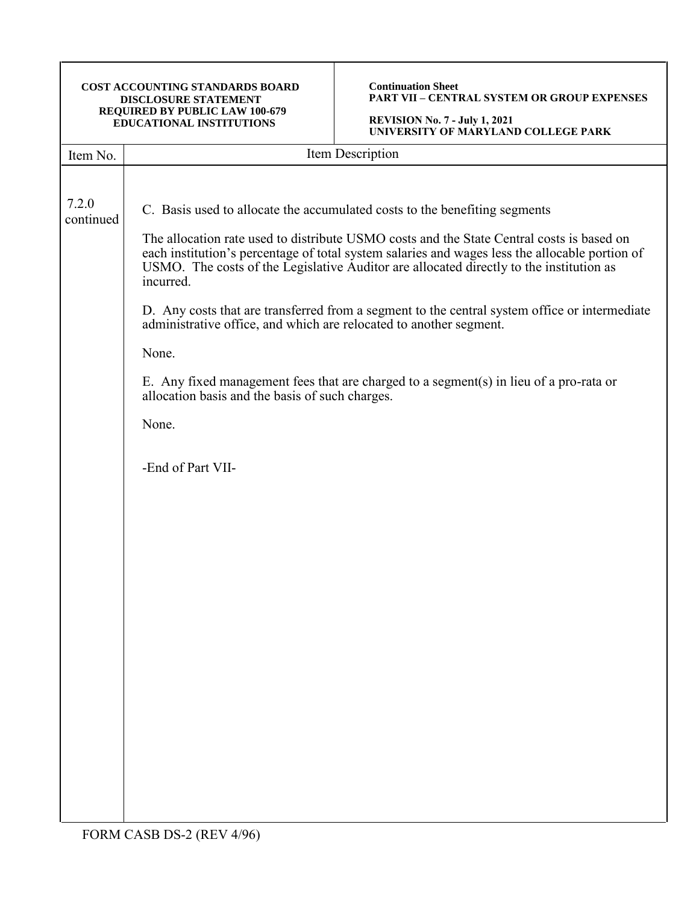**Continuation Sheet PART VII – CENTRAL SYSTEM OR GROUP EXPENSES**

| Item No.           | Item Description                                                                                                                                                                                                                                                                                                                                                                                                                                                                                                                                                                                                                                                                                                                             |
|--------------------|----------------------------------------------------------------------------------------------------------------------------------------------------------------------------------------------------------------------------------------------------------------------------------------------------------------------------------------------------------------------------------------------------------------------------------------------------------------------------------------------------------------------------------------------------------------------------------------------------------------------------------------------------------------------------------------------------------------------------------------------|
| 7.2.0<br>continued | C. Basis used to allocate the accumulated costs to the benefiting segments<br>The allocation rate used to distribute USMO costs and the State Central costs is based on<br>each institution's percentage of total system salaries and wages less the allocable portion of<br>USMO. The costs of the Legislative Auditor are allocated directly to the institution as<br>incurred.<br>D. Any costs that are transferred from a segment to the central system office or intermediate<br>administrative office, and which are relocated to another segment.<br>None.<br>E. Any fixed management fees that are charged to a segment(s) in lieu of a pro-rata or<br>allocation basis and the basis of such charges.<br>None.<br>-End of Part VII- |
|                    |                                                                                                                                                                                                                                                                                                                                                                                                                                                                                                                                                                                                                                                                                                                                              |